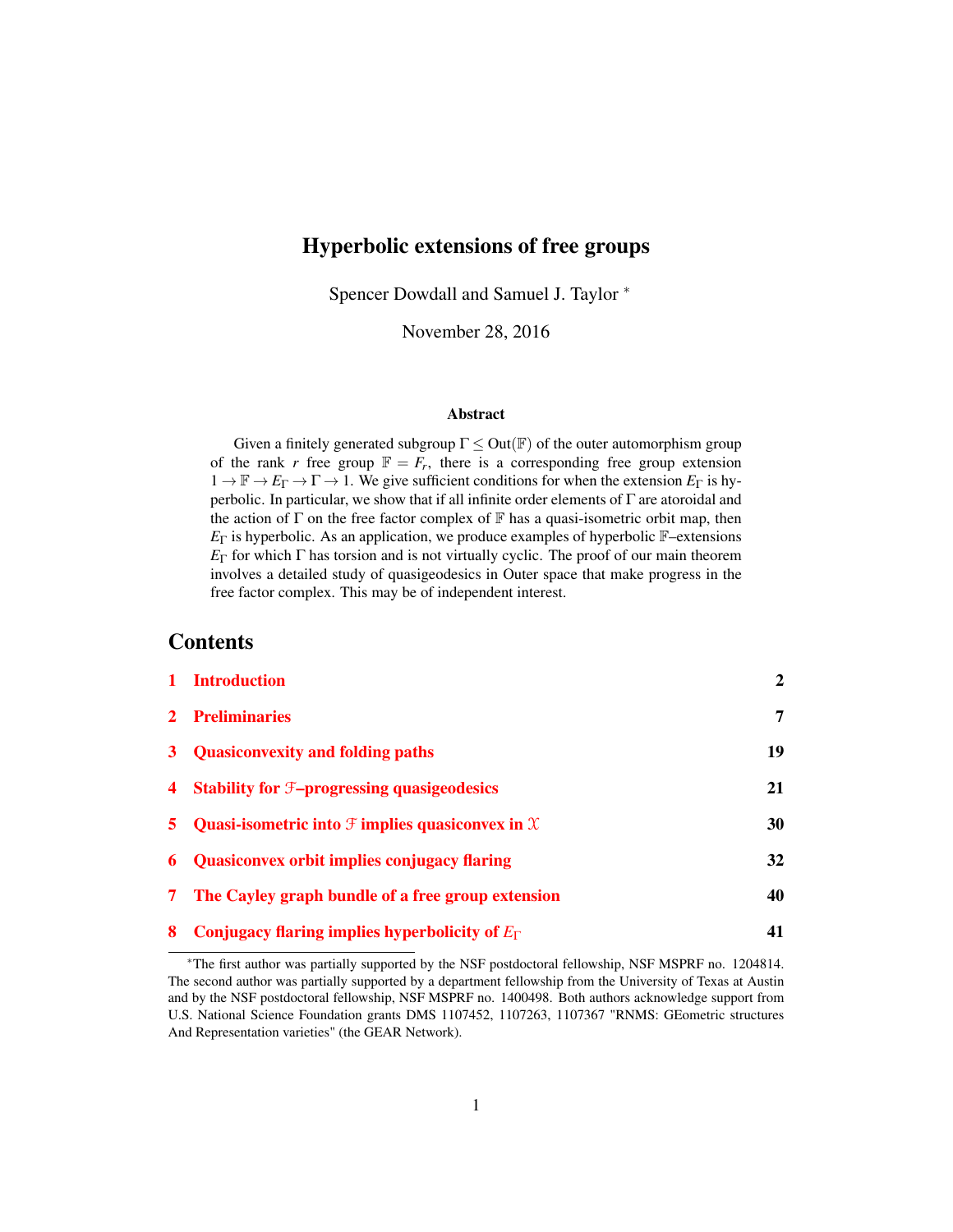# Hyperbolic extensions of free groups

Spencer Dowdall and Samuel J. Taylor <sup>∗</sup>

November 28, 2016

#### Abstract

Given a finitely generated subgroup  $\Gamma \leq Out(\mathbb{F})$  of the outer automorphism group of the rank *r* free group  $\mathbb{F} = F_r$ , there is a corresponding free group extension  $1 \to \mathbb{F} \to E_{\Gamma} \to \Gamma \to 1$ . We give sufficient conditions for when the extension  $E_{\Gamma}$  is hyperbolic. In particular, we show that if all infinite order elements of Γ are atoroidal and the action of  $\Gamma$  on the free factor complex of  $\mathbb F$  has a quasi-isometric orbit map, then  $E_{\Gamma}$  is hyperbolic. As an application, we produce examples of hyperbolic  $\mathbb{F}-$ extensions *E*<sub>Γ</sub> for which Γ has torsion and is not virtually cyclic. The proof of our main theorem involves a detailed study of quasigeodesics in Outer space that make progress in the free factor complex. This may be of independent interest.

## **Contents**

|                | 1 Introduction                                                            | $\overline{2}$ |
|----------------|---------------------------------------------------------------------------|----------------|
|                | 2 Preliminaries                                                           | 7              |
|                | 3 Quasiconvexity and folding paths                                        | 19             |
|                | 4 Stability for <i>F</i> -progressing quasigeodesics                      | 21             |
|                | 5 Quasi-isometric into $\mathfrak F$ implies quasiconvex in $\mathfrak X$ | 30             |
|                | <b>6</b> Quasiconvex orbit implies conjugacy flaring                      | 32             |
| 7 <sup>7</sup> | The Cayley graph bundle of a free group extension                         | 40             |
| 8              | Conjugacy flaring implies hyperbolicity of $E_{\Gamma}$                   | 41             |

<sup>∗</sup>The first author was partially supported by the NSF postdoctoral fellowship, NSF MSPRF no. 1204814. The second author was partially supported by a department fellowship from the University of Texas at Austin and by the NSF postdoctoral fellowship, NSF MSPRF no. 1400498. Both authors acknowledge support from U.S. National Science Foundation grants DMS 1107452, 1107263, 1107367 "RNMS: GEometric structures And Representation varieties" (the GEAR Network).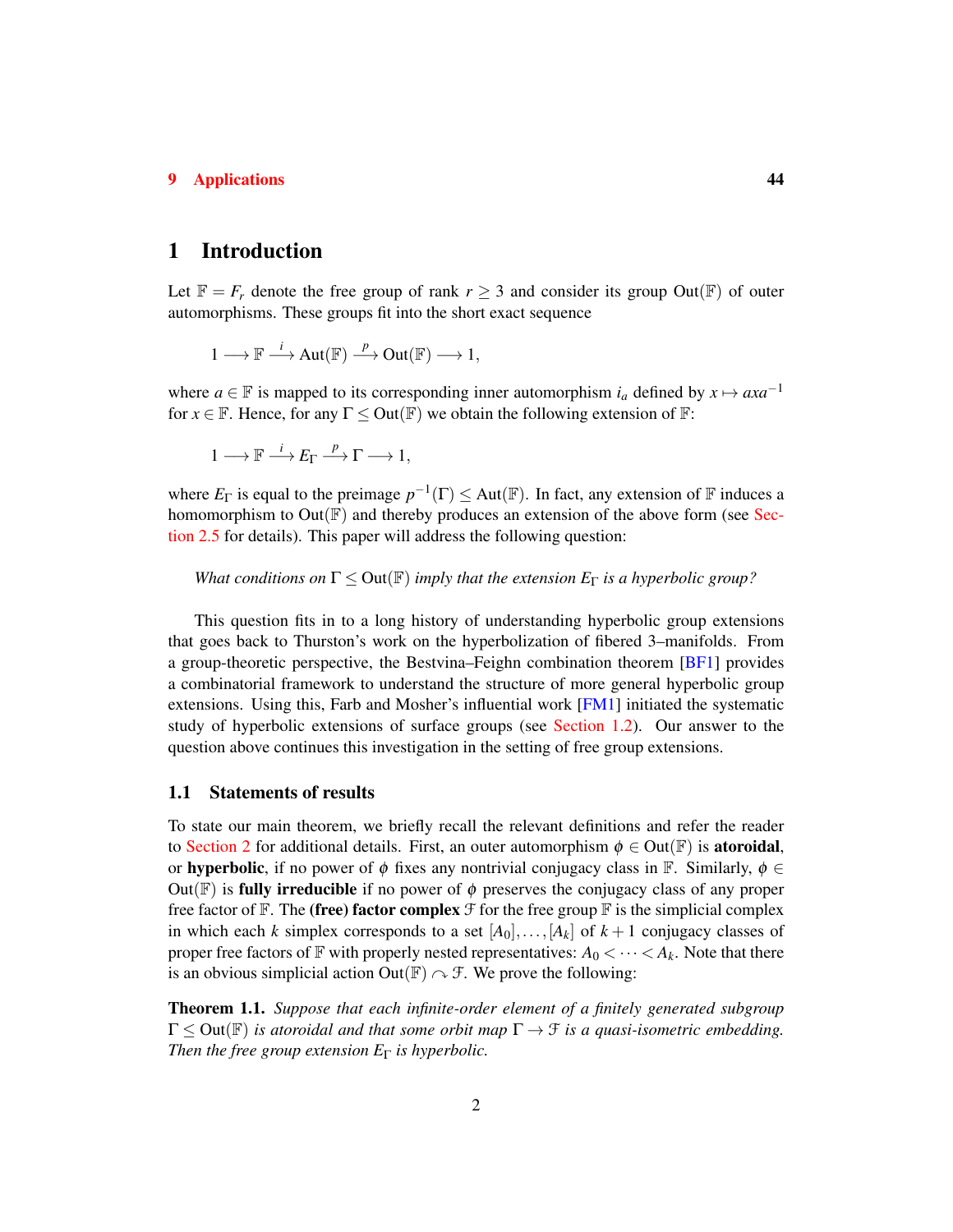## [9 Applications](#page-43-0) 44

## <span id="page-1-0"></span>1 Introduction

Let  $\mathbb{F} = F_r$  denote the free group of rank  $r \geq 3$  and consider its group Out( $\mathbb{F}$ ) of outer automorphisms. These groups fit into the short exact sequence

$$
1 \longrightarrow \mathbb{F} \stackrel{i}{\longrightarrow} \mathrm{Aut}(\mathbb{F}) \stackrel{p}{\longrightarrow} \mathrm{Out}(\mathbb{F}) \longrightarrow 1,
$$

where *a* ∈ F is mapped to its corresponding inner automorphism  $i_a$  defined by  $x \mapsto axa^{-1}$ for  $x \in \mathbb{F}$ . Hence, for any  $\Gamma \leq$  Out( $\mathbb{F}$ ) we obtain the following extension of  $\mathbb{F}$ :

$$
1\longrightarrow \mathbb F\stackrel{i}{\longrightarrow} E_\Gamma\stackrel{p}{\longrightarrow} \Gamma\longrightarrow 1,
$$

where  $E_{\Gamma}$  is equal to the preimage  $p^{-1}(\Gamma) \leq Aut(\mathbb{F})$ . In fact, any extension of  $\mathbb F$  induces a homomorphism to  $Out(\mathbb{F})$  and thereby produces an extension of the above form (see [Sec](#page-8-0)[tion 2.5](#page-8-0) for details). This paper will address the following question:

*What conditions on*  $\Gamma \leq Out(\mathbb{F})$  *imply that the extension*  $E_{\Gamma}$  *is a hyperbolic group?* 

This question fits in to a long history of understanding hyperbolic group extensions that goes back to Thurston's work on the hyperbolization of fibered 3–manifolds. From a group-theoretic perspective, the Bestvina–Feighn combination theorem [\[BF1\]](#page-47-0) provides a combinatorial framework to understand the structure of more general hyperbolic group extensions. Using this, Farb and Mosher's influential work  $[FM1]$  initiated the systematic study of hyperbolic extensions of surface groups (see [Section 1.2\)](#page-3-0). Our answer to the question above continues this investigation in the setting of free group extensions.

### 1.1 Statements of results

To state our main theorem, we briefly recall the relevant definitions and refer the reader to [Section 2](#page-6-0) for additional details. First, an outer automorphism  $\phi \in Out(\mathbb{F})$  is **atoroidal**, or hyperbolic, if no power of  $\phi$  fixes any nontrivial conjugacy class in F. Similarly,  $\phi \in$ Out( $F$ ) is **fully irreducible** if no power of  $\phi$  preserves the conjugacy class of any proper free factor of  $\mathbb F$ . The (free) factor complex  $\mathcal F$  for the free group  $\mathbb F$  is the simplicial complex in which each *k* simplex corresponds to a set  $[A_0], \ldots, [A_k]$  of  $k+1$  conjugacy classes of proper free factors of  $\mathbb F$  with properly nested representatives:  $A_0 < \cdots < A_k$ . Note that there is an obvious simplicial action Out( $\mathbb{F}$ )  $\sim$   $\mathcal{F}$ . We prove the following:

<span id="page-1-1"></span>Theorem 1.1. *Suppose that each infinite-order element of a finitely generated subgroup*  $\Gamma \leq$  Out( $\mathbb{F}$ ) *is atoroidal and that some orbit map*  $\Gamma \rightarrow \mathcal{F}$  *is a quasi-isometric embedding. Then the free group extension*  $E_{\Gamma}$  *is hyperbolic.*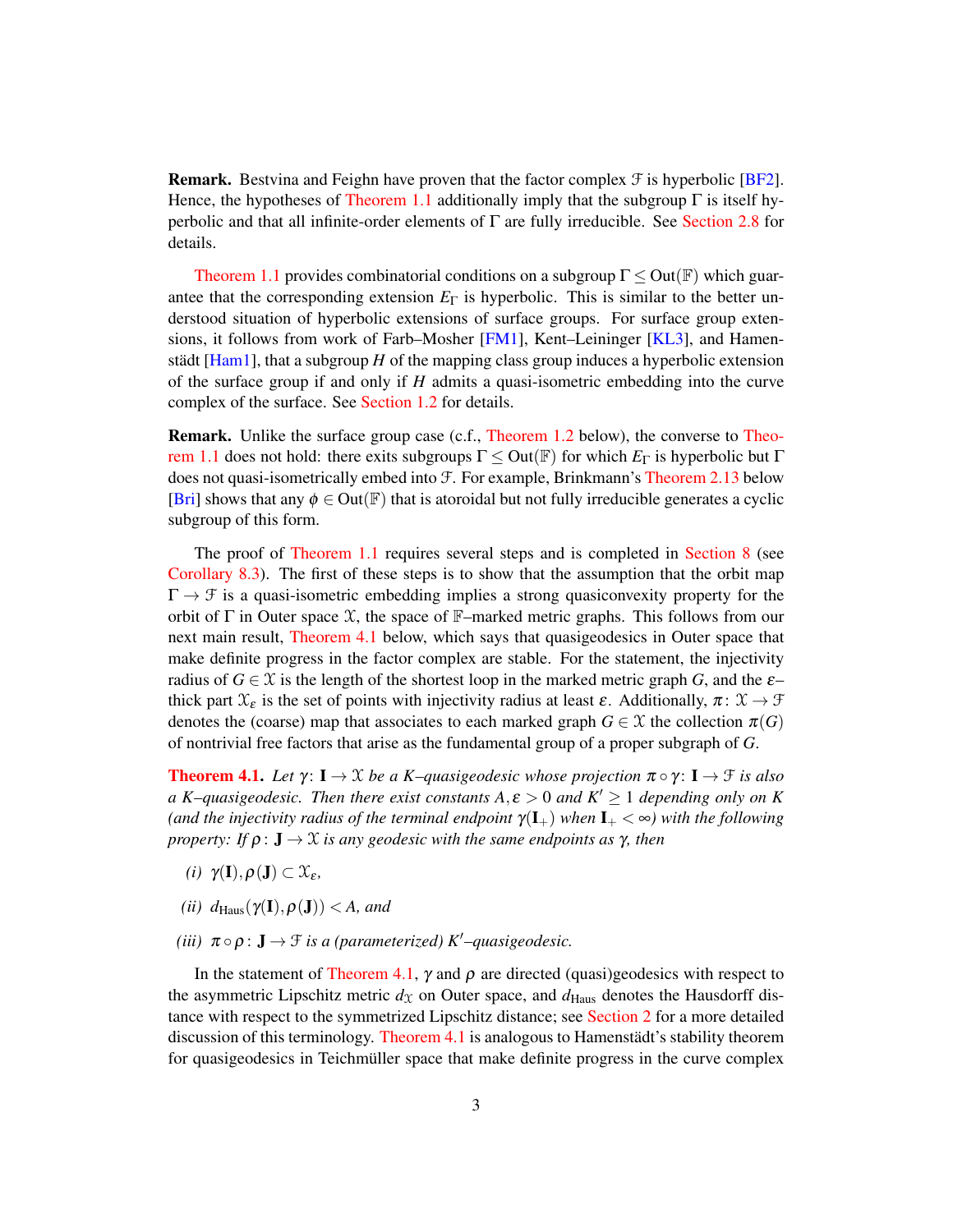**Remark.** Bestvina and Feighn have proven that the factor complex  $\mathcal{F}$  is hyperbolic [\[BF2\]](#page-47-1). Hence, the hypotheses of [Theorem 1.1](#page-1-1) additionally imply that the subgroup  $\Gamma$  is itself hyperbolic and that all infinite-order elements of  $\Gamma$  are fully irreducible. See [Section 2.8](#page-15-0) for details.

[Theorem 1.1](#page-1-1) provides combinatorial conditions on a subgroup  $\Gamma \leq Out(\mathbb{F})$  which guarantee that the corresponding extension  $E_{\Gamma}$  is hyperbolic. This is similar to the better understood situation of hyperbolic extensions of surface groups. For surface group extensions, it follows from work of Farb–Mosher [\[FM1\]](#page-48-0), Kent–Leininger [\[KL3\]](#page-49-0), and Hamenstädt [\[Ham1\]](#page-48-1), that a subgroup *H* of the mapping class group induces a hyperbolic extension of the surface group if and only if *H* admits a quasi-isometric embedding into the curve complex of the surface. See [Section 1.2](#page-3-0) for details.

Remark. Unlike the surface group case (c.f., [Theorem 1.2](#page-4-0) below), the converse to [Theo](#page-1-1)[rem 1.1](#page-1-1) does not hold: there exits subgroups Γ ≤ Out(F) for which *E*<sup>Γ</sup> is hyperbolic but Γ does not quasi-isometrically embed into F. For example, Brinkmann's [Theorem 2.13](#page-18-1) below [\[Bri\]](#page-48-2) shows that any  $\phi \in Out(\mathbb{F})$  that is atoroidal but not fully irreducible generates a cyclic subgroup of this form.

The proof of [Theorem 1.1](#page-1-1) requires several steps and is completed in [Section 8](#page-40-0) (see [Corollary 8.3\)](#page-43-1). The first of these steps is to show that the assumption that the orbit map  $\Gamma \rightarrow \mathcal{F}$  is a quasi-isometric embedding implies a strong quasiconvexity property for the orbit of  $\Gamma$  in Outer space  $\mathfrak X$ , the space of  $\mathbb F$ –marked metric graphs. This follows from our next main result, [Theorem 4.1](#page-20-1) below, which says that quasigeodesics in Outer space that make definite progress in the factor complex are stable. For the statement, the injectivity radius of  $G \in \mathcal{X}$  is the length of the shortest loop in the marked metric graph *G*, and the  $\varepsilon$ – thick part  $\mathfrak{X}_{\varepsilon}$  is the set of points with injectivity radius at least  $\varepsilon$ . Additionally,  $\pi: \mathfrak{X} \to \mathfrak{F}$ denotes the (coarse) map that associates to each marked graph  $G \in \mathcal{X}$  the collection  $\pi(G)$ of nontrivial free factors that arise as the fundamental group of a proper subgraph of *G*.

**[Theorem 4.1.](#page-20-1)** Let  $\gamma: I \to \mathcal{X}$  be a K–quasigeodesic whose projection  $\pi \circ \gamma: I \to \mathcal{F}$  is also *a K*–*quasigeodesic. Then there exist constants*  $A, \varepsilon > 0$  *and*  $K' \ge 1$  *depending only on K (and the injectivity radius of the terminal endpoint*  $\gamma(I_+)$  *when*  $I_+ < \infty$ *) with the following property: If*  $\rho$  :  $J \to \mathcal{X}$  *is any geodesic with the same endpoints as*  $\gamma$ *, then* 

- *(i)*  $\gamma(\mathbf{I}), \rho(\mathbf{J}) \subset \mathfrak{X}_{\varepsilon},$
- *(ii)*  $d_{\text{Haus}}(\gamma(\mathbf{I}), \rho(\mathbf{J})) < A$ , and
- *(iii)*  $\pi \circ \rho : \mathbf{J} \to \mathcal{F}$  *is a (parameterized)*  $K'$ –*quasigeodesic.*

In the statement of [Theorem 4.1,](#page-20-1)  $\gamma$  and  $\rho$  are directed (quasi)geodesics with respect to the asymmetric Lipschitz metric  $d_X$  on Outer space, and  $d_{\text{Haus}}$  denotes the Hausdorff distance with respect to the symmetrized Lipschitz distance; see [Section 2](#page-6-0) for a more detailed discussion of this terminology. [Theorem 4.1](#page-20-1) is analogous to Hamenstädt's stability theorem for quasigeodesics in Teichmüller space that make definite progress in the curve complex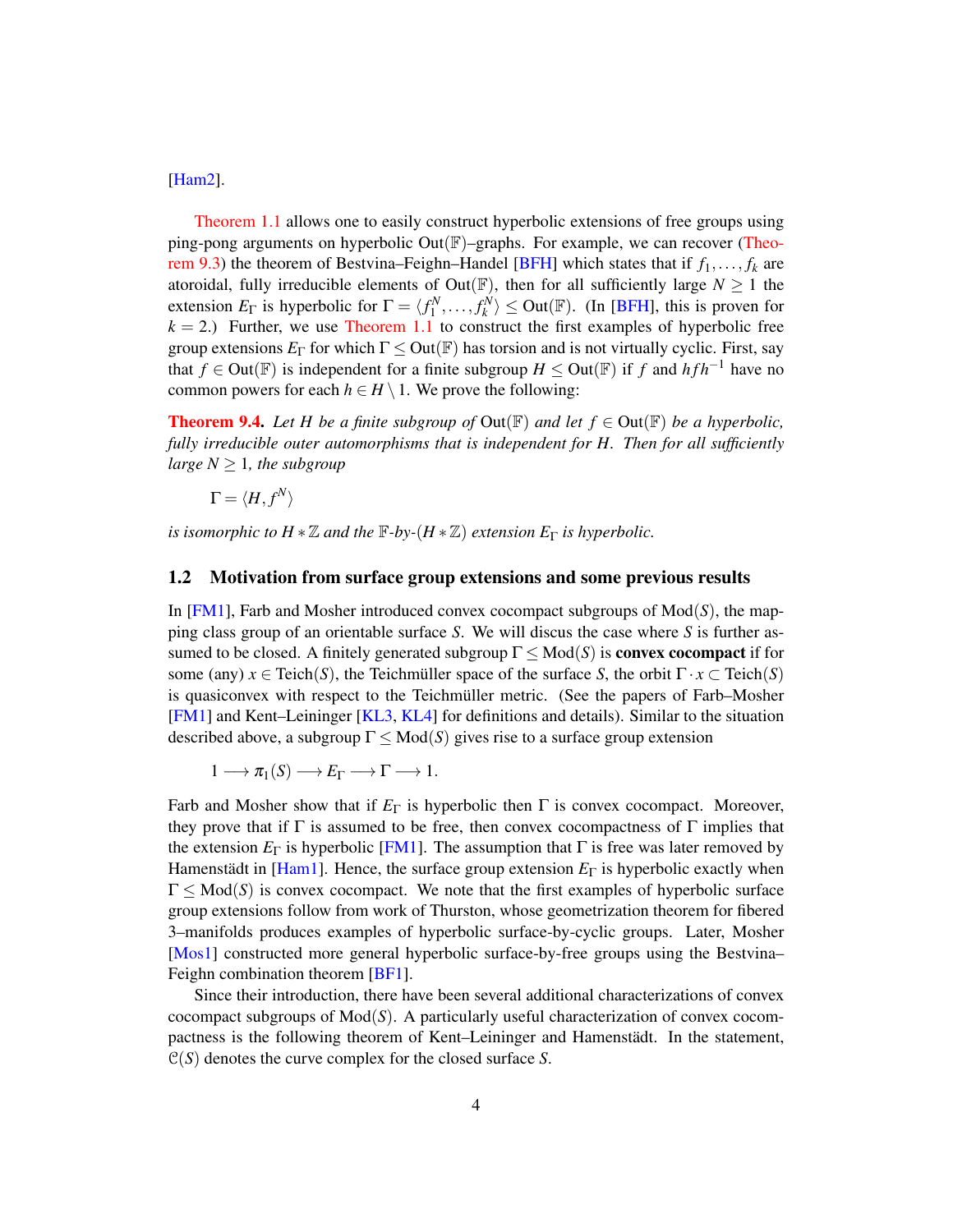[\[Ham2\]](#page-48-3).

[Theorem 1.1](#page-1-1) allows one to easily construct hyperbolic extensions of free groups using ping-pong arguments on hyperbolic  $Out(\mathbb{F})$ –graphs. For example, we can recover [\(Theo](#page-44-0)[rem 9.3\)](#page-44-0) the theorem of Bestvina–Feighn–Handel [\[BFH\]](#page-48-4) which states that if  $f_1, \ldots, f_k$  are atoroidal, fully irreducible elements of Out( $\mathbb{F}$ ), then for all sufficiently large  $N \geq 1$  the extension  $E_{\Gamma}$  is hyperbolic for  $\Gamma = \langle f_1^N, \ldots, f_k^N \rangle \leq$  Out(F). (In [\[BFH\]](#page-48-4), this is proven for  $k = 2$ .) Further, we use [Theorem 1.1](#page-1-1) to construct the first examples of hyperbolic free group extensions  $E_{\Gamma}$  for which  $\Gamma \leq Out(\mathbb{F})$  has torsion and is not virtually cyclic. First, say that *f* ∈ Out( $\mathbb{F}$ ) is independent for a finite subgroup *H* ≤ Out( $\mathbb{F}$ ) if *f* and *hf h*<sup>−1</sup> have no common powers for each  $h \in H \setminus 1$ . We prove the following:

**[Theorem 9.4.](#page-45-0)** Let H be a finite subgroup of  $Out(\mathbb{F})$  and let  $f \in Out(\mathbb{F})$  be a hyperbolic, *fully irreducible outer automorphisms that is independent for H. Then for all sufficiently large*  $N \geq 1$ *, the subgroup* 

$$
\Gamma = \langle H, f^N \rangle
$$

*is isomorphic to*  $H * \mathbb{Z}$  *and the*  $\mathbb{F}$ *-by-*( $H * \mathbb{Z}$ ) *extension*  $E_{\Gamma}$  *is hyperbolic.* 

### <span id="page-3-0"></span>1.2 Motivation from surface group extensions and some previous results

In  $[FM1]$ , Farb and Mosher introduced convex cocompact subgroups of  $Mod(S)$ , the mapping class group of an orientable surface *S*. We will discus the case where *S* is further assumed to be closed. A finitely generated subgroup  $\Gamma \leq Mod(S)$  is **convex cocompact** if for some (any)  $x \in \text{Teich}(S)$ , the Teichmüller space of the surface *S*, the orbit  $\Gamma \cdot x \subset \text{Teich}(S)$ is quasiconvex with respect to the Teichmüller metric. (See the papers of Farb–Mosher [\[FM1\]](#page-48-0) and Kent–Leininger [\[KL3,](#page-49-0) [KL4\]](#page-49-1) for definitions and details). Similar to the situation described above, a subgroup  $\Gamma \leq Mod(S)$  gives rise to a surface group extension

$$
1 \longrightarrow \pi_1(S) \longrightarrow E_{\Gamma} \longrightarrow \Gamma \longrightarrow 1.
$$

Farb and Mosher show that if  $E_{\Gamma}$  is hyperbolic then  $\Gamma$  is convex cocompact. Moreover, they prove that if  $\Gamma$  is assumed to be free, then convex cocompactness of  $\Gamma$  implies that the extension  $E_{\Gamma}$  is hyperbolic [\[FM1\]](#page-48-0). The assumption that  $\Gamma$  is free was later removed by Hamenstädt in [\[Ham1\]](#page-48-1). Hence, the surface group extension *E*<sup>Γ</sup> is hyperbolic exactly when  $\Gamma \leq Mod(S)$  is convex cocompact. We note that the first examples of hyperbolic surface group extensions follow from work of Thurston, whose geometrization theorem for fibered 3–manifolds produces examples of hyperbolic surface-by-cyclic groups. Later, Mosher [\[Mos1\]](#page-49-2) constructed more general hyperbolic surface-by-free groups using the Bestvina– Feighn combination theorem [\[BF1\]](#page-47-0).

Since their introduction, there have been several additional characterizations of convex cocompact subgroups of Mod(*S*). A particularly useful characterization of convex cocompactness is the following theorem of Kent–Leininger and Hamenstädt. In the statement, C(*S*) denotes the curve complex for the closed surface *S*.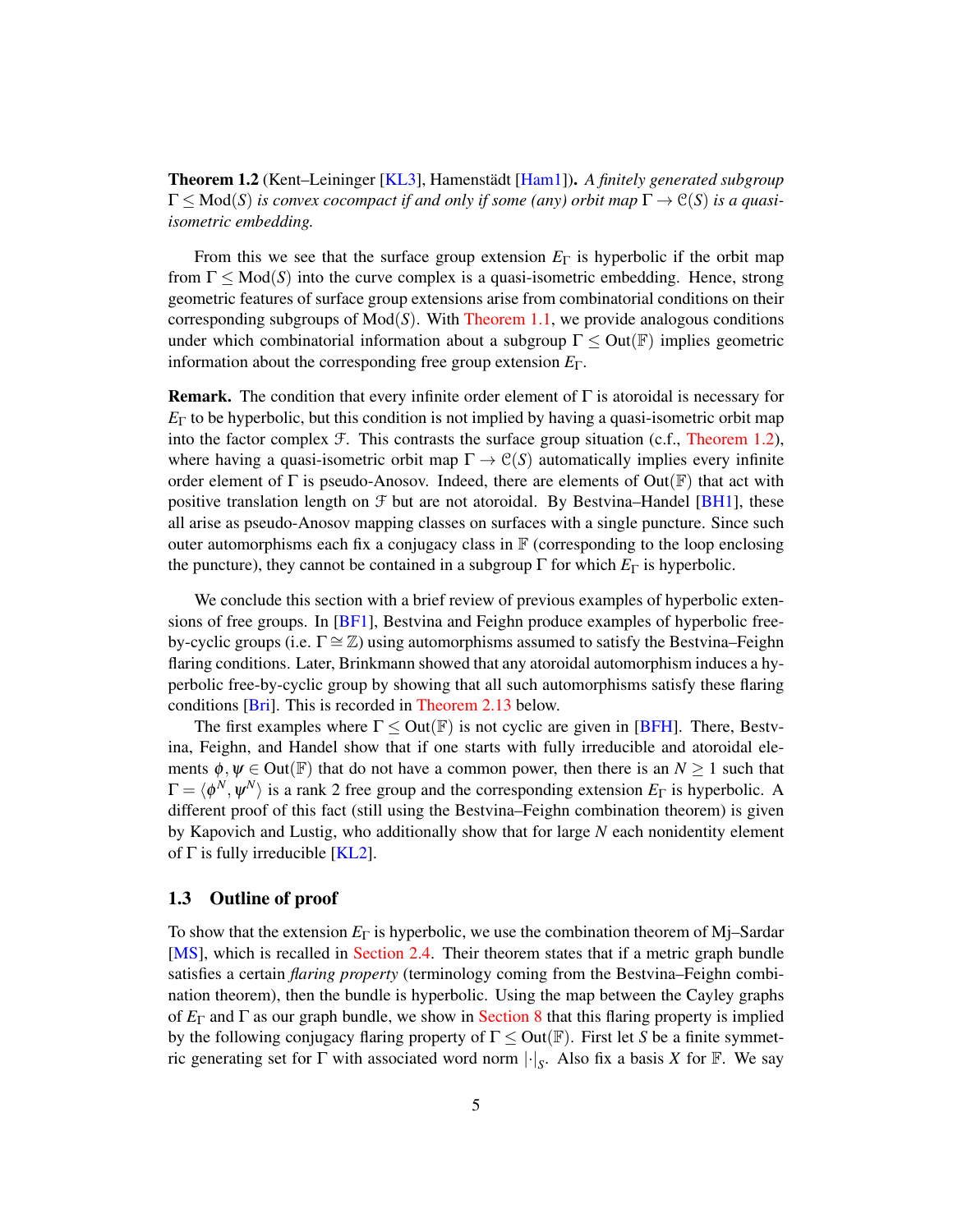<span id="page-4-0"></span>Theorem 1.2 (Kent–Leininger [\[KL3\]](#page-49-0), Hamenstädt [\[Ham1\]](#page-48-1)). *A finitely generated subgroup*  $\Gamma \leq Mod(S)$  *is convex cocompact if and only if some (any) orbit map*  $\Gamma \to \mathcal{C}(S)$  *is a quasiisometric embedding.*

From this we see that the surface group extension  $E_{\Gamma}$  is hyperbolic if the orbit map from  $\Gamma \leq Mod(S)$  into the curve complex is a quasi-isometric embedding. Hence, strong geometric features of surface group extensions arise from combinatorial conditions on their corresponding subgroups of Mod(*S*). With [Theorem 1.1,](#page-1-1) we provide analogous conditions under which combinatorial information about a subgroup  $\Gamma \leq Out(\mathbb{F})$  implies geometric information about the corresponding free group extension *E*Γ.

**Remark.** The condition that every infinite order element of  $\Gamma$  is atoroidal is necessary for  $E_{\Gamma}$  to be hyperbolic, but this condition is not implied by having a quasi-isometric orbit map into the factor complex  $\mathcal F$ . This contrasts the surface group situation (c.f., [Theorem 1.2\)](#page-4-0), where having a quasi-isometric orbit map  $\Gamma \to C(S)$  automatically implies every infinite order element of  $\Gamma$  is pseudo-Anosov. Indeed, there are elements of Out( $\mathbb{F}$ ) that act with positive translation length on  $\mathcal F$  but are not atoroidal. By Bestvina–Handel [\[BH1\]](#page-48-5), these all arise as pseudo-Anosov mapping classes on surfaces with a single puncture. Since such outer automorphisms each fix a conjugacy class in  $\mathbb F$  (corresponding to the loop enclosing the puncture), they cannot be contained in a subgroup  $\Gamma$  for which  $E_{\Gamma}$  is hyperbolic.

We conclude this section with a brief review of previous examples of hyperbolic extensions of free groups. In  $[BF1]$ , Bestvina and Feighn produce examples of hyperbolic freeby-cyclic groups (i.e.  $\Gamma \cong \mathbb{Z}$ ) using automorphisms assumed to satisfy the Bestvina–Feighn flaring conditions. Later, Brinkmann showed that any atoroidal automorphism induces a hyperbolic free-by-cyclic group by showing that all such automorphisms satisfy these flaring conditions [\[Bri\]](#page-48-2). This is recorded in [Theorem 2.13](#page-18-1) below.

The first examples where  $\Gamma \leq Out(\mathbb{F})$  is not cyclic are given in [\[BFH\]](#page-48-4). There, Bestvina, Feighn, and Handel show that if one starts with fully irreducible and atoroidal elements  $\phi, \psi \in \text{Out}(\mathbb{F})$  that do not have a common power, then there is an  $N \ge 1$  such that  $\Gamma = \langle \phi^N, \psi^N \rangle$  is a rank 2 free group and the corresponding extension  $E_\Gamma$  is hyperbolic. A different proof of this fact (still using the Bestvina–Feighn combination theorem) is given by Kapovich and Lustig, who additionally show that for large *N* each nonidentity element of  $\Gamma$  is fully irreducible  $[KL2]$ .

### 1.3 Outline of proof

To show that the extension *E*<sup>Γ</sup> is hyperbolic, we use the combination theorem of Mj–Sardar [\[MS\]](#page-49-4), which is recalled in [Section 2.4.](#page-8-1) Their theorem states that if a metric graph bundle satisfies a certain *flaring property* (terminology coming from the Bestvina–Feighn combination theorem), then the bundle is hyperbolic. Using the map between the Cayley graphs of *E*<sup>Γ</sup> and Γ as our graph bundle, we show in [Section 8](#page-40-0) that this flaring property is implied by the following conjugacy flaring property of  $\Gamma \leq Out(\mathbb{F})$ . First let *S* be a finite symmetric generating set for  $\Gamma$  with associated word norm  $|\cdot|_S$ . Also fix a basis *X* for **F**. We say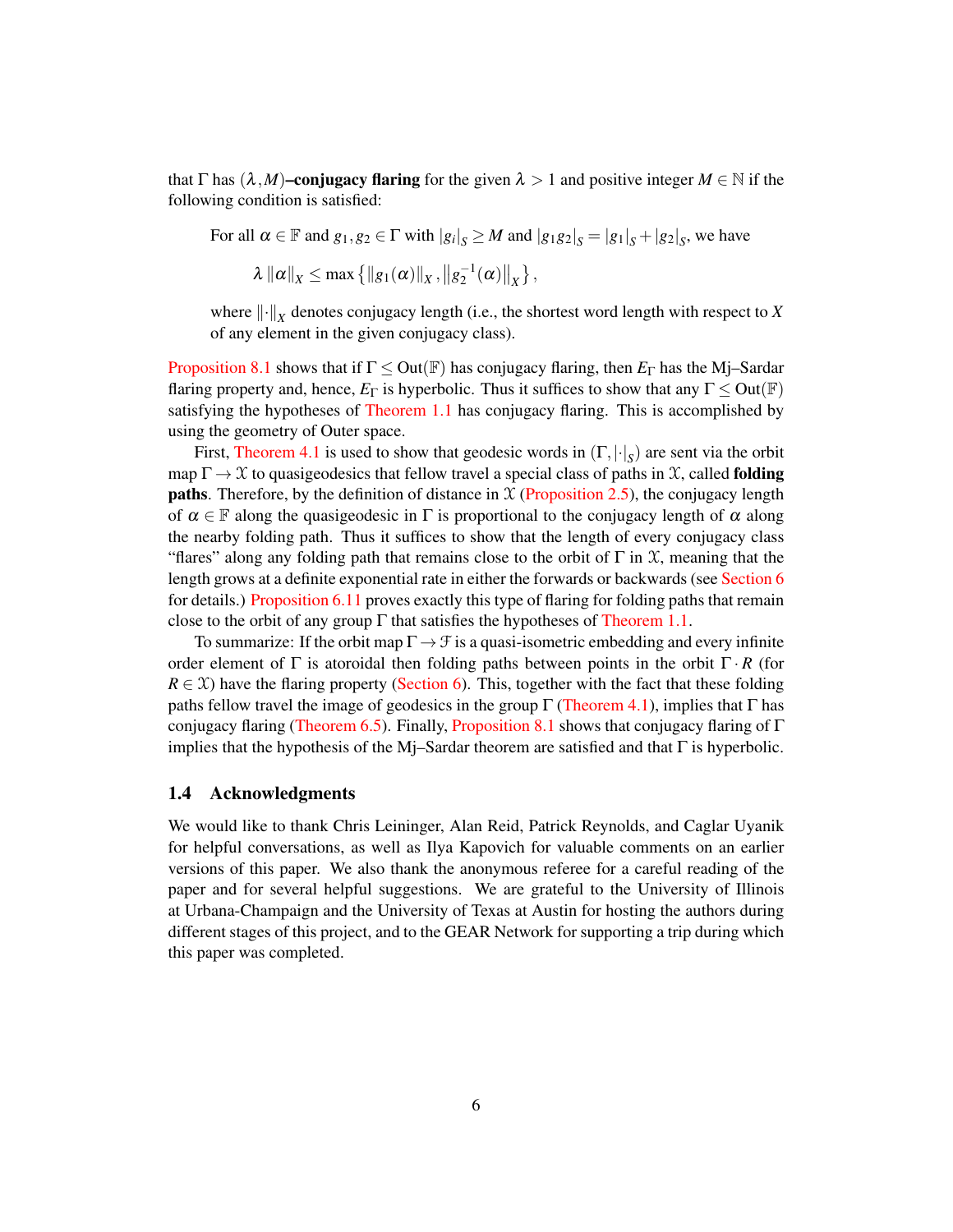that  $\Gamma$  has  $(\lambda, M)$ **–conjugacy flaring** for the given  $\lambda > 1$  and positive integer  $M \in \mathbb{N}$  if the following condition is satisfied:

For all  $\alpha \in \mathbb{F}$  and  $g_1, g_2 \in \Gamma$  with  $|g_i|_S \geq M$  and  $|g_1g_2|_S = |g_1|_S + |g_2|_S$ , we have

 $\lambda \| \alpha \|_X \leq \max \{ \| g_1(\alpha) \|_X, \| g_2^{-1}(\alpha) \|_X \},$ 

where  $\left\| \cdot \right\|_X$  denotes conjugacy length (i.e., the shortest word length with respect to *X* of any element in the given conjugacy class).

[Proposition 8.1](#page-40-1) shows that if  $\Gamma \leq Out(\mathbb{F})$  has conjugacy flaring, then  $E_{\Gamma}$  has the Mj–Sardar flaring property and, hence,  $E_{\Gamma}$  is hyperbolic. Thus it suffices to show that any  $\Gamma \leq Out(\mathbb{F})$ satisfying the hypotheses of [Theorem 1.1](#page-1-1) has conjugacy flaring. This is accomplished by using the geometry of Outer space.

First, [Theorem 4.1](#page-20-1) is used to show that geodesic words in (Γ,|·| *S* ) are sent via the orbit map  $\Gamma \to \mathfrak{X}$  to quasigeodesics that fellow travel a special class of paths in X, called **folding paths**. Therefore, by the definition of distance in  $X$  [\(Proposition 2.5\)](#page-12-0), the conjugacy length of  $\alpha \in \mathbb{F}$  along the quasigeodesic in  $\Gamma$  is proportional to the conjugacy length of  $\alpha$  along the nearby folding path. Thus it suffices to show that the length of every conjugacy class "flares" along any folding path that remains close to the orbit of  $\Gamma$  in  $\mathfrak X$ , meaning that the length grows at a definite exponential rate in either the forwards or backwards (see [Section 6](#page-31-0) for details.) [Proposition 6.11](#page-37-0) proves exactly this type of flaring for folding paths that remain close to the orbit of any group  $\Gamma$  that satisfies the hypotheses of [Theorem 1.1.](#page-1-1)

To summarize: If the orbit map  $\Gamma \rightarrow \mathcal{F}$  is a quasi-isometric embedding and every infinite order element of  $\Gamma$  is atoroidal then folding paths between points in the orbit  $\Gamma \cdot R$  (for  $R \in \mathcal{X}$ ) have the flaring property [\(Section 6\)](#page-31-0). This, together with the fact that these folding paths fellow travel the image of geodesics in the group  $\Gamma$  [\(Theorem 4.1\)](#page-20-1), implies that  $\Gamma$  has conjugacy flaring [\(Theorem 6.5\)](#page-32-0). Finally, [Proposition 8.1](#page-40-1) shows that conjugacy flaring of Γ implies that the hypothesis of the Mj–Sardar theorem are satisfied and that  $\Gamma$  is hyperbolic.

### 1.4 Acknowledgments

We would like to thank Chris Leininger, Alan Reid, Patrick Reynolds, and Caglar Uyanik for helpful conversations, as well as Ilya Kapovich for valuable comments on an earlier versions of this paper. We also thank the anonymous referee for a careful reading of the paper and for several helpful suggestions. We are grateful to the University of Illinois at Urbana-Champaign and the University of Texas at Austin for hosting the authors during different stages of this project, and to the GEAR Network for supporting a trip during which this paper was completed.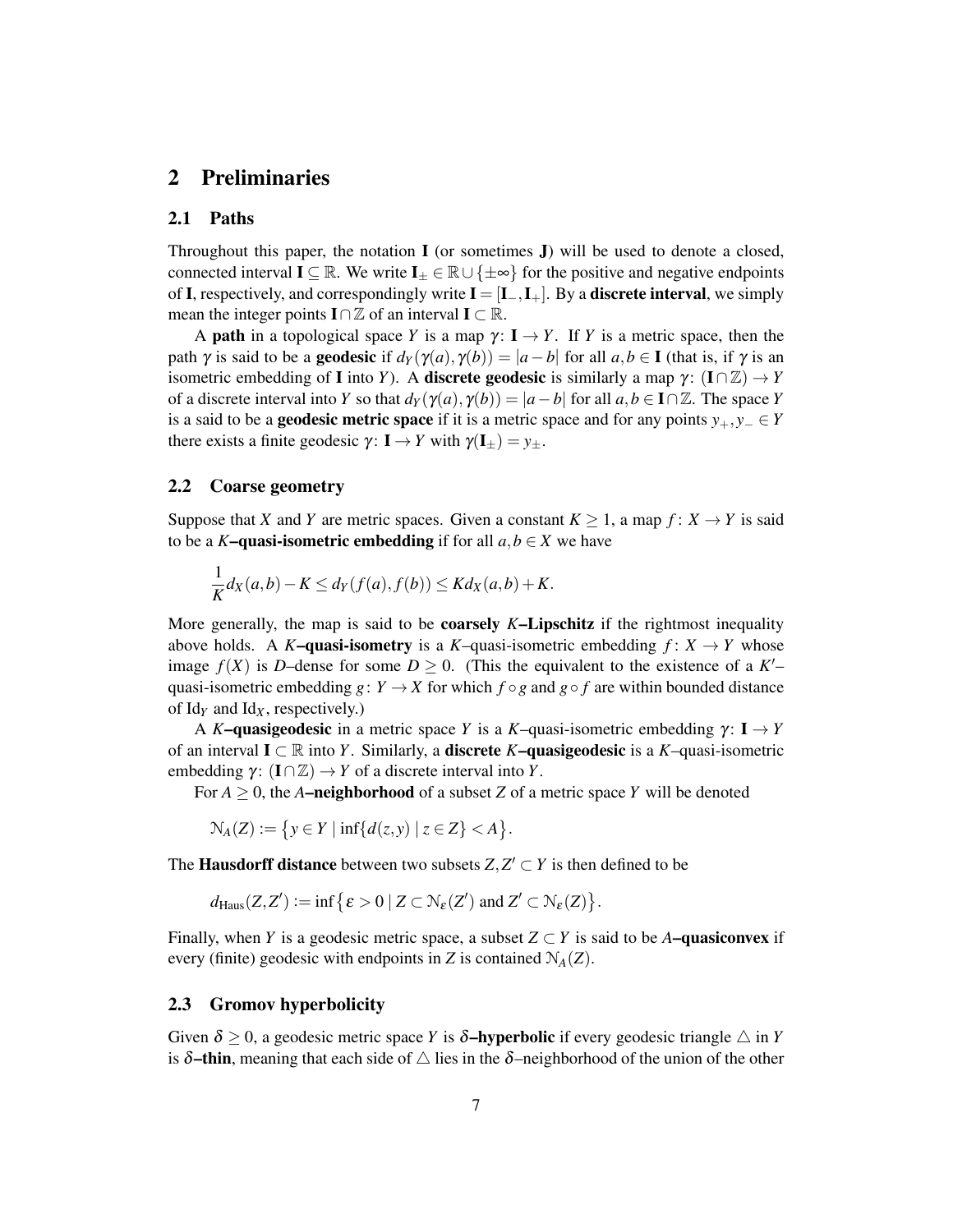## <span id="page-6-0"></span>2 Preliminaries

### 2.1 Paths

Throughout this paper, the notation  $\bf{I}$  (or sometimes  $\bf{J}$ ) will be used to denote a closed, connected interval  $I \subseteq \mathbb{R}$ . We write  $I_+ \in \mathbb{R} \cup \{\pm \infty\}$  for the positive and negative endpoints of I, respectively, and correspondingly write  $I = [I_-, I_+]$ . By a **discrete interval**, we simply mean the integer points  $\mathbf{I} \cap \mathbb{Z}$  of an interval  $\mathbf{I} \subset \mathbb{R}$ .

A **path** in a topological space *Y* is a map  $\gamma$ :  $I \rightarrow Y$ . If *Y* is a metric space, then the path  $\gamma$  is said to be a **geodesic** if  $d_Y(\gamma(a), \gamma(b)) = |a - b|$  for all  $a, b \in I$  (that is, if  $\gamma$  is an isometric embedding of **I** into *Y*). A **discrete geodesic** is similarly a map  $\gamma$ :  $(I \cap \mathbb{Z}) \rightarrow Y$ of a discrete interval into *Y* so that  $d_Y(\gamma(a), \gamma(b)) = |a - b|$  for all  $a, b \in I \cap \mathbb{Z}$ . The space *Y* is a said to be a **geodesic metric space** if it is a metric space and for any points  $y_+, y_- \in Y$ there exists a finite geodesic  $\gamma: I \to Y$  with  $\gamma(I_{\pm}) = y_{\pm}$ .

## 2.2 Coarse geometry

Suppose that *X* and *Y* are metric spaces. Given a constant  $K \geq 1$ , a map  $f: X \to Y$  is said to be a *K*–quasi-isometric embedding if for all  $a, b \in X$  we have

$$
\frac{1}{K}d_X(a,b)-K\leq d_Y(f(a),f(b))\leq Kd_X(a,b)+K.
$$

More generally, the map is said to be coarsely *K*–Lipschitz if the rightmost inequality above holds. A *K*-quasi-isometry is a *K*-quasi-isometric embedding  $f: X \rightarrow Y$  whose image  $f(X)$  is *D*-dense for some  $D \ge 0$ . (This the equivalent to the existence of a  $K'$ quasi-isometric embedding  $g: Y \to X$  for which  $f \circ g$  and  $g \circ f$  are within bounded distance of  $\text{Id}_Y$  and  $\text{Id}_X$ , respectively.)

A *K*–quasigeodesic in a metric space *Y* is a *K*–quasi-isometric embedding  $\gamma: I \rightarrow Y$ of an interval I ⊂ R into *Y*. Similarly, a discrete *K*–quasigeodesic is a *K*–quasi-isometric embedding  $\gamma: (\mathbf{I} \cap \mathbb{Z}) \to Y$  of a discrete interval into *Y*.

For  $A \geq 0$ , the A-neighborhood of a subset Z of a metric space Y will be denoted

$$
\mathcal{N}_A(Z) := \{ y \in Y \mid \inf \{ d(z, y) \mid z \in Z \} < A \}.
$$

The **Hausdorff distance** between two subsets  $Z, Z' \subset Y$  is then defined to be

$$
d_{\text{Haus}}(Z,Z') := \inf \big\{ \varepsilon > 0 \mid Z \subset \mathcal{N}_{\varepsilon}(Z') \text{ and } Z' \subset \mathcal{N}_{\varepsilon}(Z) \big\}.
$$

Finally, when *Y* is a geodesic metric space, a subset  $Z \subset Y$  is said to be *A***–quasiconvex** if every (finite) geodesic with endpoints in *Z* is contained  $\mathcal{N}_A(Z)$ .

## 2.3 Gromov hyperbolicity

Given  $\delta > 0$ , a geodesic metric space *Y* is  $\delta$ -hyperbolic if every geodesic triangle  $\triangle$  in *Y* is  $\delta$ –thin, meaning that each side of  $\triangle$  lies in the  $\delta$ –neighborhood of the union of the other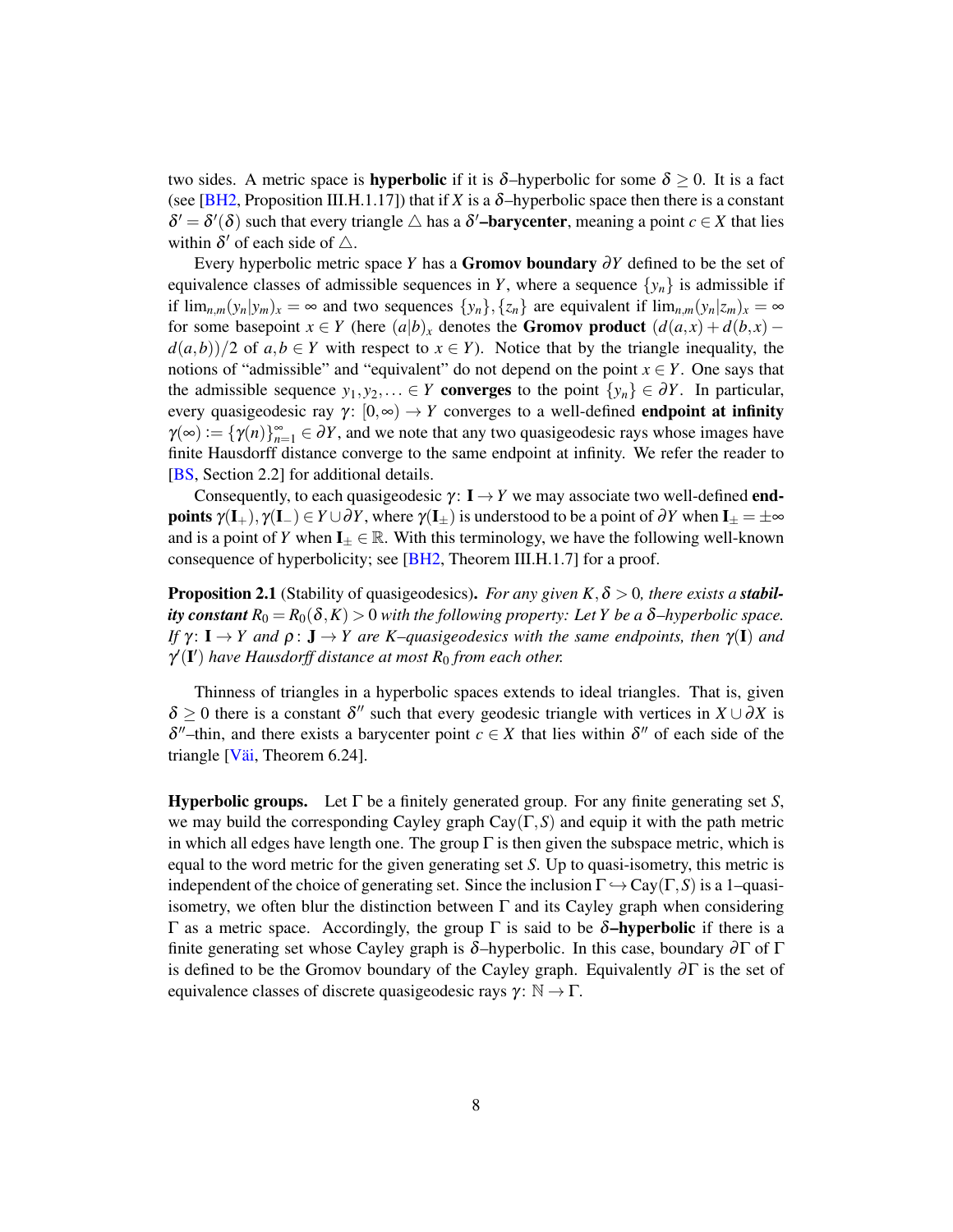two sides. A metric space is **hyperbolic** if it is  $\delta$ -hyperbolic for some  $\delta \geq 0$ . It is a fact (see [\[BH2,](#page-48-6) Proposition III.H.1.17]) that if *X* is a  $\delta$ -hyperbolic space then there is a constant  $\delta' = \delta'(\delta)$  such that every triangle  $\triangle$  has a  $\delta'$ **-barycenter**, meaning a point  $c \in X$  that lies within  $\delta'$  of each side of  $\triangle$ .

Every hyperbolic metric space *Y* has a Gromov boundary ∂*Y* defined to be the set of equivalence classes of admissible sequences in *Y*, where a sequence  $\{y_n\}$  is admissible if if  $\lim_{n,m}(y_n|y_m)_x = \infty$  and two sequences  $\{y_n\}, \{z_n\}$  are equivalent if  $\lim_{n,m}(y_n|z_m)_x = \infty$ for some basepoint  $x \in Y$  (here  $(a|b)_x$  denotes the **Gromov product**  $(d(a,x) + d(b,x)$  $d(a,b)/2$  of  $a,b \in Y$  with respect to  $x \in Y$ ). Notice that by the triangle inequality, the notions of "admissible" and "equivalent" do not depend on the point  $x \in Y$ . One says that the admissible sequence  $y_1, y_2, \ldots \in Y$  converges to the point  $\{y_n\} \in \partial Y$ . In particular, every quasigeodesic ray  $\gamma$ :  $[0, \infty) \rightarrow Y$  converges to a well-defined **endpoint at infinity**  $\gamma(\infty) := {\gamma(n)}_{n=1}^{\infty} \in \partial Y$ , and we note that any two quasigeodesic rays whose images have finite Hausdorff distance converge to the same endpoint at infinity. We refer the reader to [\[BS,](#page-48-7) Section 2.2] for additional details.

Consequently, to each quasigeodesic  $\gamma: I \rightarrow Y$  we may associate two well-defined **endpoints**  $\gamma(\mathbf{I}_{+}), \gamma(\mathbf{I}_{-}) \in Y \cup \partial Y$ , where  $\gamma(\mathbf{I}_{+})$  is understood to be a point of  $\partial Y$  when  $\mathbf{I}_{\pm} = \pm \infty$ and is a point of *Y* when  $I_{\pm} \in \mathbb{R}$ . With this terminology, we have the following well-known consequence of hyperbolicity; see [\[BH2,](#page-48-6) Theorem III.H.1.7] for a proof.

<span id="page-7-0"></span>**Proposition 2.1** (Stability of quasigeodesics). *For any given K*,  $\delta > 0$ , *there exists a stability constant*  $R_0 = R_0(\delta, K) > 0$  *with the following property: Let Y be a*  $\delta$ -*hyperbolic space. If*  $\gamma: I \to Y$  *and*  $\rho: J \to Y$  are K–quasigeodesics with the same endpoints, then  $\gamma(I)$  *and*  $\gamma'(\mathbf{I}')$  have Hausdorff distance at most  $R_0$  from each other.

Thinness of triangles in a hyperbolic spaces extends to ideal triangles. That is, given  $\delta \geq 0$  there is a constant  $\delta''$  such that every geodesic triangle with vertices in  $X \cup \partial X$  is  $\delta''$ -thin, and there exists a barycenter point  $c \in X$  that lies within  $\delta''$  of each side of the triangle [\[Väi,](#page-49-5) Theorem 6.24].

Hyperbolic groups. Let Γ be a finitely generated group. For any finite generating set *S*, we may build the corresponding Cayley graph  $Cay(\Gamma, S)$  and equip it with the path metric in which all edges have length one. The group  $\Gamma$  is then given the subspace metric, which is equal to the word metric for the given generating set *S*. Up to quasi-isometry, this metric is independent of the choice of generating set. Since the inclusion  $\Gamma \hookrightarrow Cay(\Gamma, S)$  is a 1–quasiisometry, we often blur the distinction between  $\Gamma$  and its Cayley graph when considering Γ as a metric space. Accordingly, the group Γ is said to be  $\delta$ -hyperbolic if there is a finite generating set whose Cayley graph is  $\delta$ –hyperbolic. In this case, boundary  $\partial \Gamma$  of  $\Gamma$ is defined to be the Gromov boundary of the Cayley graph. Equivalently  $\partial \Gamma$  is the set of equivalence classes of discrete quasigeodesic rays  $\gamma: \mathbb{N} \to \Gamma$ .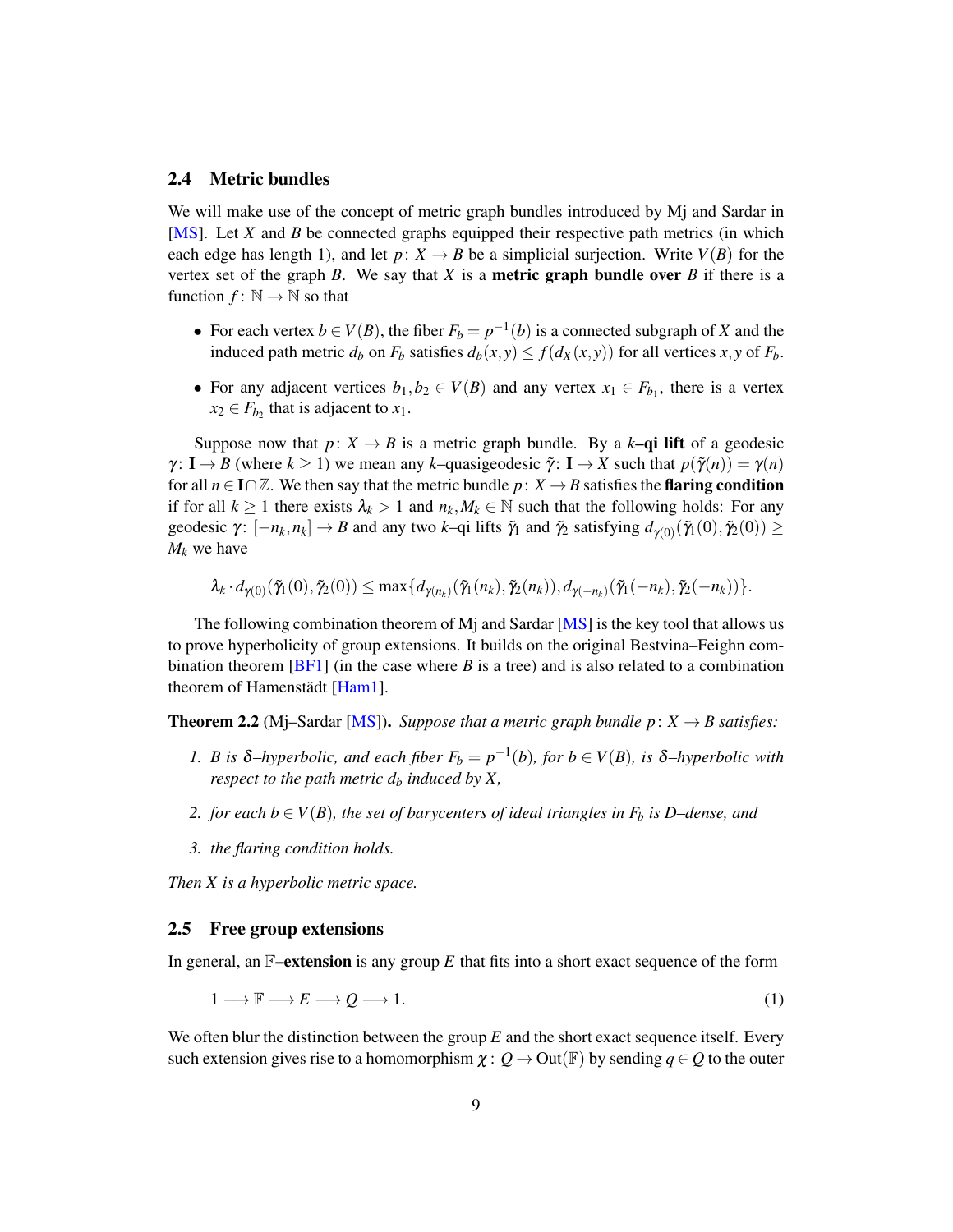### <span id="page-8-1"></span>2.4 Metric bundles

We will make use of the concept of metric graph bundles introduced by Mj and Sardar in [\[MS\]](#page-49-4). Let *X* and *B* be connected graphs equipped their respective path metrics (in which each edge has length 1), and let  $p: X \to B$  be a simplicial surjection. Write  $V(B)$  for the vertex set of the graph *B*. We say that *X* is a **metric graph bundle over** *B* if there is a function  $f: \mathbb{N} \to \mathbb{N}$  so that

- For each vertex  $b \in V(B)$ , the fiber  $F_b = p^{-1}(b)$  is a connected subgraph of *X* and the induced path metric  $d_b$  on  $F_b$  satisfies  $d_b(x, y) \le f(d_x(x, y))$  for all vertices  $x, y$  of  $F_b$ .
- For any adjacent vertices  $b_1, b_2 \in V(B)$  and any vertex  $x_1 \in F_{b_1}$ , there is a vertex  $x_2 \in F_{b_2}$  that is adjacent to  $x_1$ .

Suppose now that  $p: X \to B$  is a metric graph bundle. By a  $k$ –qi lift of a geodesic  $\gamma: I \to B$  (where  $k \ge 1$ ) we mean any *k*–quasigeodesic  $\tilde{\gamma}: I \to X$  such that  $p(\tilde{\gamma}(n)) = \gamma(n)$ for all  $n \in I \cap \mathbb{Z}$ . We then say that the metric bundle  $p: X \to B$  satisfies the **flaring condition** if for all  $k \ge 1$  there exists  $\lambda_k > 1$  and  $n_k, M_k \in \mathbb{N}$  such that the following holds: For any geodesic  $\gamma: [-n_k, n_k] \to B$  and any two *k*-qi lifts  $\tilde{\gamma}_1$  and  $\tilde{\gamma}_2$  satisfying  $d_{\gamma(0)}(\tilde{\gamma}_1(0), \tilde{\gamma}_2(0)) \ge$  $M_k$  we have

$$
\lambda_k \cdot d_{\gamma(0)}(\tilde{\gamma}_1(0), \tilde{\gamma}_2(0)) \leq \max\{d_{\gamma(n_k)}(\tilde{\gamma}_1(n_k), \tilde{\gamma}_2(n_k)), d_{\gamma(-n_k)}(\tilde{\gamma}_1(-n_k), \tilde{\gamma}_2(-n_k))\}.
$$

The following combination theorem of Mj and Sardar [\[MS\]](#page-49-4) is the key tool that allows us to prove hyperbolicity of group extensions. It builds on the original Bestvina–Feighn combination theorem  $[BF1]$  (in the case where *B* is a tree) and is also related to a combination theorem of Hamenstädt [\[Ham1\]](#page-48-1).

<span id="page-8-3"></span>**Theorem 2.2** (Mj–Sardar [\[MS\]](#page-49-4)). *Suppose that a metric graph bundle p*:  $X \rightarrow B$  *satisfies:* 

- *1. B* is  $\delta$ -hyperbolic, and each fiber  $F_b = p^{-1}(b)$ , for  $b \in V(B)$ , is  $\delta$ -hyperbolic with *respect to the path metric*  $d_b$  *induced by X,*
- *2. for each b* ∈ *V*(*B*)*, the set of barycenters of ideal triangles in*  $F<sub>b</sub>$  *<i>is D*–*dense, and*
- *3. the flaring condition holds.*

*Then X is a hyperbolic metric space.*

### <span id="page-8-0"></span>2.5 Free group extensions

In general, an  $\mathbb{F}-$ **extension** is any group  $E$  that fits into a short exact sequence of the form

<span id="page-8-2"></span>
$$
1 \longrightarrow \mathbb{F} \longrightarrow E \longrightarrow Q \longrightarrow 1. \tag{1}
$$

We often blur the distinction between the group *E* and the short exact sequence itself. Every such extension gives rise to a homomorphism  $\chi: Q \to \text{Out}(\mathbb{F})$  by sending  $q \in Q$  to the outer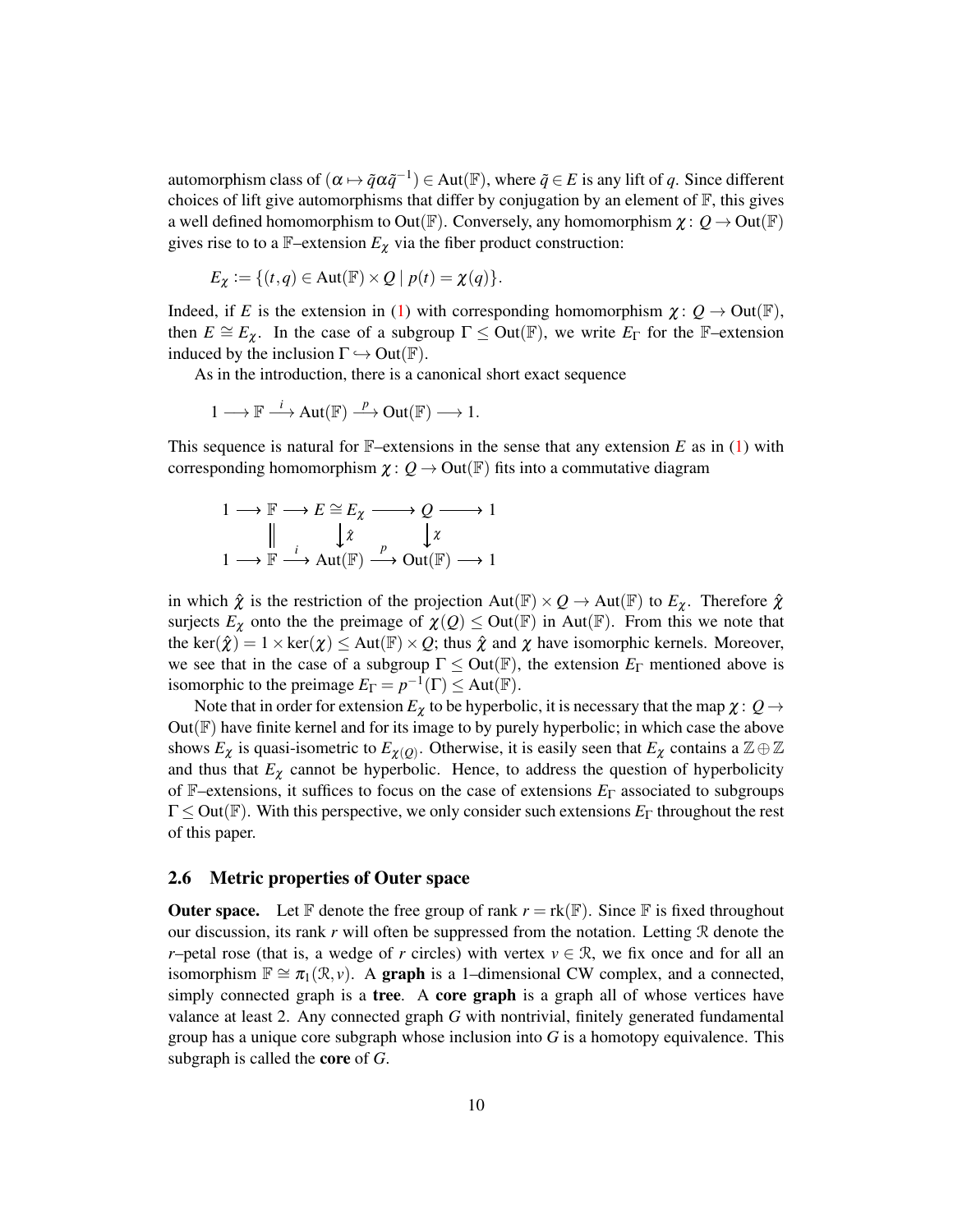automorphism class of  $(\alpha \mapsto \tilde{q} \alpha \tilde{q}^{-1}) \in$  Aut $(\mathbb{F})$ , where  $\tilde{q} \in E$  is any lift of  $q$ . Since different choices of lift give automorphisms that differ by conjugation by an element of  $\mathbb{F}$ , this gives a well defined homomorphism to Out( $\mathbb{F}$ ). Conversely, any homomorphism  $\chi: Q \to \text{Out}(\mathbb{F})$ gives rise to to a  $\mathbb{F}-$ extension  $E_{\chi}$  via the fiber product construction:

$$
E_{\chi} := \{ (t,q) \in \text{Aut}(\mathbb{F}) \times Q \mid p(t) = \chi(q) \}.
$$

Indeed, if *E* is the extension in [\(1\)](#page-8-2) with corresponding homomorphism  $\chi: Q \to \text{Out}(\mathbb{F})$ , then  $E \cong E_{\chi}$ . In the case of a subgroup  $\Gamma \leq$  Out( $\mathbb{F}$ ), we write  $E_{\Gamma}$  for the  $\mathbb{F}-$ extension induced by the inclusion  $\Gamma \hookrightarrow$  Out(F).

As in the introduction, there is a canonical short exact sequence

$$
1 \longrightarrow \mathbb{F} \stackrel{i}{\longrightarrow} Aut(\mathbb{F}) \stackrel{p}{\longrightarrow} Out(\mathbb{F}) \longrightarrow 1.
$$

This sequence is natural for F–extensions in the sense that any extension *E* as in [\(1\)](#page-8-2) with corresponding homomorphism  $\chi: Q \to \text{Out}(\mathbb{F})$  fits into a commutative diagram

$$
1 \longrightarrow \mathbb{F} \longrightarrow E \cong E_{\chi} \longrightarrow Q \longrightarrow 1
$$

$$
\parallel \qquad \downarrow \hat{\chi} \qquad \downarrow \chi
$$

$$
1 \longrightarrow \mathbb{F} \longrightarrow \text{Aut}(\mathbb{F}) \longrightarrow \text{Out}(\mathbb{F}) \longrightarrow 1
$$

in which  $\hat{\chi}$  is the restriction of the projection  $Aut(\mathbb{F}) \times Q \to Aut(\mathbb{F})$  to  $E_{\chi}$ . Therefore  $\hat{\chi}$ surjects  $E_{\chi}$  onto the the preimage of  $\chi(Q) \leq$  Out(F) in Aut(F). From this we note that the ker( $\hat{\chi}$ ) = 1 × ker( $\chi$ )  $\leq$  Aut( $\mathbb{F}$ ) × Q; thus  $\hat{\chi}$  and  $\chi$  have isomorphic kernels. Moreover, we see that in the case of a subgroup  $\Gamma \leq Out(\mathbb{F})$ , the extension  $E_{\Gamma}$  mentioned above is isomorphic to the preimage  $E_{\Gamma} = p^{-1}(\Gamma) \le \text{Aut}(\mathbb{F})$ .

Note that in order for extension  $E_{\chi}$  to be hyperbolic, it is necessary that the map  $\chi: Q \rightarrow$  $Out(\mathbb{F})$  have finite kernel and for its image to by purely hyperbolic; in which case the above shows  $E_{\chi}$  is quasi-isometric to  $E_{\chi}(Q)$ . Otherwise, it is easily seen that  $E_{\chi}$  contains a  $\mathbb{Z} \oplus \mathbb{Z}$ and thus that  $E<sub>\chi</sub>$  cannot be hyperbolic. Hence, to address the question of hyperbolicity of F–extensions, it suffices to focus on the case of extensions *E*<sup>Γ</sup> associated to subgroups Γ ≤ Out(F). With this perspective, we only consider such extensions *E*<sup>Γ</sup> throughout the rest of this paper.

#### <span id="page-9-0"></span>2.6 Metric properties of Outer space

**Outer space.** Let F denote the free group of rank  $r = \text{rk}(\mathbb{F})$ . Since F is fixed throughout our discussion, its rank  $r$  will often be suppressed from the notation. Letting  $R$  denote the *r*–petal rose (that is, a wedge of *r* circles) with vertex *v* ∈ R, we fix once and for all an isomorphism  $\mathbb{F} \cong \pi_1(\mathcal{R}, v)$ . A **graph** is a 1–dimensional CW complex, and a connected, simply connected graph is a tree. A core graph is a graph all of whose vertices have valance at least 2. Any connected graph *G* with nontrivial, finitely generated fundamental group has a unique core subgraph whose inclusion into *G* is a homotopy equivalence. This subgraph is called the core of *G*.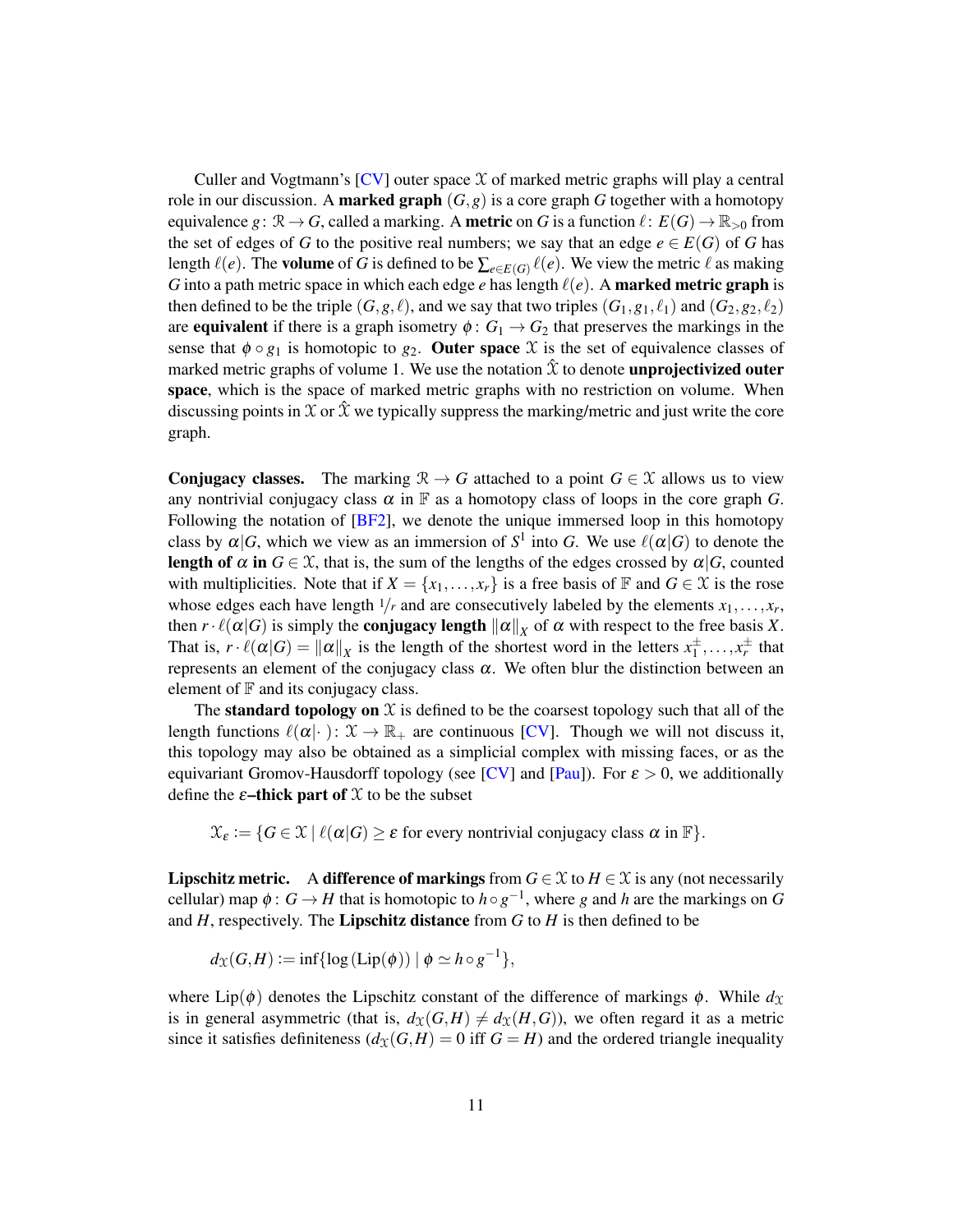Culler and Vogtmann's  $[CV]$  outer space  $X$  of marked metric graphs will play a central role in our discussion. A **marked graph**  $(G, g)$  is a core graph *G* together with a homotopy equivalence  $g: \mathbb{R} \to G$ , called a marking. A **metric** on *G* is a function  $\ell: E(G) \to \mathbb{R}_{>0}$  from the set of edges of *G* to the positive real numbers; we say that an edge  $e \in E(G)$  of *G* has length  $\ell(e)$ . The **volume** of *G* is defined to be  $\sum_{e \in E(G)} \ell(e)$ . We view the metric  $\ell$  as making *G* into a path metric space in which each edge *e* has length  $\ell(e)$ . A **marked metric graph** is then defined to be the triple  $(G, g, \ell)$ , and we say that two triples  $(G_1, g_1, \ell_1)$  and  $(G_2, g_2, \ell_2)$ are **equivalent** if there is a graph isometry  $\phi$  :  $G_1 \rightarrow G_2$  that preserves the markings in the sense that  $\phi \circ g_1$  is homotopic to  $g_2$ . Outer space X is the set of equivalence classes of marked metric graphs of volume 1. We use the notation  $\hat{x}$  to denote **unprojectivized outer** space, which is the space of marked metric graphs with no restriction on volume. When discussing points in X or  $\hat{x}$  we typically suppress the marking/metric and just write the core graph.

**Conjugacy classes.** The marking  $\mathcal{R} \to G$  attached to a point  $G \in \mathcal{X}$  allows us to view any nontrivial conjugacy class  $\alpha$  in  $\mathbb F$  as a homotopy class of loops in the core graph *G*. Following the notation of [\[BF2\]](#page-47-1), we denote the unique immersed loop in this homotopy class by  $\alpha|G$ , which we view as an immersion of  $S^1$  into G. We use  $\ell(\alpha|G)$  to denote the **length of**  $\alpha$  **in**  $G \in \mathcal{X}$ , that is, the sum of the lengths of the edges crossed by  $\alpha | G$ , counted with multiplicities. Note that if  $X = \{x_1, \ldots, x_r\}$  is a free basis of  $\mathbb F$  and  $G \in \mathcal X$  is the rose whose edges each have length  $1/r$  and are consecutively labeled by the elements  $x_1, \ldots, x_r$ , then  $r \cdot \ell(\alpha|G)$  is simply the **conjugacy length**  $\|\alpha\|_X$  of  $\alpha$  with respect to the free basis *X*. That is,  $r \cdot \ell(\alpha|G) = ||\alpha||_X$  is the length of the shortest word in the letters  $x_1^{\pm}$  $x_1^{\pm}, \ldots, x_r^{\pm}$  that represents an element of the conjugacy class  $\alpha$ . We often blur the distinction between an element of  $\mathbb F$  and its conjugacy class.

The **standard topology on**  $X$  is defined to be the coarsest topology such that all of the length functions  $\ell(\alpha|\cdot): \mathcal{X} \to \mathbb{R}_+$  are continuous [\[CV\]](#page-48-8). Though we will not discuss it, this topology may also be obtained as a simplicial complex with missing faces, or as the equivariant Gromov-Hausdorff topology (see [\[CV\]](#page-48-8) and [\[Pau\]](#page-49-6)). For  $\varepsilon > 0$ , we additionally define the  $\varepsilon$ -thick part of  $\mathfrak X$  to be the subset

 $\mathfrak{X}_{\varepsilon} := \{ G \in \mathfrak{X} \mid \ell(\alpha|G) \geq \varepsilon \text{ for every nontrivial conjugacy class } \alpha \text{ in } \mathbb{F} \}.$ 

**Lipschitz metric.** A difference of markings from  $G \in \mathcal{X}$  to  $H \in \mathcal{X}$  is any (not necessarily cellular) map  $\phi: G \to H$  that is homotopic to  $h \circ g^{-1}$ , where *g* and *h* are the markings on *G* and  $H$ , respectively. The **Lipschitz distance** from  $G$  to  $H$  is then defined to be

$$
d_{\mathfrak{X}}(G,H) \mathrel{\mathop:}= \inf \{ \log(\mathrm{Lip}(\phi)) \mid \phi \simeq h \circ g^{-1} \},
$$

where Lip( $\phi$ ) denotes the Lipschitz constant of the difference of markings  $\phi$ . While  $d_{\mathfrak{X}}$ is in general asymmetric (that is,  $d_{\mathfrak{X}}(G,H) \neq d_{\mathfrak{X}}(H,G)$ ), we often regard it as a metric since it satisfies definiteness  $(d_X(G,H) = 0$  iff  $G = H)$  and the ordered triangle inequality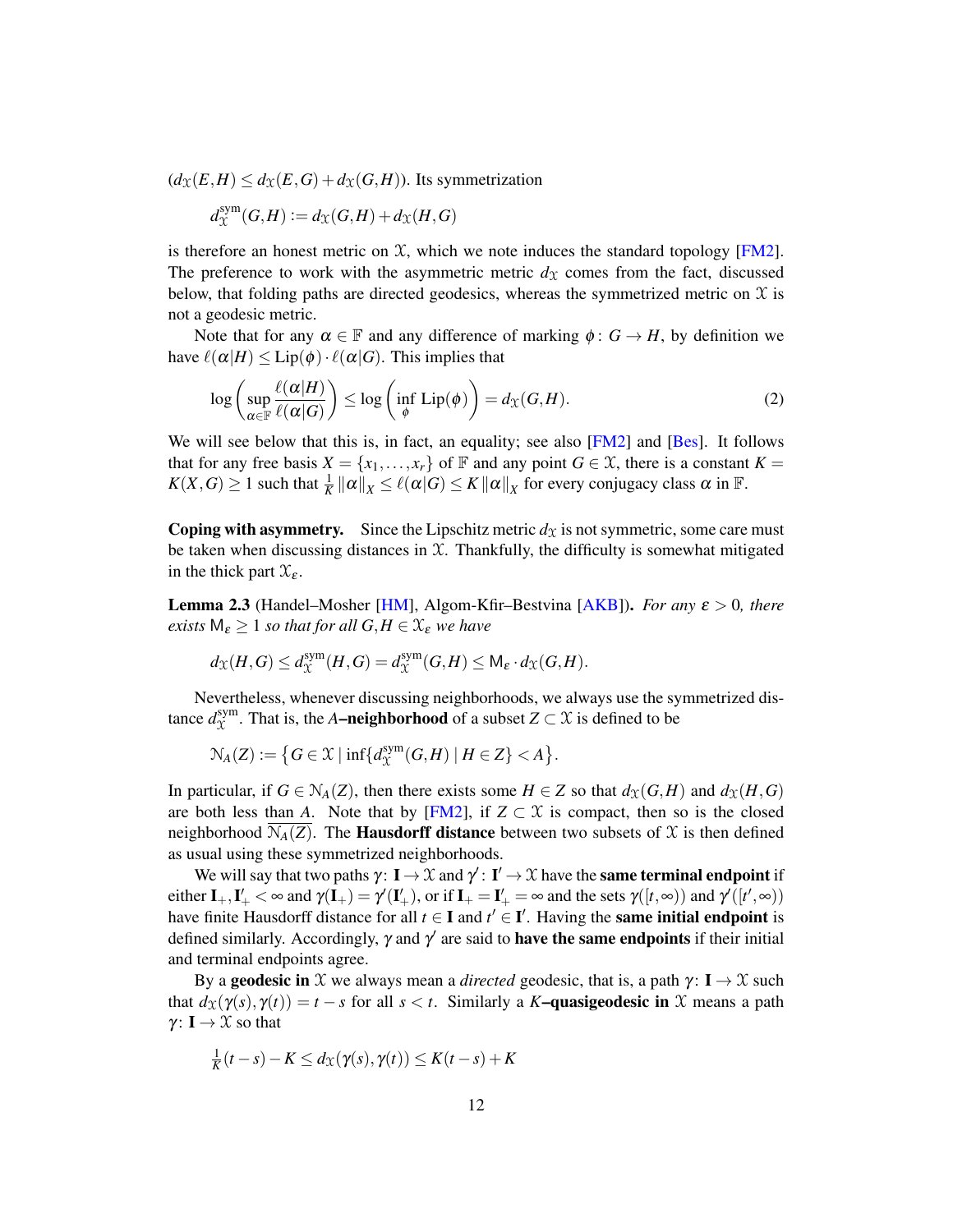$(d_{\mathfrak{X}}(E,H) \leq d_{\mathfrak{X}}(E,G) + d_{\mathfrak{X}}(G,H))$ . Its symmetrization

$$
d_{\mathcal{X}}^{\text{sym}}(G,H) := d_{\mathcal{X}}(G,H) + d_{\mathcal{X}}(H,G)
$$

is therefore an honest metric on  $X$ , which we note induces the standard topology [\[FM2\]](#page-48-9). The preference to work with the asymmetric metric  $d<sub>X</sub>$  comes from the fact, discussed below, that folding paths are directed geodesics, whereas the symmetrized metric on  $\mathcal X$  is not a geodesic metric.

Note that for any  $\alpha \in \mathbb{F}$  and any difference of marking  $\phi: G \to H$ , by definition we have  $\ell(\alpha|H) \le \text{Lip}(\phi) \cdot \ell(\alpha|G)$ . This implies that

<span id="page-11-0"></span>
$$
\log\left(\sup_{\alpha\in\mathbb{F}}\frac{\ell(\alpha|H)}{\ell(\alpha|G)}\right)\leq \log\left(\inf_{\phi}\text{Lip}(\phi)\right)=d_{\mathfrak{X}}(G,H). \tag{2}
$$

We will see below that this is, in fact, an equality; see also  $[FM2]$  and  $[Bes]$ . It follows that for any free basis  $X = \{x_1, \ldots, x_r\}$  of  $\mathbb F$  and any point  $G \in \mathcal X$ , there is a constant  $K =$  $K(X, G) \ge 1$  such that  $\frac{1}{K} ||\alpha||_X \le \ell(\alpha|G) \le K ||\alpha||_X$  for every conjugacy class  $\alpha$  in  $\mathbb{F}$ .

**Coping with asymmetry.** Since the Lipschitz metric  $d_X$  is not symmetric, some care must be taken when discussing distances in  $X$ . Thankfully, the difficulty is somewhat mitigated in the thick part  $\mathfrak{X}_{\varepsilon}$ .

<span id="page-11-1"></span>Lemma 2.3 (Handel–Mosher [\[HM\]](#page-48-10), Algom-Kfir–Bestvina [\[AKB\]](#page-47-3)). *For any* ε > 0*, there exists*  $M_{\epsilon} \geq 1$  *so that for all*  $G, H \in \mathcal{X}_{\epsilon}$  *we have* 

$$
d_{\mathfrak{X}}(H,G) \leq d_{\mathfrak{X}}^{\textrm{sym}}(H,G) = d_{\mathfrak{X}}^{\textrm{sym}}(G,H) \leq \mathsf{M}_{\varepsilon} \cdot d_{\mathfrak{X}}(G,H).
$$

Nevertheless, whenever discussing neighborhoods, we always use the symmetrized distance  $d_{\Upsilon}^{\text{sym}}$  $X^{\text{sym}}$ . That is, the *A***–neighborhood** of a subset  $Z \subset \mathcal{X}$  is defined to be

$$
\mathcal{N}_A(Z) := \left\{ G \in \mathcal{X} \mid \inf \{ d_{\mathcal{X}}^{\text{sym}}(G, H) \mid H \in Z \} < A \right\}.
$$

In particular, if  $G \in N_A(Z)$ , then there exists some  $H \in Z$  so that  $d_X(G,H)$  and  $d_X(H,G)$ are both less than *A*. Note that by [\[FM2\]](#page-48-9), if  $Z \subset \mathcal{X}$  is compact, then so is the closed neighborhood  $N_A(Z)$ . The **Hausdorff distance** between two subsets of X is then defined as usual using these symmetrized neighborhoods.

We will say that two paths  $\gamma\colon I\to \mathfrak X$  and  $\gamma'\colon I'\to \mathfrak X$  have the **same terminal endpoint** if either  $I_+, I'_+ < \infty$  and  $\gamma(I_+) = \gamma'(I'_+),$  or if  $I_+ = I'_+ = \infty$  and the sets  $\gamma([t, \infty))$  and  $\gamma'([t', \infty))$ have finite Hausdorff distance for all  $t \in I$  and  $t' \in I'$ . Having the **same initial endpoint** is defined similarly. Accordingly,  $\gamma$  and  $\gamma'$  are said to **have the same endpoints** if their initial and terminal endpoints agree.

By a **geodesic in** X we always mean a *directed* geodesic, that is, a path  $\gamma: I \to X$  such that  $d_X(\gamma(s), \gamma(t)) = t - s$  for all  $s < t$ . Similarly a *K***–quasigeodesic in** X means a path γ: **I**  $\rightarrow$  X so that

$$
\frac{1}{K}(t-s) - K \leq d_{\mathcal{X}}(\gamma(s), \gamma(t)) \leq K(t-s) + K
$$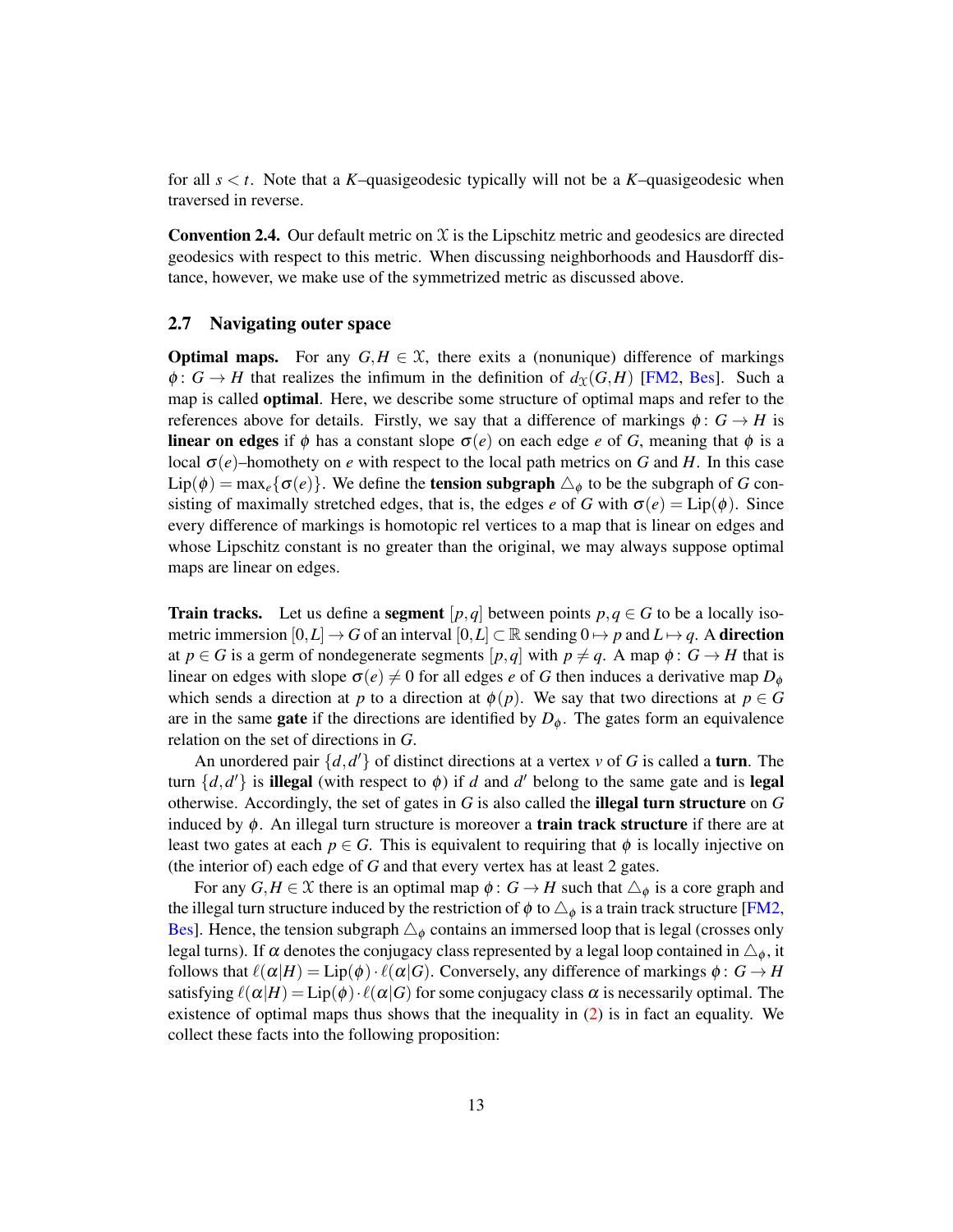for all *s* < *t*. Note that a *K*–quasigeodesic typically will not be a *K*–quasigeodesic when traversed in reverse.

**Convention 2.4.** Our default metric on  $\mathcal X$  is the Lipschitz metric and geodesics are directed geodesics with respect to this metric. When discussing neighborhoods and Hausdorff distance, however, we make use of the symmetrized metric as discussed above.

## 2.7 Navigating outer space

**Optimal maps.** For any  $G, H \in \mathcal{X}$ , there exits a (nonunique) difference of markings  $\phi: G \to H$  that realizes the infimum in the definition of  $d_X(G,H)$  [\[FM2,](#page-48-9) [Bes\]](#page-47-2). Such a map is called **optimal**. Here, we describe some structure of optimal maps and refer to the references above for details. Firstly, we say that a difference of markings  $\phi : G \to H$  is **linear on edges** if  $\phi$  has a constant slope  $\sigma(e)$  on each edge *e* of *G*, meaning that  $\phi$  is a local  $σ(e)$ –homothety on *e* with respect to the local path metrics on *G* and *H*. In this case  $Lip(\phi) = \max_{e} {\{\sigma(e)\}}$ . We define the **tension subgraph**  $\triangle_{\phi}$  to be the subgraph of *G* consisting of maximally stretched edges, that is, the edges *e* of *G* with  $\sigma(e) = \text{Lip}(\phi)$ . Since every difference of markings is homotopic rel vertices to a map that is linear on edges and whose Lipschitz constant is no greater than the original, we may always suppose optimal maps are linear on edges.

**Train tracks.** Let us define a **segment**  $[p,q]$  between points  $p,q \in G$  to be a locally isometric immersion  $[0,L] \to G$  of an interval  $[0,L] \subset \mathbb{R}$  sending  $0 \to p$  and  $L \to q$ . A **direction** at  $p \in G$  is a germ of nondegenerate segments  $[p,q]$  with  $p \neq q$ . A map  $\phi: G \rightarrow H$  that is linear on edges with slope  $\sigma(e) \neq 0$  for all edges *e* of *G* then induces a derivative map  $D_{\phi}$ which sends a direction at *p* to a direction at  $\phi(p)$ . We say that two directions at  $p \in G$ are in the same **gate** if the directions are identified by  $D_{\phi}$ . The gates form an equivalence relation on the set of directions in *G*.

An unordered pair  $\{d, d'\}$  of distinct directions at a vertex *v* of *G* is called a turn. The turn  $\{d, d'\}$  is **illegal** (with respect to  $\phi$ ) if *d* and *d'* belong to the same gate and is **legal** otherwise. Accordingly, the set of gates in *G* is also called the illegal turn structure on *G* induced by  $\phi$ . An illegal turn structure is moreover a **train track structure** if there are at least two gates at each  $p \in G$ . This is equivalent to requiring that  $\phi$  is locally injective on (the interior of) each edge of *G* and that every vertex has at least 2 gates.

<span id="page-12-0"></span>For any  $G, H \in \mathcal{X}$  there is an optimal map  $\phi : G \to H$  such that  $\triangle_{\phi}$  is a core graph and the illegal turn structure induced by the restriction of  $\phi$  to  $\triangle_{\phi}$  is a train track structure [\[FM2,](#page-48-9) [Bes\]](#page-47-2). Hence, the tension subgraph  $\Delta_{\phi}$  contains an immersed loop that is legal (crosses only legal turns). If  $\alpha$  denotes the conjugacy class represented by a legal loop contained in  $\triangle_{\phi}$ , it follows that  $\ell(\alpha|H) = \text{Lip}(\phi) \cdot \ell(\alpha|G)$ . Conversely, any difference of markings  $\phi: G \to H$ satisfying  $\ell(\alpha|H) = \text{Lip}(\phi) \cdot \ell(\alpha|G)$  for some conjugacy class  $\alpha$  is necessarily optimal. The existence of optimal maps thus shows that the inequality in [\(2\)](#page-11-0) is in fact an equality. We collect these facts into the following proposition: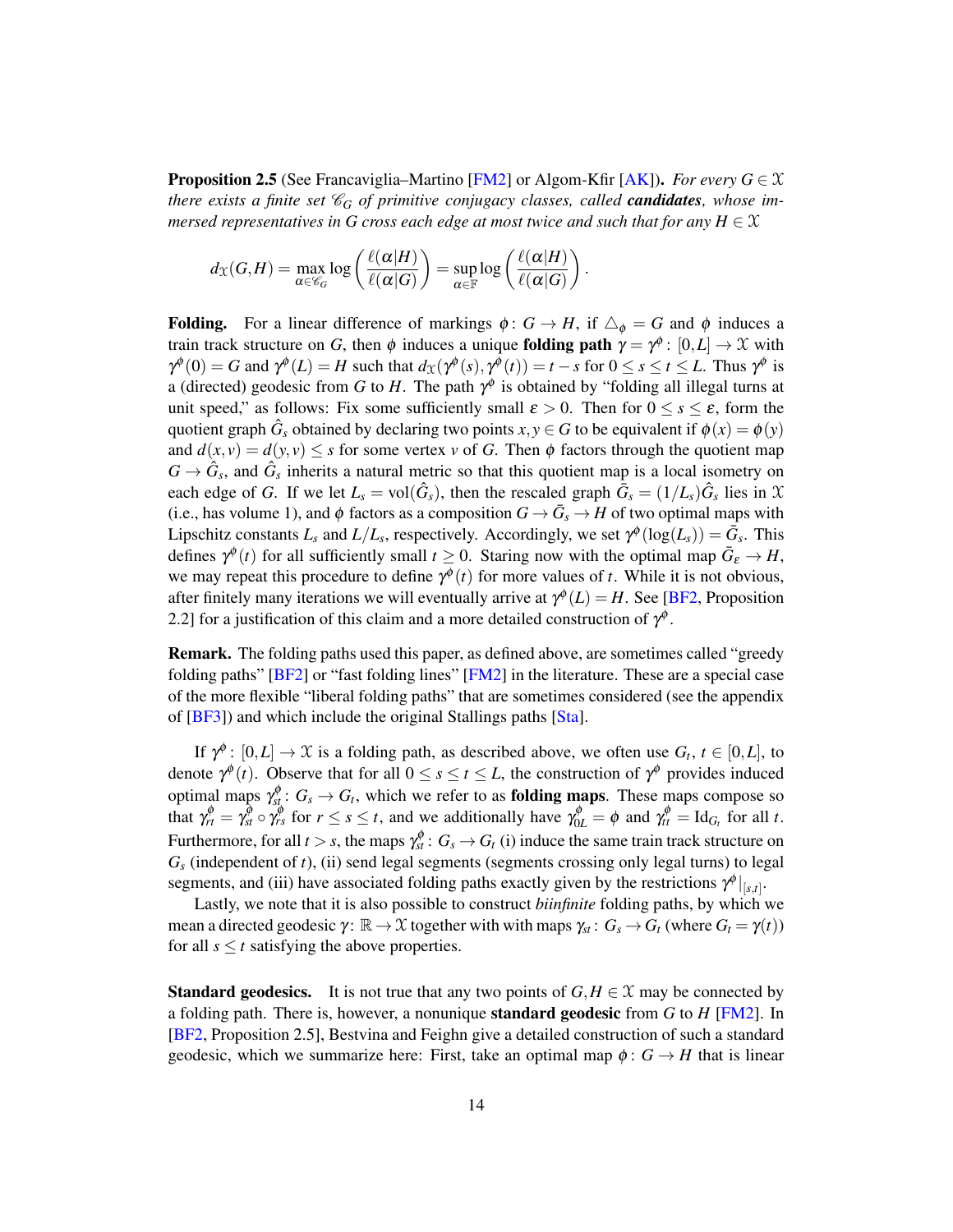**Proposition 2.5** (See Francaviglia–Martino [\[FM2\]](#page-48-9) or Algom-Kfir [\[AK\]](#page-47-4)). *For every G*  $\in \mathcal{X}$ *there exists a finite set*  $\mathcal{C}_G$  *of primitive conjugacy classes, called candidates, whose immersed representatives in G cross each edge at most twice and such that for any H*  $\in$   $\mathcal{X}$ 

$$
d_{\mathfrak{X}}(G,H) = \max_{\alpha \in \mathscr{C}_G} \log \left( \frac{\ell(\alpha|H)}{\ell(\alpha|G)} \right) = \sup_{\alpha \in \mathbb{F}} \log \left( \frac{\ell(\alpha|H)}{\ell(\alpha|G)} \right).
$$

**Folding.** For a linear difference of markings  $\phi: G \to H$ , if  $\Delta_{\phi} = G$  and  $\phi$  induces a train track structure on *G*, then  $\phi$  induces a unique **folding path**  $\gamma = \gamma^{\phi}$ :  $[0, L] \rightarrow \mathcal{X}$  with  $\gamma^{\phi}(0) = G$  and  $\gamma^{\phi}(L) = H$  such that  $d_{\mathfrak{X}}(\gamma^{\phi}(s), \gamma^{\phi}(t)) = t - s$  for  $0 \le s \le t \le L$ . Thus  $\gamma^{\phi}$  is a (directed) geodesic from *G* to *H*. The path  $\gamma^{\phi}$  is obtained by "folding all illegal turns at unit speed," as follows: Fix some sufficiently small  $\varepsilon > 0$ . Then for  $0 \leq s \leq \varepsilon$ , form the quotient graph  $\hat{G}_s$  obtained by declaring two points  $x, y \in G$  to be equivalent if  $\phi(x) = \phi(y)$ and  $d(x, y) = d(y, y) \leq s$  for some vertex *v* of *G*. Then  $\phi$  factors through the quotient map  $G \rightarrow \hat{G}_s$ , and  $\hat{G}_s$  inherits a natural metric so that this quotient map is a local isometry on each edge of *G*. If we let  $L_s = \text{vol}(\hat{G}_s)$ , then the rescaled graph  $\bar{G}_s = (1/L_s)\hat{G}_s$  lies in X (i.e., has volume 1), and  $\phi$  factors as a composition  $G \to \bar{G}_s \to H$  of two optimal maps with Lipschitz constants  $L_s$  and  $L/L_s$ , respectively. Accordingly, we set  $\gamma^{\phi}(\log(L_s)) = \bar{G}_s$ . This defines  $\gamma^{\phi}(t)$  for all sufficiently small  $t \geq 0$ . Staring now with the optimal map  $\bar{G}_{\varepsilon} \to H$ , we may repeat this procedure to define  $\gamma^{\phi}(t)$  for more values of *t*. While it is not obvious, after finitely many iterations we will eventually arrive at  $\gamma^{\phi}(L) = H$ . See [\[BF2,](#page-47-1) Proposition 2.2] for a justification of this claim and a more detailed construction of  $\gamma^{\phi}$ .

Remark. The folding paths used this paper, as defined above, are sometimes called "greedy folding paths" [\[BF2\]](#page-47-1) or "fast folding lines" [\[FM2\]](#page-48-9) in the literature. These are a special case of the more flexible "liberal folding paths" that are sometimes considered (see the appendix of [\[BF3\]](#page-47-5)) and which include the original Stallings paths [\[Sta\]](#page-49-7).

If  $\gamma^{\phi}$ :  $[0,L] \to \mathfrak{X}$  is a folding path, as described above, we often use  $G_t$ ,  $t \in [0,L]$ , to denote  $\gamma^{\phi}(t)$ . Observe that for all  $0 \le s \le t \le L$ , the construction of  $\gamma^{\phi}$  provides induced optimal maps  $\gamma_{st}^{\phi}: G_s \to G_t$ , which we refer to as **folding maps**. These maps compose so that  $\gamma_{rt}^{\phi} = \gamma_{st}^{\phi} \circ \gamma_{rs}^{\phi}$  for  $r \le s \le t$ , and we additionally have  $\gamma_{0L}^{\phi} = \phi$  and  $\gamma_{tt}^{\phi} = \text{Id}_{G_t}$  for all *t*. Furthermore, for all  $t > s$ , the maps  $\gamma_{st}^{\phi} : G_s \to G_t$  (i) induce the same train track structure on *G<sup>s</sup>* (independent of *t*), (ii) send legal segments (segments crossing only legal turns) to legal segments, and (iii) have associated folding paths exactly given by the restrictions  $\gamma^{\phi}|_{[s,t]}$ .

Lastly, we note that it is also possible to construct *biinfinite* folding paths, by which we mean a directed geodesic  $\gamma: \mathbb{R} \to \mathcal{X}$  together with with maps  $\gamma_{st}: G_s \to G_t$  (where  $G_t = \gamma(t)$ ) for all  $s \leq t$  satisfying the above properties.

**Standard geodesics.** It is not true that any two points of  $G, H \in \mathcal{X}$  may be connected by a folding path. There is, however, a nonunique standard geodesic from *G* to *H* [\[FM2\]](#page-48-9). In [\[BF2,](#page-47-1) Proposition 2.5], Bestvina and Feighn give a detailed construction of such a standard geodesic, which we summarize here: First, take an optimal map  $\phi: G \rightarrow H$  that is linear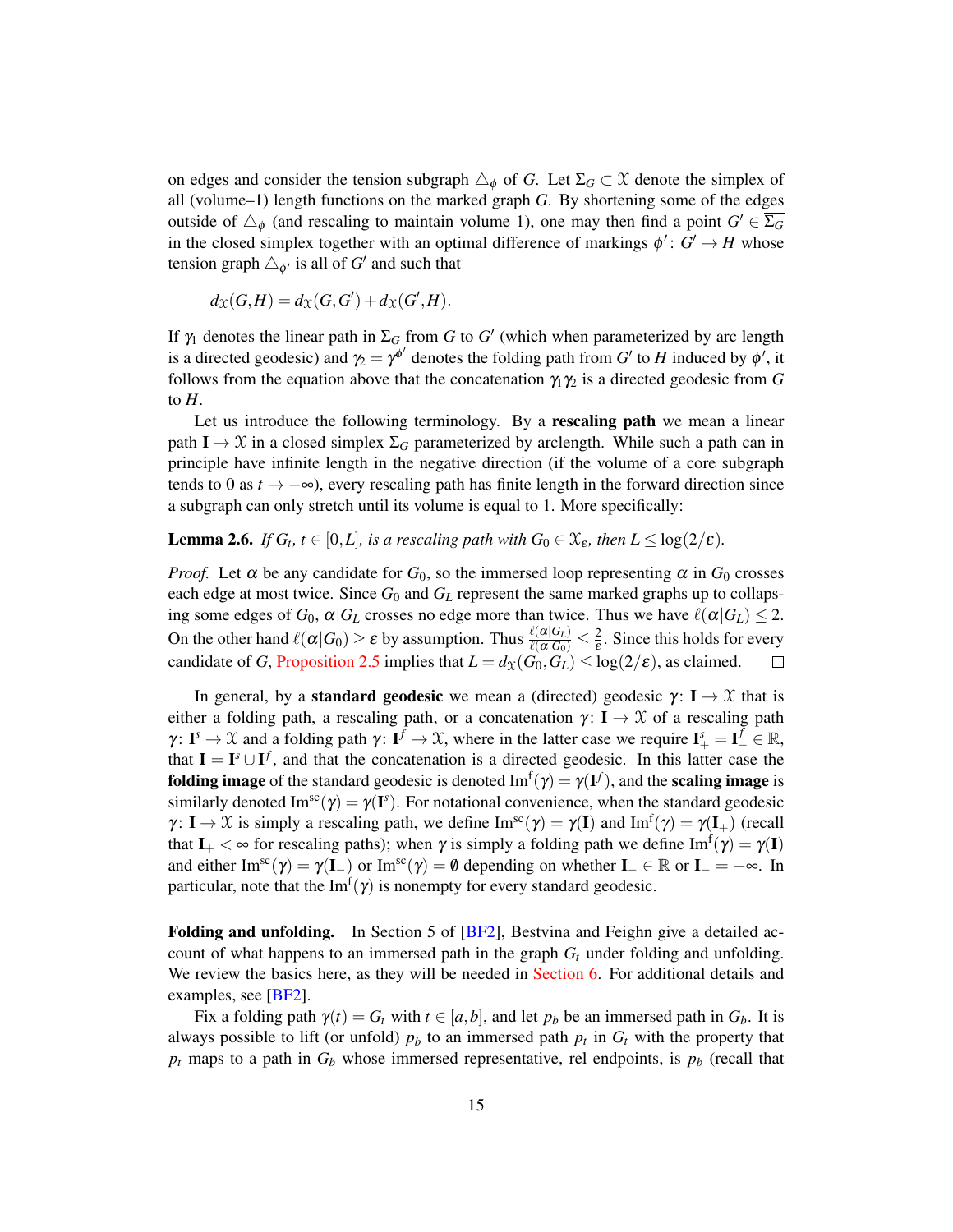on edges and consider the tension subgraph  $\Delta_{\phi}$  of *G*. Let  $\Sigma_G \subset \mathcal{X}$  denote the simplex of all (volume–1) length functions on the marked graph *G*. By shortening some of the edges outside of  $\triangle_{\phi}$  (and rescaling to maintain volume 1), one may then find a point  $G' \in \overline{\Sigma_G}$ in the closed simplex together with an optimal difference of markings  $\phi' : G' \to H$  whose tension graph  $\triangle_{\phi'}$  is all of *G*<sup> $\prime$ </sup> and such that

$$
d_{\mathfrak{X}}(G,H) = d_{\mathfrak{X}}(G,G') + d_{\mathfrak{X}}(G',H).
$$

If  $\gamma_1$  denotes the linear path in  $\overline{\Sigma_G}$  from *G* to *G'* (which when parameterized by arc length is a directed geodesic) and  $\gamma_2 = \gamma^{\phi'}$  denotes the folding path from *G'* to *H* induced by  $\phi'$ , it follows from the equation above that the concatenation  $\gamma_1 \gamma_2$  is a directed geodesic from G to *H*.

Let us introduce the following terminology. By a **rescaling path** we mean a linear path  $I \to \mathcal{X}$  in a closed simplex  $\overline{\Sigma_G}$  parameterized by arclength. While such a path can in principle have infinite length in the negative direction (if the volume of a core subgraph tends to 0 as  $t \to -\infty$ ), every rescaling path has finite length in the forward direction since a subgraph can only stretch until its volume is equal to 1. More specifically:

<span id="page-14-0"></span>**Lemma 2.6.** *If*  $G_t$ ,  $t \in [0, L]$ , is a rescaling path with  $G_0 \in \mathfrak{X}_{\epsilon}$ , then  $L \leq \log(2/\epsilon)$ .

*Proof.* Let  $\alpha$  be any candidate for  $G_0$ , so the immersed loop representing  $\alpha$  in  $G_0$  crosses each edge at most twice. Since  $G_0$  and  $G_L$  represent the same marked graphs up to collapsing some edges of  $G_0$ ,  $\alpha | G_L$  crosses no edge more than twice. Thus we have  $\ell(\alpha | G_L) \leq 2$ . On the other hand  $\ell(\alpha|G_0) \ge \varepsilon$  by assumption. Thus  $\frac{\ell(\alpha|G_L)}{\ell(\alpha|G_0)} \le \frac{2}{\varepsilon}$  $\frac{2}{\varepsilon}$ . Since this holds for every candidate of *G*, [Proposition 2.5](#page-12-0) implies that  $L = d_{\mathcal{X}}(G_0, G_L) \leq \log(2/\varepsilon)$ , as claimed.  $\Box$ 

In general, by a **standard geodesic** we mean a (directed) geodesic  $\gamma: I \to \mathcal{X}$  that is either a folding path, a rescaling path, or a concatenation  $\gamma: I \to \mathcal{X}$  of a rescaling path  $\gamma: \mathbf{I}^s \to \mathcal{X}$  and a folding path  $\gamma: \mathbf{I}^f \to \mathcal{X}$ , where in the latter case we require  $\mathbf{I}^s_+ = \mathbf{I}^f_- \in \mathbb{R}$ , that  $I = I^s \cup I^f$ , and that the concatenation is a directed geodesic. In this latter case the **folding image** of the standard geodesic is denoted  $\text{Im}^f(\gamma) = \gamma(\mathbf{I}^f)$ , and the **scaling image** is similarly denoted  $\text{Im}^{\text{sc}}(\gamma) = \gamma(\mathbf{I}^s)$ . For notational convenience, when the standard geodesic  $\gamma: I \to \mathfrak{X}$  is simply a rescaling path, we define  $\text{Im}^{\text{sc}}(\gamma) = \gamma(I)$  and  $\text{Im}^{\text{f}}(\gamma) = \gamma(I_+)$  (recall that  $I_+ < \infty$  for rescaling paths); when  $\gamma$  is simply a folding path we define  $\text{Im}^f(\gamma) = \gamma(I)$ and either Im<sup>sc</sup>(γ) =  $\gamma(I_{-})$  or Im<sup>sc</sup>(γ) = 0 depending on whether I<sub>-</sub>  $\in \mathbb{R}$  or I<sub>-</sub> =  $-\infty$ . In particular, note that the  $\text{Im}^f(\gamma)$  is nonempty for every standard geodesic.

Folding and unfolding. In Section 5 of [\[BF2\]](#page-47-1), Bestvina and Feighn give a detailed account of what happens to an immersed path in the graph  $G_t$  under folding and unfolding. We review the basics here, as they will be needed in [Section 6.](#page-31-0) For additional details and examples, see [\[BF2\]](#page-47-1).

Fix a folding path  $\gamma(t) = G_t$  with  $t \in [a, b]$ , and let  $p_b$  be an immersed path in  $G_b$ . It is always possible to lift (or unfold)  $p_b$  to an immersed path  $p_t$  in  $G_t$  with the property that  $p_t$  maps to a path in  $G_b$  whose immersed representative, rel endpoints, is  $p_b$  (recall that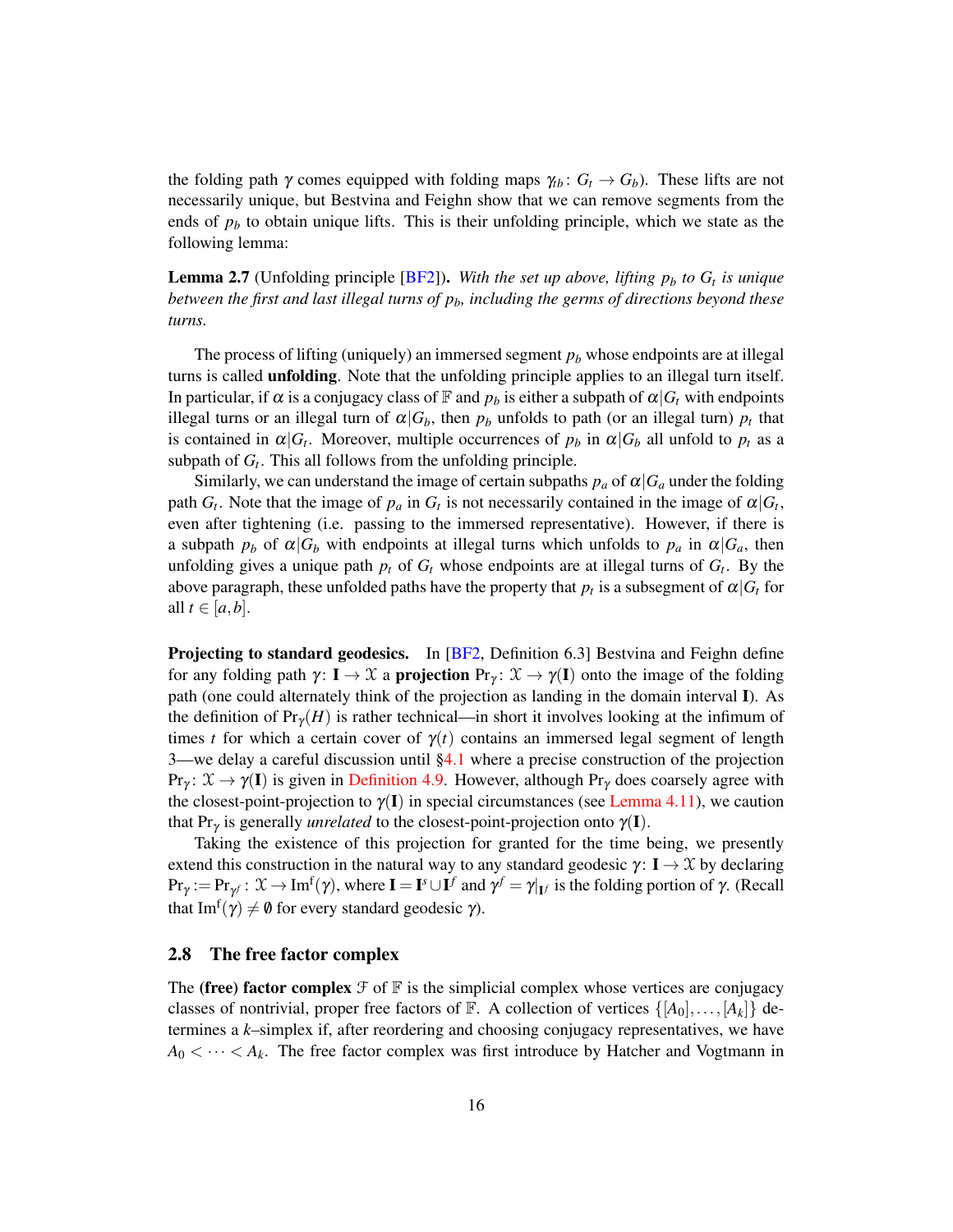the folding path  $\gamma$  comes equipped with folding maps  $\gamma_{tb}$ :  $G_t \rightarrow G_b$ ). These lifts are not necessarily unique, but Bestvina and Feighn show that we can remove segments from the ends of  $p_b$  to obtain unique lifts. This is their unfolding principle, which we state as the following lemma:

<span id="page-15-1"></span>Lemma 2.7 (Unfolding principle [\[BF2\]](#page-47-1)). *With the set up above, lifting p<sup>b</sup> to G<sup>t</sup> is unique between the first and last illegal turns of pb, including the germs of directions beyond these turns.*

The process of lifting (uniquely) an immersed segment  $p<sub>b</sub>$  whose endpoints are at illegal turns is called **unfolding**. Note that the unfolding principle applies to an illegal turn itself. In particular, if  $\alpha$  is a conjugacy class of  $\mathbb F$  and  $p_b$  is either a subpath of  $\alpha|G_t$  with endpoints illegal turns or an illegal turn of  $\alpha | G_b$ , then  $p_b$  unfolds to path (or an illegal turn)  $p_t$  that is contained in  $\alpha | G_t$ . Moreover, multiple occurrences of  $p_b$  in  $\alpha | G_b$  all unfold to  $p_t$  as a subpath of  $G_t$ . This all follows from the unfolding principle.

Similarly, we can understand the image of certain subpaths  $p_a$  of  $\alpha | G_a$  under the folding path  $G_t$ . Note that the image of  $p_a$  in  $G_t$  is not necessarily contained in the image of  $\alpha | G_t$ , even after tightening (i.e. passing to the immersed representative). However, if there is a subpath  $p_b$  of  $\alpha | G_b$  with endpoints at illegal turns which unfolds to  $p_a$  in  $\alpha | G_a$ , then unfolding gives a unique path  $p_t$  of  $G_t$  whose endpoints are at illegal turns of  $G_t$ . By the above paragraph, these unfolded paths have the property that  $p_t$  is a subsegment of  $\alpha|G_t$  for all  $t \in [a, b]$ .

Projecting to standard geodesics. In [\[BF2,](#page-47-1) Definition 6.3] Bestvina and Feighn define for any folding path  $\gamma: I \to \mathcal{X}$  a **projection**  $Pr_{\gamma}: \mathcal{X} \to \gamma(I)$  onto the image of the folding path (one could alternately think of the projection as landing in the domain interval I). As the definition of  $Pr_Y(H)$  is rather technical—in short it involves looking at the infimum of times *t* for which a certain cover of  $\gamma(t)$  contains an immersed legal segment of length 3—we delay a careful discussion until  $\S 4.1$  where a precise construction of the projection  $Pr_\gamma: \mathcal{X} \to \gamma(I)$  is given in [Definition 4.9.](#page-27-0) However, although  $Pr_\gamma$  does coarsely agree with the closest-point-projection to  $\gamma(I)$  in special circumstances (see [Lemma 4.11\)](#page-28-0), we caution that Pr<sub>γ</sub> is generally *unrelated* to the closest-point-projection onto  $\gamma(I)$ .

Taking the existence of this projection for granted for the time being, we presently extend this construction in the natural way to any standard geodesic  $\gamma: I \to \mathcal{X}$  by declaring  $\Pr_{\gamma} := \Pr_{\gamma} : \mathfrak{X} \to \text{Im}^f(\gamma)$ , where  $\mathbf{I} = \mathbf{I}^s \cup \mathbf{I}^f$  and  $\gamma^f = \gamma|_{\mathbf{I}^f}$  is the folding portion of  $\gamma$ . (Recall that  $\text{Im}^f(\gamma) \neq \emptyset$  for every standard geodesic  $\gamma$ ).

### <span id="page-15-0"></span>2.8 The free factor complex

The (free) factor complex  $\mathcal F$  of  $\mathbb F$  is the simplicial complex whose vertices are conjugacy classes of nontrivial, proper free factors of F. A collection of vertices  $\{[A_0], \ldots, [A_k]\}$  determines a *k*–simplex if, after reordering and choosing conjugacy representatives, we have  $A_0 < \cdots < A_k$ . The free factor complex was first introduce by Hatcher and Vogtmann in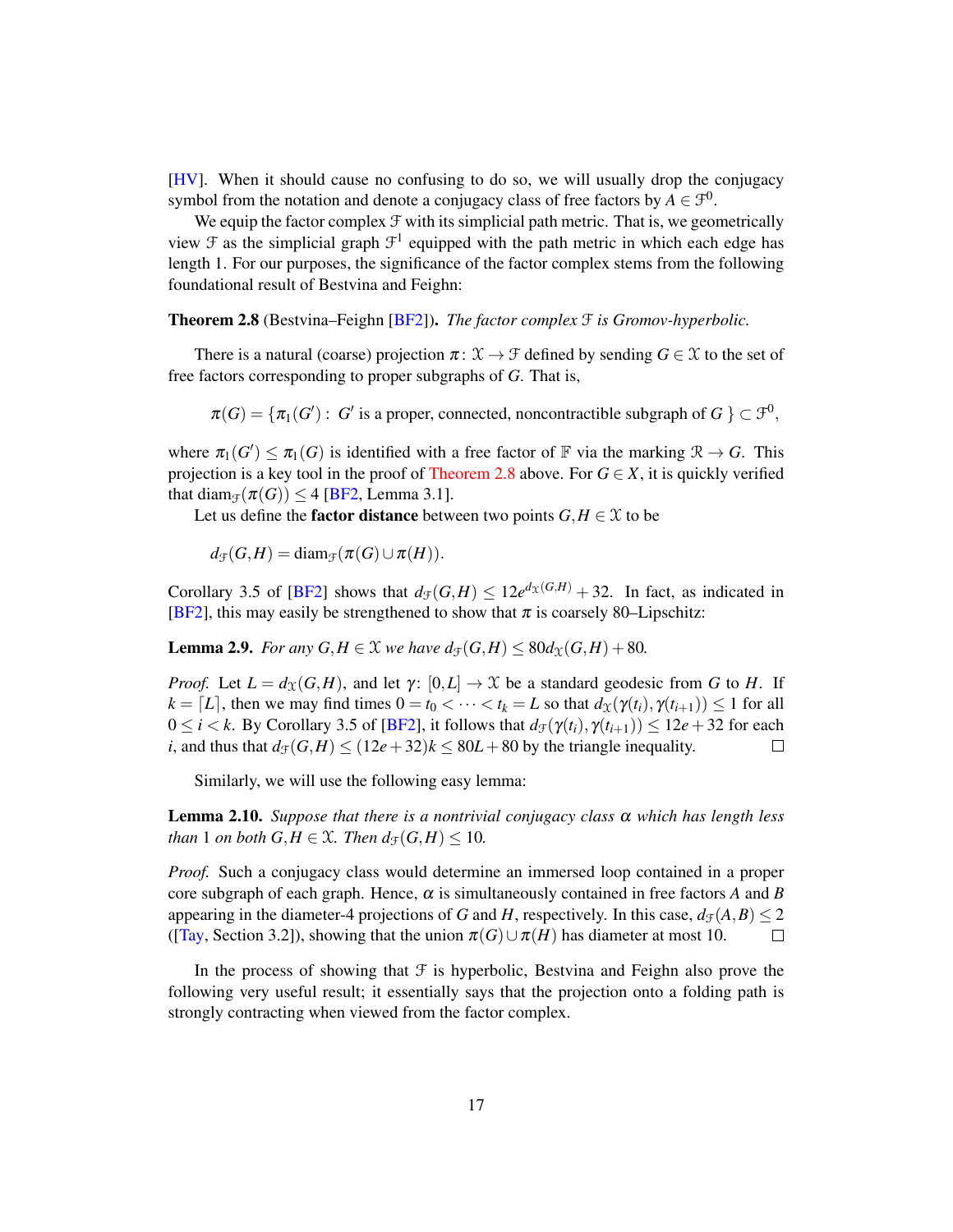[\[HV\]](#page-48-11). When it should cause no confusing to do so, we will usually drop the conjugacy symbol from the notation and denote a conjugacy class of free factors by  $A \in \mathcal{F}^0$ .

We equip the factor complex  $F$  with its simplicial path metric. That is, we geometrically view  $\mathcal F$  as the simplicial graph  $\mathcal F^1$  equipped with the path metric in which each edge has length 1. For our purposes, the significance of the factor complex stems from the following foundational result of Bestvina and Feighn:

<span id="page-16-0"></span>Theorem 2.8 (Bestvina–Feighn [\[BF2\]](#page-47-1)). *The factor complex* F *is Gromov-hyperbolic.*

There is a natural (coarse) projection  $\pi: \mathcal{X} \to \mathcal{F}$  defined by sending  $G \in \mathcal{X}$  to the set of free factors corresponding to proper subgraphs of *G*. That is,

 $\pi(G) = \{\pi_1(G'): G' \text{ is a proper, connected, noncontractible subgraph of } G \} \subset \mathcal{F}^0,$ 

where  $\pi_1(G') \leq \pi_1(G)$  is identified with a free factor of F via the marking  $\mathcal{R} \to G$ . This projection is a key tool in the proof of [Theorem 2.8](#page-16-0) above. For  $G \in X$ , it is quickly verified that diam<sub> $\mathcal{F}(\pi(G)) \leq 4$  [\[BF2,](#page-47-1) Lemma 3.1].</sub>

Let us define the **factor distance** between two points  $G, H \in \mathcal{X}$  to be

 $d_{\mathcal{F}}(G,H) = \text{diam}_{\mathcal{F}}(\pi(G) \cup \pi(H)).$ 

Corollary 3.5 of [\[BF2\]](#page-47-1) shows that  $d_f(G,H) \leq 12e^{d_x(G,H)} + 32$ . In fact, as indicated in [\[BF2\]](#page-47-1), this may easily be strengthened to show that  $\pi$  is coarsely 80–Lipschitz:

<span id="page-16-3"></span>**Lemma 2.9.** *For any*  $G, H \in \mathcal{X}$  *we have*  $d_{\mathcal{F}}(G, H) \leq 80d_{\mathcal{X}}(G, H) + 80$ *.* 

*Proof.* Let  $L = d_X(G,H)$ , and let  $\gamma: [0,L] \to \mathcal{X}$  be a standard geodesic from G to H. If  $k = [L]$ , then we may find times  $0 = t_0 < \cdots < t_k = L$  so that  $d_X(\gamma(t_i), \gamma(t_{i+1})) \leq 1$  for all  $0 \le i \le k$ . By Corollary 3.5 of [\[BF2\]](#page-47-1), it follows that  $d_f(\gamma(t_i), \gamma(t_{i+1})) \le 12e + 32$  for each *i*, and thus that  $d_f(G,H) \leq (12e+32)k \leq 80L+80$  by the triangle inequality.  $\Box$ 

Similarly, we will use the following easy lemma:

<span id="page-16-2"></span>Lemma 2.10. *Suppose that there is a nontrivial conjugacy class* α *which has length less than* 1 *on both*  $G, H \in \mathcal{X}$ *. Then*  $d_{\mathcal{F}}(G, H) \leq 10$ *.* 

*Proof.* Such a conjugacy class would determine an immersed loop contained in a proper core subgraph of each graph. Hence,  $\alpha$  is simultaneously contained in free factors A and B appearing in the diameter-4 projections of *G* and *H*, respectively. In this case,  $d_f(A, B) \le 2$ ([\[Tay,](#page-49-8) Section 3.2]), showing that the union  $\pi(G) \cup \pi(H)$  has diameter at most 10.  $\Box$ 

<span id="page-16-1"></span>In the process of showing that  $\mathcal F$  is hyperbolic, Bestvina and Feighn also prove the following very useful result; it essentially says that the projection onto a folding path is strongly contracting when viewed from the factor complex.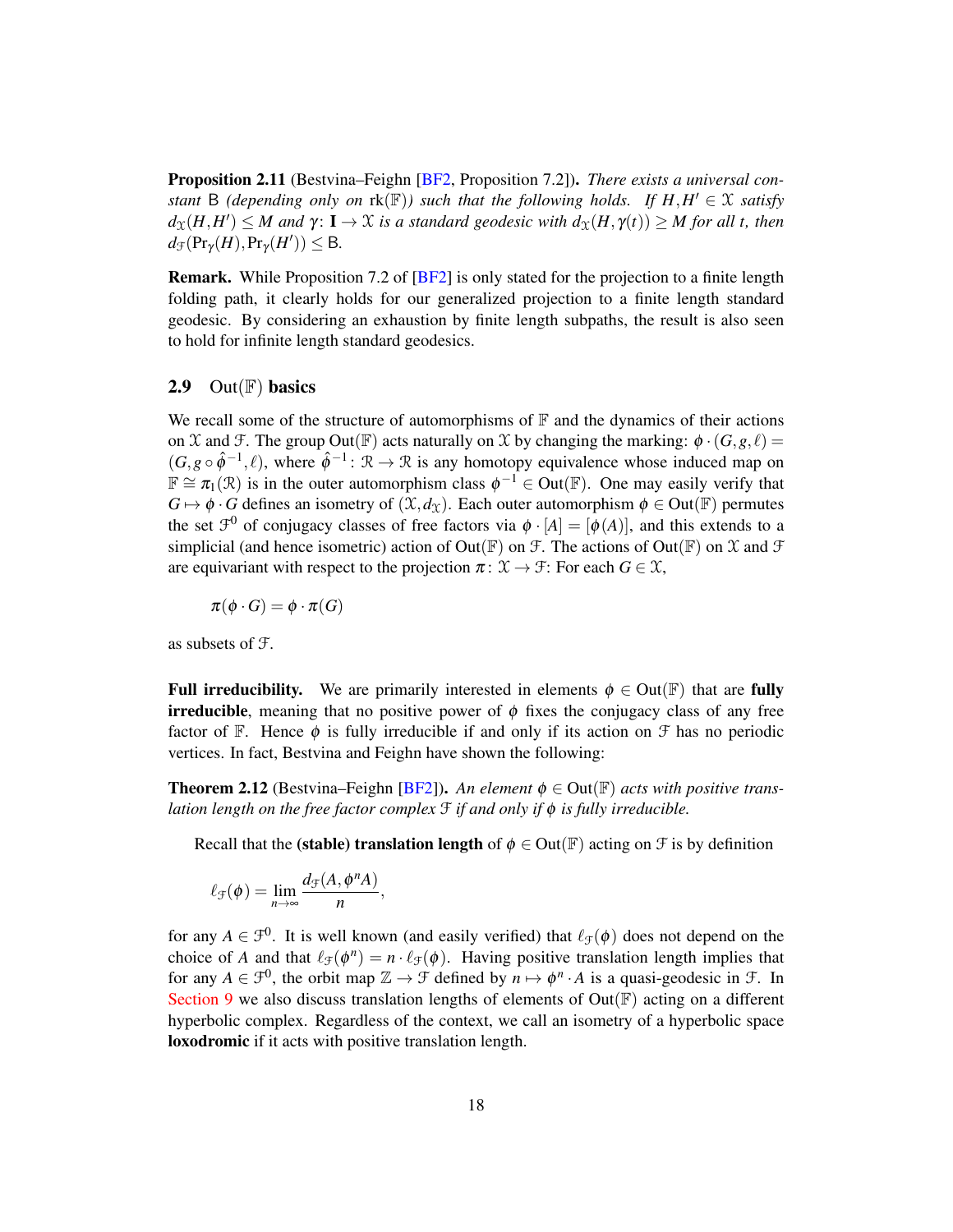Proposition 2.11 (Bestvina–Feighn [\[BF2,](#page-47-1) Proposition 7.2]). *There exists a universal constant* B (depending only on  $rk(\mathbb{F})$ ) such that the following holds. If  $H$ ,  $H' \in \mathcal{X}$  satisfy  $d_{\mathfrak{X}}(H,H') \leq M$  and  $\gamma: \mathbf{I} \to \mathfrak{X}$  is a standard geodesic with  $d_{\mathfrak{X}}(H,\gamma(t)) \geq M$  for all t, then  $d_{\mathcal{F}}(\Pr_{\gamma}(H),\Pr_{\gamma}(H')) \leq B.$ 

Remark. While Proposition 7.2 of [\[BF2\]](#page-47-1) is only stated for the projection to a finite length folding path, it clearly holds for our generalized projection to a finite length standard geodesic. By considering an exhaustion by finite length subpaths, the result is also seen to hold for infinite length standard geodesics.

## 2.9 Out $(\mathbb{F})$  basics

We recall some of the structure of automorphisms of  $\mathbb F$  and the dynamics of their actions on X and F. The group Out( $\mathbb{F}$ ) acts naturally on X by changing the marking:  $\phi \cdot (G, g, \ell) =$  $(G, g \circ \hat{\phi}^{-1}, \ell)$ , where  $\hat{\phi}^{-1}$ :  $\mathcal{R} \to \mathcal{R}$  is any homotopy equivalence whose induced map on  $\mathbb{F} \cong \pi_1(\mathcal{R})$  is in the outer automorphism class  $\phi^{-1} \in Out(\mathbb{F})$ . One may easily verify that  $G \mapsto \phi \cdot G$  defines an isometry of  $(\mathfrak{X}, d_{\mathfrak{X}})$ . Each outer automorphism  $\phi \in Out(\mathbb{F})$  permutes the set  $\mathcal{F}^0$  of conjugacy classes of free factors via  $\phi \cdot [A] = [\phi(A)]$ , and this extends to a simplicial (and hence isometric) action of Out(F) on  $\mathcal F$ . The actions of Out(F) on  $\mathcal X$  and  $\mathcal F$ are equivariant with respect to the projection  $\pi: \mathfrak{X} \to \mathfrak{F}$ : For each  $G \in \mathfrak{X}$ ,

 $\pi(\phi \cdot G) = \phi \cdot \pi(G)$ 

as subsets of F.

**Full irreducibility.** We are primarily interested in elements  $\phi \in Out(\mathbb{F})$  that are fully irreducible, meaning that no positive power of  $\phi$  fixes the conjugacy class of any free factor of F. Hence  $\phi$  is fully irreducible if and only if its action on  $\mathcal F$  has no periodic vertices. In fact, Bestvina and Feighn have shown the following:

**Theorem 2.12** (Bestvina–Feighn [\[BF2\]](#page-47-1)). An element  $\phi \in Out(\mathbb{F})$  acts with positive trans*lation length on the free factor complex* F *if and only if* φ *is fully irreducible.*

Recall that the (stable) translation length of  $\phi \in Out(\mathbb{F})$  acting on  $\mathcal F$  is by definition

$$
\ell_{\mathcal{F}}(\phi) = \lim_{n \to \infty} \frac{d_{\mathcal{F}}(A, \phi^n A)}{n},
$$

for any  $A \in \mathcal{F}^0$ . It is well known (and easily verified) that  $\ell_{\mathcal{F}}(\phi)$  does not depend on the choice of *A* and that  $\ell_{\mathcal{F}}(\phi^n) = n \cdot \ell_{\mathcal{F}}(\phi)$ . Having positive translation length implies that for any  $A \in \mathcal{F}^0$ , the orbit map  $\mathbb{Z} \to \mathcal{F}$  defined by  $n \mapsto \phi^n \cdot A$  is a quasi-geodesic in  $\mathcal{F}$ . In [Section 9](#page-43-0) we also discuss translation lengths of elements of  $Out(\mathbb{F})$  acting on a different hyperbolic complex. Regardless of the context, we call an isometry of a hyperbolic space loxodromic if it acts with positive translation length.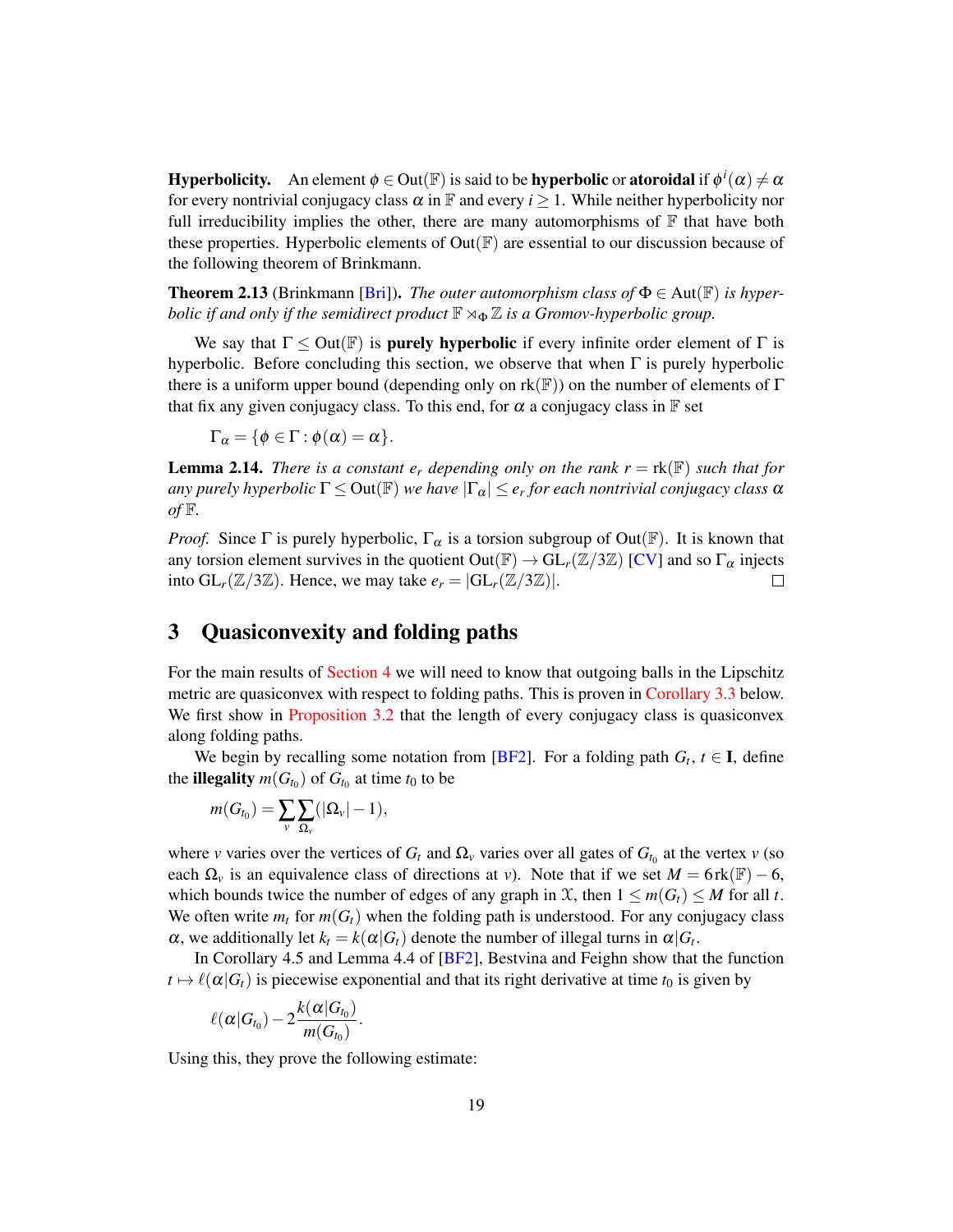**Hyperbolicity.** An element  $\phi\in$  Out( $\mathbb F)$  is said to be **hyperbolic** or **atoroidal** if  $\phi^i(\alpha)\neq\alpha$ for every nontrivial conjugacy class  $\alpha$  in F and every  $i \geq 1$ . While neither hyperbolicity nor full irreducibility implies the other, there are many automorphisms of  $\mathbb F$  that have both these properties. Hyperbolic elements of  $Out(\mathbb{F})$  are essential to our discussion because of the following theorem of Brinkmann.

<span id="page-18-1"></span>**Theorem 2.13** (Brinkmann [\[Bri\]](#page-48-2)). *The outer automorphism class of*  $\Phi \in Aut(\mathbb{F})$  *is hyperbolic if and only if the semidirect product*  $\mathbb{F} \rtimes_{\Phi} \mathbb{Z}$  *is a Gromov-hyperbolic group.* 

We say that  $\Gamma \leq Out(\mathbb{F})$  is **purely hyperbolic** if every infinite order element of  $\Gamma$  is hyperbolic. Before concluding this section, we observe that when  $\Gamma$  is purely hyperbolic there is a uniform upper bound (depending only on  $rk(\mathbb{F})$ ) on the number of elements of  $\Gamma$ that fix any given conjugacy class. To this end, for  $\alpha$  a conjugacy class in  $\mathbb F$  set

 $\Gamma_{\alpha} = \{ \phi \in \Gamma : \phi(\alpha) = \alpha \}.$ 

<span id="page-18-3"></span>**Lemma 2.14.** *There is a constant*  $e_r$  *depending only on the rank*  $r = \text{rk}(\mathbb{F})$  *such that for any purely hyperbolic* Γ ≤ Out(F) *we have* |Γα| ≤ *e<sup>r</sup> for each nontrivial conjugacy class* α  $of \mathbb{F}$ .

*Proof.* Since Γ is purely hyperbolic,  $\Gamma_{\alpha}$  is a torsion subgroup of Out( $\mathbb{F}$ ). It is known that any torsion element survives in the quotient  $Out(\mathbb{F}) \to GL_r(\mathbb{Z}/3\mathbb{Z})$  [\[CV\]](#page-48-8) and so  $\Gamma_\alpha$  injects into  $GL_r(\mathbb{Z}/3\mathbb{Z})$ . Hence, we may take  $e_r = |GL_r(\mathbb{Z}/3\mathbb{Z})|$ .  $\Box$ 

## <span id="page-18-0"></span>3 Quasiconvexity and folding paths

For the main results of [Section 4](#page-20-0) we will need to know that outgoing balls in the Lipschitz metric are quasiconvex with respect to folding paths. This is proven in [Corollary 3.3](#page-19-0) below. We first show in [Proposition 3.2](#page-19-1) that the length of every conjugacy class is quasiconvex along folding paths.

We begin by recalling some notation from [\[BF2\]](#page-47-1). For a folding path  $G_t$ ,  $t \in I$ , define the **illegality**  $m(G_{t_0})$  of  $G_{t_0}$  at time  $t_0$  to be

$$
m(G_{t_0})=\sum_{v}\sum_{\Omega_v}(|\Omega_v|-1),
$$

where *v* varies over the vertices of  $G_t$  and  $\Omega$ <sub>*v*</sub> varies over all gates of  $G$ <sub>*t*0</sub> at the vertex *v* (so each  $\Omega$ <sub>*v*</sub> is an equivalence class of directions at *v*). Note that if we set  $M = 6$  rk( $\mathbb{F}$ ) – 6, which bounds twice the number of edges of any graph in  $\mathcal{X}$ , then  $1 \leq m(G_t) \leq M$  for all *t*. We often write  $m_t$  for  $m(G_t)$  when the folding path is understood. For any conjugacy class  $\alpha$ , we additionally let  $k_t = k(\alpha | G_t)$  denote the number of illegal turns in  $\alpha | G_t$ .

In Corollary 4.5 and Lemma 4.4 of [\[BF2\]](#page-47-1), Bestvina and Feighn show that the function  $t \mapsto \ell(\alpha|G_t)$  is piecewise exponential and that its right derivative at time  $t_0$  is given by

$$
\ell(\alpha|G_{t_0})-2\frac{k(\alpha|G_{t_0})}{m(G_{t_0})}.
$$

<span id="page-18-2"></span>Using this, they prove the following estimate: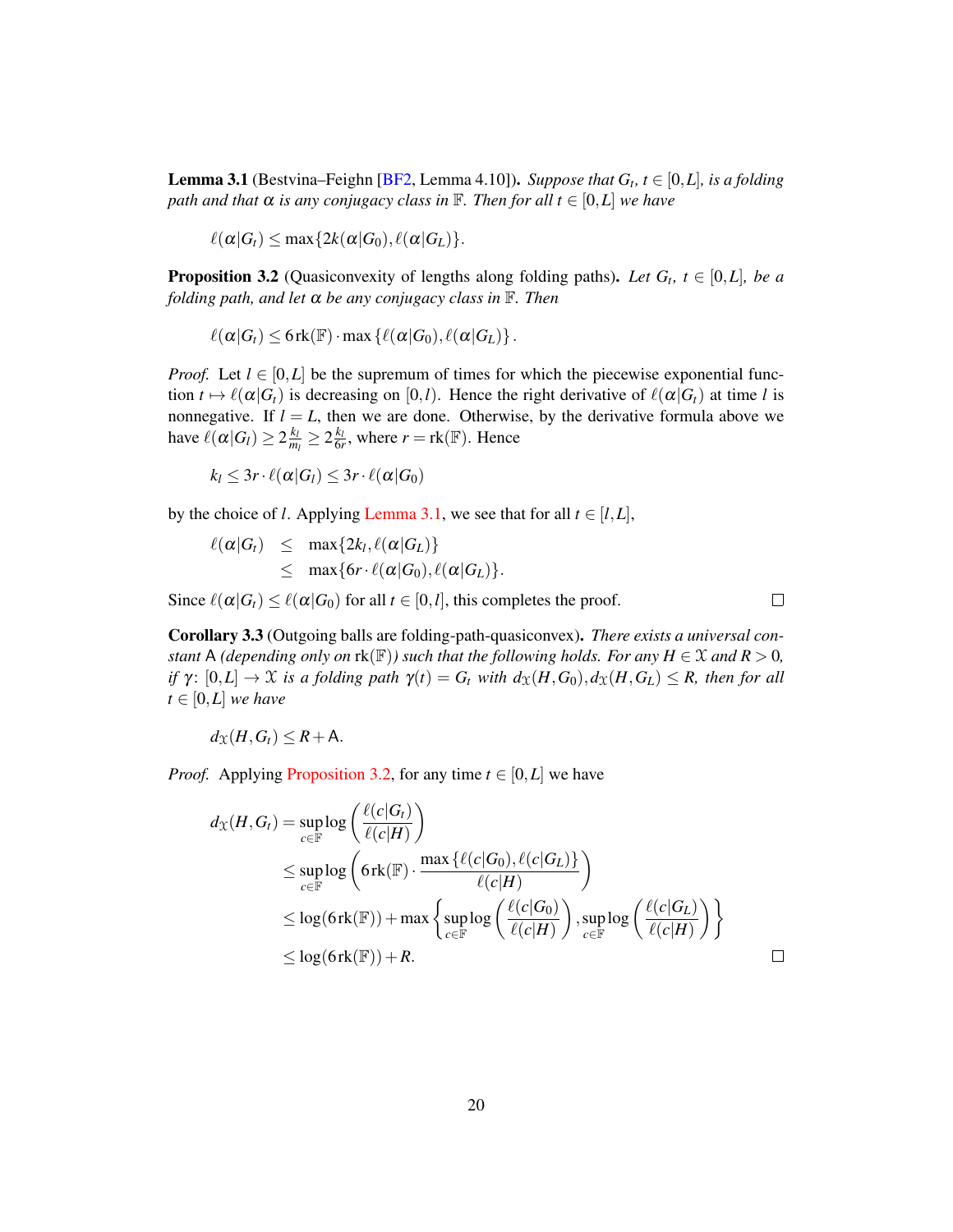**Lemma 3.1** (Bestvina–Feighn [\[BF2,](#page-47-1) Lemma 4.10]). *Suppose that*  $G_t$ ,  $t \in [0, L]$ , is a folding *path and that*  $\alpha$  *is any conjugacy class in*  $\mathbb{F}$ *. Then for all*  $t \in [0, L]$  *we have* 

$$
\ell(\alpha|G_t) \leq \max\{2k(\alpha|G_0), \ell(\alpha|G_L)\}.
$$

<span id="page-19-1"></span>**Proposition 3.2** (Quasiconvexity of lengths along folding paths). Let  $G_t$ ,  $t \in [0, L]$ , be a *folding path, and let* α *be any conjugacy class in* F*. Then*

$$
\ell(\alpha|G_t) \leq 6\operatorname{rk}(\mathbb{F}) \cdot \max \left\{ \ell(\alpha|G_0), \ell(\alpha|G_L) \right\}.
$$

*Proof.* Let  $l \in [0, L]$  be the supremum of times for which the piecewise exponential function  $t \mapsto \ell(\alpha|G_t)$  is decreasing on [0,*l*). Hence the right derivative of  $\ell(\alpha|G_t)$  at time *l* is nonnegative. If  $l = L$ , then we are done. Otherwise, by the derivative formula above we have  $\ell(\alpha|G_l) \geq 2 \frac{k_l}{m}$  $\frac{k_l}{m_l} \geq 2\frac{k_l}{6r}$ , where  $r = \text{rk}(\mathbb{F})$ . Hence

$$
k_l \leq 3r \cdot \ell(\alpha|G_l) \leq 3r \cdot \ell(\alpha|G_0)
$$

by the choice of *l*. Applying [Lemma 3.1,](#page-18-2) we see that for all  $t \in [l, L]$ ,

$$
\ell(\alpha|G_t) \leq \max\{2k_l, \ell(\alpha|G_L)\}\
$$
  

$$
\leq \max\{6r \cdot \ell(\alpha|G_0), \ell(\alpha|G_L)\}.
$$

Since  $\ell(\alpha|G_t) \leq \ell(\alpha|G_0)$  for all  $t \in [0, l]$ , this completes the proof.

 $\Box$ 

<span id="page-19-0"></span>Corollary 3.3 (Outgoing balls are folding-path-quasiconvex). *There exists a universal constant* A *(depending only on*  $rk(\mathbb{F})$ *) such that the following holds. For any*  $H \in \mathcal{X}$  *and*  $R > 0$ *, if*  $\gamma$ :  $[0,L] \to \mathcal{X}$  *is a folding path*  $\gamma(t) = G_t$  *with*  $d_{\mathcal{X}}(H,G_0), d_{\mathcal{X}}(H,G_L) \leq R$ , then for all  $t \in [0,L]$  *we have* 

$$
d_{\mathfrak{X}}(H,G_t)\leq R+\mathsf{A}.
$$

*Proof.* Applying [Proposition 3.2,](#page-19-1) for any time  $t \in [0, L]$  we have

$$
d_{\mathcal{X}}(H, G_{t}) = \sup_{c \in \mathbb{F}} \log \left( \frac{\ell(c|G_{t})}{\ell(c|H)} \right)
$$
  
\n
$$
\leq \sup_{c \in \mathbb{F}} \log \left( 6\mathrm{rk}(\mathbb{F}) \cdot \frac{\max \{ \ell(c|G_{0}), \ell(c|G_{L}) \}}{\ell(c|H)} \right)
$$
  
\n
$$
\leq \log(6\mathrm{rk}(\mathbb{F})) + \max \left\{ \sup_{c \in \mathbb{F}} \log \left( \frac{\ell(c|G_{0})}{\ell(c|H)} \right), \sup_{c \in \mathbb{F}} \log \left( \frac{\ell(c|G_{L})}{\ell(c|H)} \right) \right\}
$$
  
\n
$$
\leq \log(6\mathrm{rk}(\mathbb{F})) + R.
$$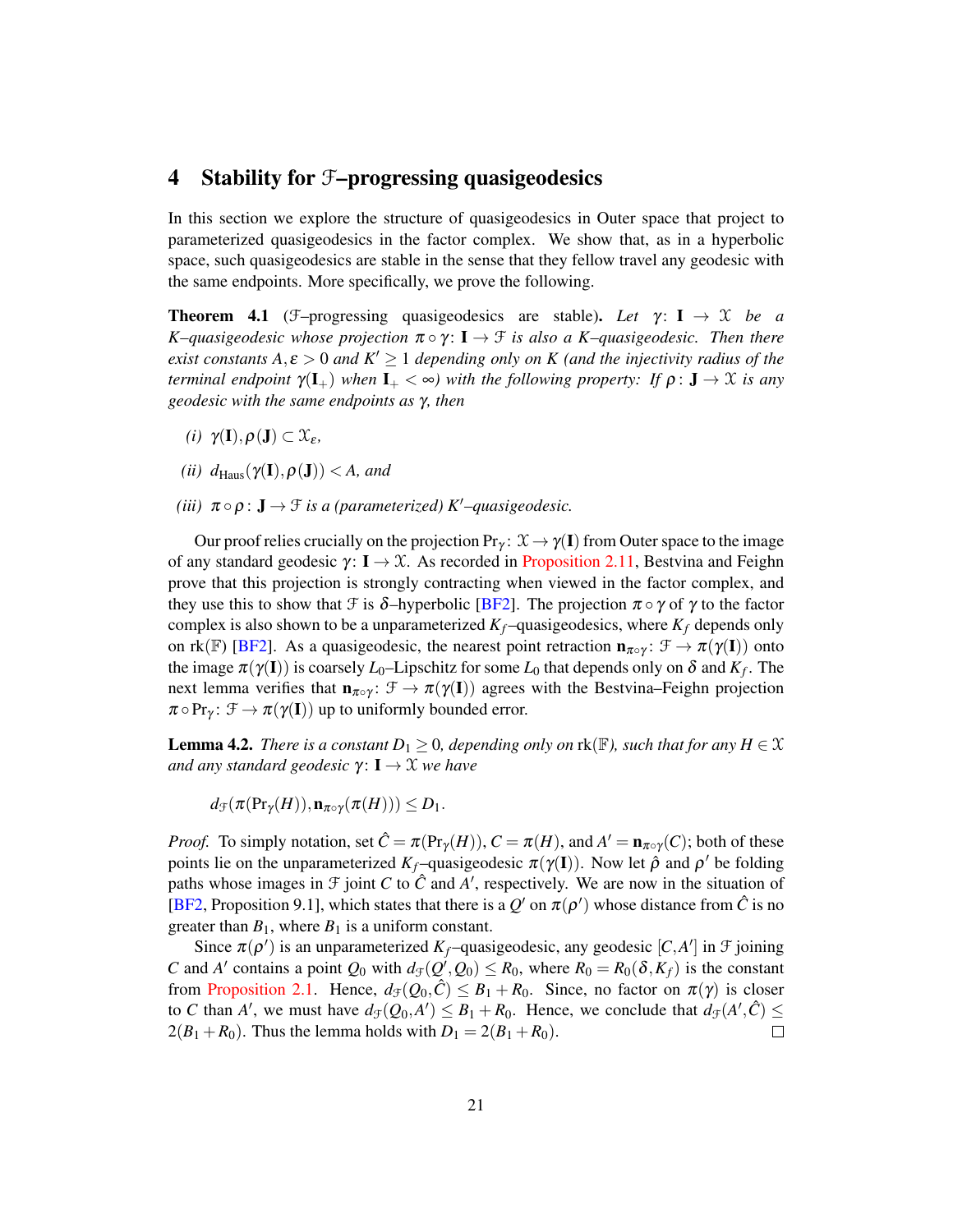## <span id="page-20-0"></span>4 Stability for F–progressing quasigeodesics

In this section we explore the structure of quasigeodesics in Outer space that project to parameterized quasigeodesics in the factor complex. We show that, as in a hyperbolic space, such quasigeodesics are stable in the sense that they fellow travel any geodesic with the same endpoints. More specifically, we prove the following.

<span id="page-20-1"></span>**Theorem 4.1** (F–progressing quasigeodesics are stable). Let  $\gamma$ :  $I \rightarrow \mathcal{X}$  be a *K*–*quasigeodesic whose projection*  $\pi \circ \gamma$ : **I**  $\rightarrow$  *F is also a K*–*quasigeodesic. Then there exist constants*  $A, \varepsilon > 0$  *and*  $K' \ge 1$  *depending only on* K (*and the injectivity radius of the terminal endpoint*  $\gamma(\mathbf{I}_{+})$  *when*  $\mathbf{I}_{+}<\infty$ *) with the following property: If*  $\rho: \mathbf{J} \to \mathcal{X}$  *is any geodesic with the same endpoints as* γ*, then*

- *(i)*  $\gamma(I), \rho(J) \subset \mathcal{X}_{\varepsilon}$ *,*
- *(ii)*  $d_{\text{Haus}}(\gamma(\mathbf{I}), \rho(\mathbf{J})) < A$ , and
- *(iii)*  $\pi \circ \rho : \mathbf{J} \to \mathcal{F}$  *is a (parameterized)*  $K'$ –*quasigeodesic.*

Our proof relies crucially on the projection  $Pr_y: \mathcal{X} \to \gamma(I)$  from Outer space to the image of any standard geodesic  $\gamma: I \to \mathcal{X}$ . As recorded in [Proposition 2.11,](#page-16-1) Bestvina and Feighn prove that this projection is strongly contracting when viewed in the factor complex, and they use this to show that F is  $\delta$ -hyperbolic [\[BF2\]](#page-47-1). The projection  $\pi \circ \gamma$  of  $\gamma$  to the factor complex is also shown to be a unparameterized  $K_f$ –quasigeodesics, where  $K_f$  depends only on rk(F) [\[BF2\]](#page-47-1). As a quasigeodesic, the nearest point retraction  $\mathbf{n}_{\pi \circ \gamma}$ :  $\mathcal{F} \to \pi(\gamma(\mathbf{I}))$  onto the image  $\pi(\gamma(\mathbf{I}))$  is coarsely  $L_0$ –Lipschitz for some  $L_0$  that depends only on  $\delta$  and  $K_f$ . The next lemma verifies that  $n_{\pi \circ \gamma}$ :  $\mathcal{F} \to \pi(\gamma(\mathbf{I}))$  agrees with the Bestvina–Feighn projection  $\pi \circ Pr_{\gamma} \colon \mathcal{F} \to \pi(\gamma(\mathbf{I}))$  up to uniformly bounded error.

<span id="page-20-2"></span>**Lemma 4.2.** *There is a constant*  $D_1 \geq 0$ *, depending only on*  $rk(\mathbb{F})$ *, such that for any*  $H \in \mathcal{X}$ *and any standard geodesic γ*: **I** → *X we have* 

$$
d_{\mathcal{F}}(\pi(\mathrm{Pr}_{\gamma}(H)), \mathbf{n}_{\pi\circ\gamma}(\pi(H))) \leq D_1.
$$

*Proof.* To simply notation, set  $\hat{C} = \pi(\Pr_Y(H))$ ,  $C = \pi(H)$ , and  $A' = \mathbf{n}_{\pi \circ \gamma}(C)$ ; both of these points lie on the unparameterized  $K_f$ -quasigeodesic  $\pi(\gamma(I))$ . Now let  $\hat{\rho}$  and  $\rho'$  be folding paths whose images in  $\mathcal F$  joint  $C$  to  $\hat C$  and  $A'$ , respectively. We are now in the situation of [\[BF2,](#page-47-1) Proposition 9.1], which states that there is a  $Q'$  on  $\pi(\rho')$  whose distance from  $\hat{C}$  is no greater than  $B_1$ , where  $B_1$  is a uniform constant.

Since  $\pi(\rho')$  is an unparameterized  $K_f$ -quasigeodesic, any geodesic  $[C, A']$  in  $\mathcal F$  joining *C* and *A*<sup> $\prime$ </sup> contains a point  $Q_0$  with  $d_f(Q^{\prime}, Q_0) \le R_0$ , where  $R_0 = R_0(\delta, K_f)$  is the constant from [Proposition 2.1.](#page-7-0) Hence,  $d_{\mathcal{F}}(Q_0, C) \leq B_1 + R_0$ . Since, no factor on  $\pi(\gamma)$  is closer to *C* than *A*<sup> $\prime$ </sup>, we must have  $d_{\mathcal{F}}(Q_0, A') \leq B_1 + R_0$ . Hence, we conclude that  $d_{\mathcal{F}}(A', \hat{C}) \leq$  $2(B_1 + R_0)$ . Thus the lemma holds with  $D_1 = 2(B_1 + R_0)$ .  $\Box$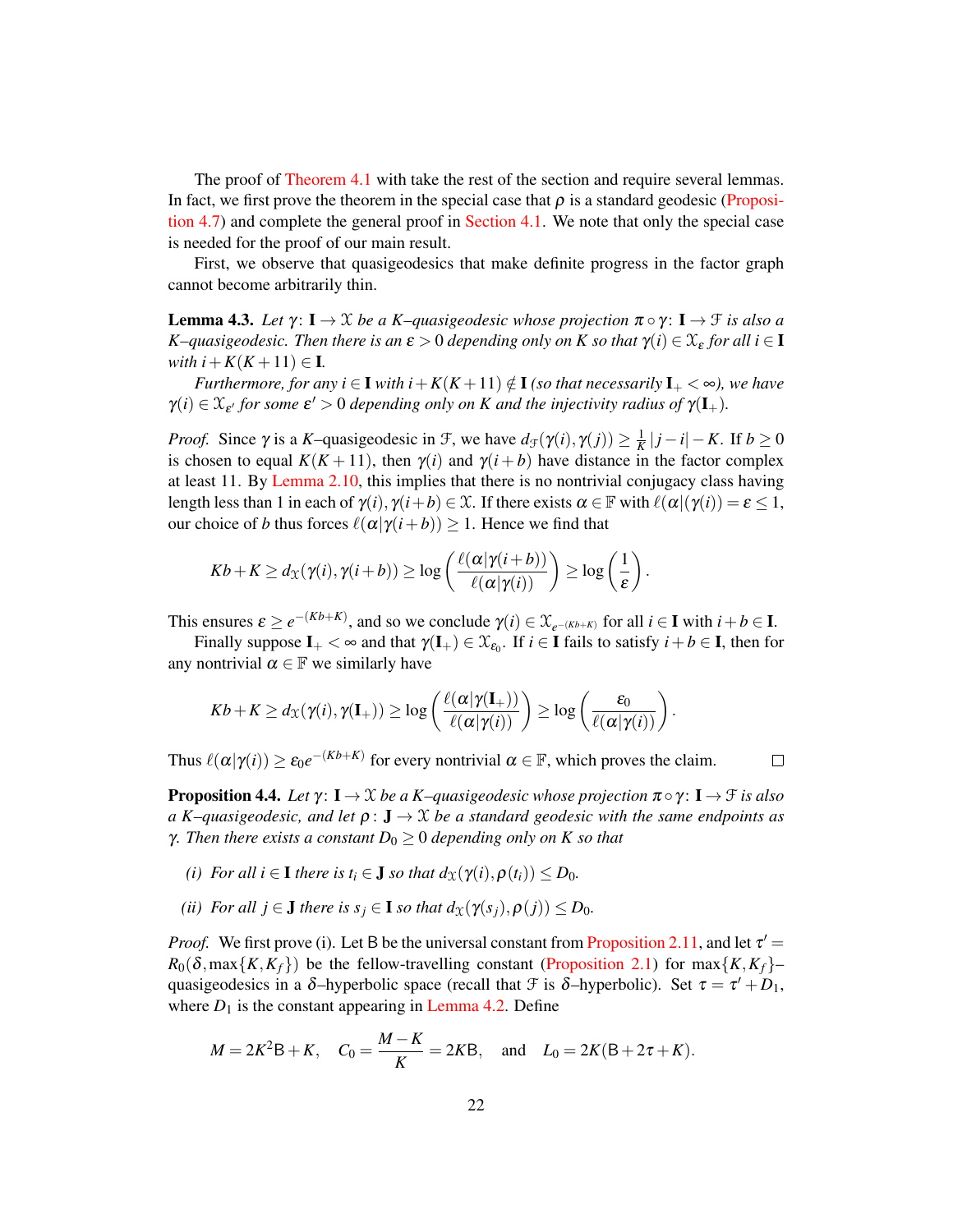The proof of [Theorem 4.1](#page-20-1) with take the rest of the section and require several lemmas. In fact, we first prove the theorem in the special case that  $\rho$  is a standard geodesic [\(Proposi](#page-26-1)[tion 4.7\)](#page-26-1) and complete the general proof in [Section 4.1.](#page-26-0) We note that only the special case is needed for the proof of our main result.

First, we observe that quasigeodesics that make definite progress in the factor graph cannot become arbitrarily thin.

<span id="page-21-0"></span>**Lemma 4.3.** *Let*  $\gamma: I \to \mathcal{X}$  *be a K–quasigeodesic whose projection*  $\pi \circ \gamma: I \to \mathcal{F}$  *is also a K*–*quasigeodesic. Then there is an*  $\varepsilon > 0$  *depending only on K so that*  $\gamma(i) \in \mathcal{X}_{\varepsilon}$  *for all i*  $\in$  **I** *with*  $i + K(K + 11) \in$ **I**.

*Furthermore, for any i* ∈ **I** *with*  $i + K(K+11) \notin I$  (so that necessarily  $I_+ < \infty$ ), we have  $\gamma(i) \in \mathfrak{X}_{\varepsilon'}$  for some  $\varepsilon' > 0$  depending only on K and the injectivity radius of  $\gamma(\mathbf{I}_{+})$ .

*Proof.* Since  $\gamma$  is a *K*-quasigeodesic in  $\mathcal{F}$ , we have  $d_{\mathcal{F}}(\gamma(i), \gamma(j)) \geq \frac{1}{K}|j - i| - K$ . If  $b \geq 0$ is chosen to equal  $K(K + 11)$ , then  $\gamma(i)$  and  $\gamma(i + b)$  have distance in the factor complex at least 11. By [Lemma 2.10,](#page-16-2) this implies that there is no nontrivial conjugacy class having length less than 1 in each of  $\gamma(i)$ ,  $\gamma(i+b) \in \mathcal{X}$ . If there exists  $\alpha \in \mathbb{F}$  with  $\ell(\alpha|\gamma(i)) = \varepsilon \leq 1$ , our choice of *b* thus forces  $\ell(\alpha|\gamma(i+b)) \geq 1$ . Hence we find that

$$
Kb + K \geq d_{\mathfrak{X}}(\gamma(i), \gamma(i+b)) \geq \log \left( \frac{\ell(\alpha | \gamma(i+b))}{\ell(\alpha | \gamma(i))} \right) \geq \log \left( \frac{1}{\epsilon} \right).
$$

This ensures  $\varepsilon \ge e^{-(Kb+K)}$ , and so we conclude  $\gamma(i) \in \mathfrak{X}_{e^{-(Kb+K)}}$  for all  $i \in I$  with  $i + b \in I$ .

Finally suppose  $I_+ < \infty$  and that  $\gamma(I_+) \in \mathfrak{X}_{\epsilon_0}$ . If  $i \in I$  fails to satisfy  $i + b \in I$ , then for any nontrivial  $\alpha \in \mathbb{F}$  we similarly have

$$
Kb + K \geq d_{\mathfrak{X}}(\gamma(i), \gamma(\mathbf{I}_{+})) \geq \log\left(\frac{\ell(\alpha | \gamma(\mathbf{I}_{+}))}{\ell(\alpha | \gamma(i))}\right) \geq \log\left(\frac{\varepsilon_{0}}{\ell(\alpha | \gamma(i))}\right).
$$

Thus  $\ell(\alpha|\gamma(i)) \ge \varepsilon_0 e^{-(Kb+K)}$  for every nontrivial  $\alpha \in \mathbb{F}$ , which proves the claim.

<span id="page-21-1"></span>**Proposition 4.4.** Let  $\gamma: I \to \mathcal{X}$  be a K–quasigeodesic whose projection  $\pi \circ \gamma: I \to \mathcal{F}$  is also *a K–quasigeodesic, and let*  $\rho: \mathbf{J} \to \mathbf{X}$  *be a standard geodesic with the same endpoints as γ. Then there exists a constant*  $D_0 \geq 0$  *depending only on K so that* 

 $\Box$ 

- *(i) For all i*  $\in$  **I** *there is t<sub>i</sub>*  $\in$  **J** *so that*  $d_{\mathcal{X}}(\gamma(i), \rho(i_i)) \le D_0$ .
- *(ii) For all*  $j \in J$  *there is*  $s_j \in I$  *so that*  $d_X(\gamma(s_j), \rho(j)) \le D_0$ .

*Proof.* We first prove (i). Let B be the universal constant from [Proposition 2.11,](#page-16-1) and let  $\tau' =$  $R_0(\delta, \max\{K, K_f\})$  be the fellow-travelling constant [\(Proposition 2.1\)](#page-7-0) for max $\{K, K_f\}$ – quasigeodesics in a  $\delta$ -hyperbolic space (recall that  $\mathcal F$  is  $\delta$ -hyperbolic). Set  $\tau = \tau' + D_1$ , where  $D_1$  is the constant appearing in [Lemma 4.2.](#page-20-2) Define

$$
M = 2K^2B + K
$$
,  $C_0 = \frac{M - K}{K} = 2KB$ , and  $L_0 = 2K(B + 2\tau + K)$ .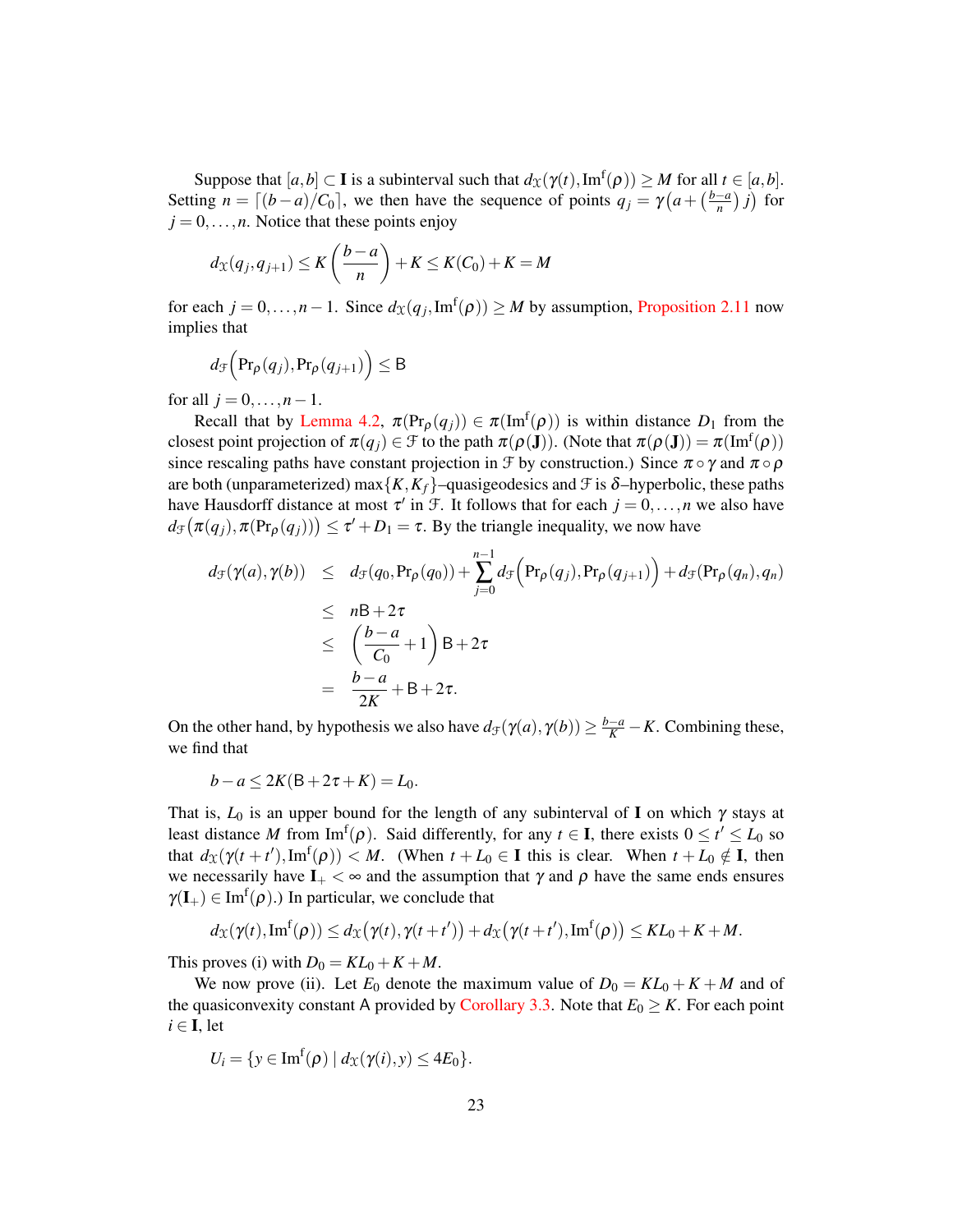Suppose that  $[a,b] \subset \mathbf{I}$  is a subinterval such that  $d_{\mathcal{X}}(\gamma(t),\text{Im}^f(\rho)) \geq M$  for all  $t \in [a,b]$ . Setting  $n = \lfloor (b-a)/C_0 \rfloor$ , we then have the sequence of points  $q_j = \gamma \left( a + \left( \frac{b-a}{n} \right)^j \right)$  $\frac{-a}{n}$ ) *j*) for  $j = 0, \ldots, n$ . Notice that these points enjoy

$$
d_{\mathcal{X}}(q_j, q_{j+1}) \leq K\left(\frac{b-a}{n}\right) + K \leq K(C_0) + K = M
$$

for each  $j = 0, \ldots, n - 1$ . Since  $d_{\mathfrak{X}}(q_j, \text{Im}^f(\rho)) \geq M$  by assumption, [Proposition 2.11](#page-16-1) now implies that

$$
d_{\mathcal{F}}\Big(\text{Pr}_{\rho}(q_j),\text{Pr}_{\rho}(q_{j+1})\Big) \leq B
$$

for all  $j = 0, ..., n-1$ .

Recall that by [Lemma 4.2,](#page-20-2)  $\pi(\Pr_{\rho}(q_j)) \in \pi(\text{Im}^f(\rho))$  is within distance  $D_1$  from the closest point projection of  $\pi(q_j) \in \mathcal{F}$  to the path  $\pi(\rho(\mathbf{J}))$ . (Note that  $\pi(\rho(\mathbf{J})) = \pi(\mathrm{Im}^{\mathrm{f}}(\rho))$ since rescaling paths have constant projection in  $\mathcal F$  by construction.) Since  $\pi \circ \gamma$  and  $\pi \circ \rho$ are both (unparameterized) max ${K, K_f}$ –quasigeodesics and  $\mathcal F$  is  $\delta$ –hyperbolic, these paths have Hausdorff distance at most  $\tau'$  in  $\mathcal{F}$ . It follows that for each  $j = 0, \ldots, n$  we also have  $d_{\mathcal{F}}(\pi(q_j), \pi(\text{Pr}_{\rho}(q_j))) \leq \tau' + D_1 = \tau$ . By the triangle inequality, we now have

$$
d_{\mathcal{F}}(\gamma(a), \gamma(b)) \leq d_{\mathcal{F}}(q_0, \Pr_{\rho}(q_0)) + \sum_{j=0}^{n-1} d_{\mathcal{F}}\Big(\Pr_{\rho}(q_j), \Pr_{\rho}(q_{j+1})\Big) + d_{\mathcal{F}}(\Pr_{\rho}(q_n), q_n)
$$
  
\n
$$
\leq n\mathsf{B} + 2\tau
$$
  
\n
$$
\leq \left(\frac{b-a}{C_0} + 1\right)\mathsf{B} + 2\tau
$$
  
\n
$$
= \frac{b-a}{2K} + \mathsf{B} + 2\tau.
$$

On the other hand, by hypothesis we also have  $d_{\mathcal{F}}(\gamma(a), \gamma(b)) \geq \frac{b-a}{K} - K$ . Combining these, we find that

$$
b-a \le 2K(B+2\tau+K) = L_0.
$$

That is,  $L_0$  is an upper bound for the length of any subinterval of I on which  $\gamma$  stays at least distance *M* from  $\text{Im}^f(\rho)$ . Said differently, for any  $t \in I$ , there exists  $0 \le t' \le L_0$  so that  $d_{\mathfrak{X}}(\gamma(t+t'),\text{Im}^f(\rho)) < M$ . (When  $t + L_0 \in \mathbf{I}$  this is clear. When  $t + L_0 \notin \mathbf{I}$ , then we necessarily have  $I_+ < \infty$  and the assumption that  $\gamma$  and  $\rho$  have the same ends ensures  $\gamma(I_+) \in \text{Im}^f(\rho)$ .) In particular, we conclude that

$$
d_{\mathfrak{X}}(\gamma(t),\text{Im}^{\text{f}}(\rho)) \leq d_{\mathfrak{X}}(\gamma(t),\gamma(t+t')) + d_{\mathfrak{X}}(\gamma(t+t'),\text{Im}^{\text{f}}(\rho)) \leq KL_0 + K + M.
$$

This proves (i) with  $D_0 = KL_0 + K + M$ .

We now prove (ii). Let  $E_0$  denote the maximum value of  $D_0 = KL_0 + K + M$  and of the quasiconvexity constant A provided by [Corollary 3.3.](#page-19-0) Note that  $E_0 \geq K$ . For each point  $i \in I$ , let

$$
U_i = \{ y \in \text{Im}^f(\rho) \mid d_{\mathcal{X}}(\gamma(i), y) \leq 4E_0 \}.
$$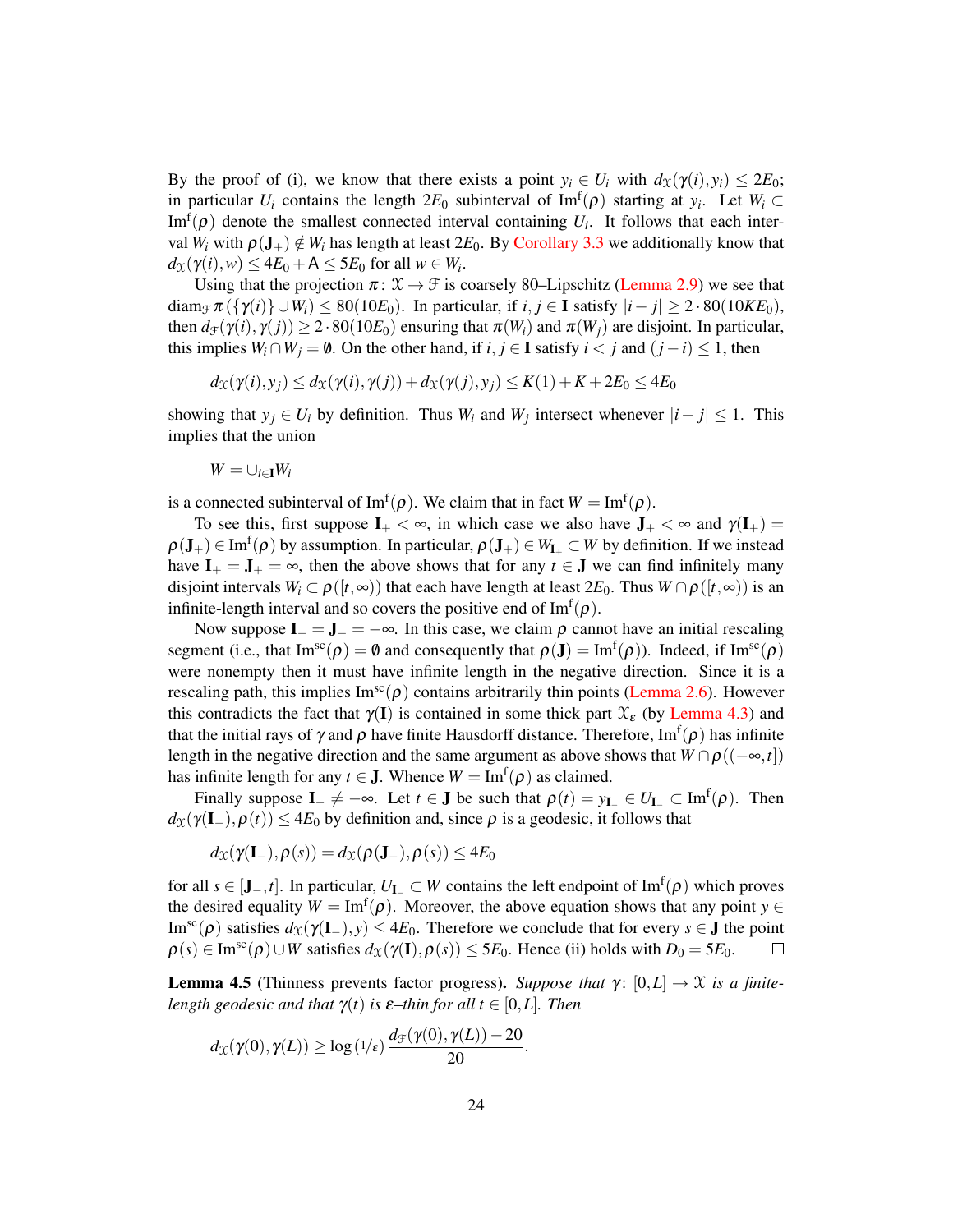By the proof of (i), we know that there exists a point  $y_i \in U_i$  with  $d_{\mathcal{X}}(\gamma(i), y_i) \leq 2E_0$ ; in particular  $U_i$  contains the length  $2E_0$  subinterval of Im<sup>f</sup>( $\rho$ ) starting at  $y_i$ . Let  $W_i \subset$ Im<sup>f</sup> $(\rho)$  denote the smallest connected interval containing  $U_i$ . It follows that each interval  $W_i$  with  $\rho(\mathbf{J}_+) \notin W_i$  has length at least  $2E_0$ . By [Corollary 3.3](#page-19-0) we additionally know that  $d_{\mathfrak{X}}(\gamma(i), w) \leq 4E_0 + A \leq 5E_0$  for all  $w \in W_i$ .

Using that the projection  $\pi: \mathcal{X} \to \mathcal{F}$  is coarsely 80–Lipschitz [\(Lemma 2.9\)](#page-16-3) we see that diam<sub> $\tau$ </sub>  $\pi$  ({ $\gamma$ (*i*)}  $\cup$  *W<sub>i</sub>*)  $\leq$  80(10*E*<sub>0</sub>). In particular, if *i*, *j*  $\in$  **I** satisfy  $|i - j| \geq 2 \cdot 80(10 K E_0)$ , then  $d_{\mathcal{F}}(\gamma(i), \gamma(j)) \geq 2 \cdot 80(10E_0)$  ensuring that  $\pi(W_i)$  and  $\pi(W_i)$  are disjoint. In particular, this implies  $W_i \cap W_j = \emptyset$ . On the other hand, if *i*, *j* ∈ I satisfy *i* < *j* and  $(j - i) \le 1$ , then

$$
d_{\mathcal{X}}(\gamma(i), y_j) \leq d_{\mathcal{X}}(\gamma(i), \gamma(j)) + d_{\mathcal{X}}(\gamma(j), y_j) \leq K(1) + K + 2E_0 \leq 4E_0
$$

showing that  $y_j \in U_i$  by definition. Thus  $W_i$  and  $W_j$  intersect whenever  $|i - j| \leq 1$ . This implies that the union

$$
W=\cup_{i\in \mathbf{I}}W_i
$$

is a connected subinterval of  $\text{Im}^f(\rho)$ . We claim that in fact  $W = \text{Im}^f(\rho)$ .

To see this, first suppose  $I_+ < \infty$ , in which case we also have  $J_+ < \infty$  and  $\gamma(I_+) =$  $\rho(\mathbf{J}_+) \in \text{Im}^f(\rho)$  by assumption. In particular,  $\rho(\mathbf{J}_+) \in W_{\mathbf{I}_+} \subset W$  by definition. If we instead have  $I_+ = J_+ = \infty$ , then the above shows that for any  $t \in J$  we can find infinitely many disjoint intervals  $W_i \subset \rho([t, \infty))$  that each have length at least  $2E_0$ . Thus  $W \cap \rho([t, \infty))$  is an infinite-length interval and so covers the positive end of  $\text{Im}^{f}(\rho)$ .

Now suppose  $I_-=J_-=-\infty$ . In this case, we claim  $\rho$  cannot have an initial rescaling segment (i.e., that  $\text{Im}^{sc}(\rho) = \emptyset$  and consequently that  $\rho(\mathbf{J}) = \text{Im}^{f}(\rho)$ ). Indeed, if  $\text{Im}^{sc}(\rho)$ were nonempty then it must have infinite length in the negative direction. Since it is a rescaling path, this implies  $\text{Im}^{\text{sc}}(\rho)$  contains arbitrarily thin points [\(Lemma 2.6\)](#page-14-0). However this contradicts the fact that  $\gamma(I)$  is contained in some thick part  $\mathcal{X}_{\varepsilon}$  (by [Lemma 4.3\)](#page-21-0) and that the initial rays of  $\gamma$  and  $\rho$  have finite Hausdorff distance. Therefore, Im<sup>f</sup> $(\rho)$  has infinite length in the negative direction and the same argument as above shows that  $W \cap \rho((-\infty,t])$ has infinite length for any  $t \in J$ . Whence  $W = \text{Im}^{f}(\rho)$  as claimed.

Finally suppose  $I_- \neq -\infty$ . Let  $t \in J$  be such that  $\rho(t) = y_{I_-} \in U_{I_-} \subset \text{Im}^f(\rho)$ . Then  $d_{\mathfrak{X}}(\gamma(\mathbf{I}_-),\rho(t)) \leq 4E_0$  by definition and, since  $\rho$  is a geodesic, it follows that

$$
d_{\mathfrak{X}}(\gamma(\mathbf{I}_{-}),\rho(s))=d_{\mathfrak{X}}(\rho(\mathbf{J}_{-}),\rho(s))\leq 4E_0
$$

for all  $s \in [\mathbf{J}^-, t]$ . In particular,  $U_{\mathbf{I}^-} \subset W$  contains the left endpoint of  $\text{Im}^f(\rho)$  which proves the desired equality  $W = \text{Im}^{f}(\rho)$ . Moreover, the above equation shows that any point  $y \in$ Im<sup>sc</sup>(*ρ*) satisfies  $d_{\mathcal{X}}(\gamma(\mathbf{I}_-), y)$  ≤ 4*E*<sub>0</sub>. Therefore we conclude that for every *s* ∈ **J** the point  $\rho(s) \in \text{Im}^{\text{sc}}(\rho) \cup W$  satisfies  $d_{\mathfrak{X}}(\gamma(\mathbf{I}), \rho(s)) \leq 5E_0$ . Hence (ii) holds with  $D_0 = 5E_0$ .  $\Box$ 

<span id="page-23-0"></span>**Lemma 4.5** (Thinness prevents factor progress). *Suppose that*  $\gamma: [0, L] \rightarrow \mathcal{X}$  *is a finitelength geodesic and that*  $\gamma(t)$  *is*  $\varepsilon$ –*thin for all*  $t \in [0, L]$ *. Then* 

$$
d_{\mathfrak{X}}(\gamma(0),\gamma(L)) \geq \log(1/\varepsilon) \frac{d_{\mathfrak{F}}(\gamma(0),\gamma(L)) - 20}{20}.
$$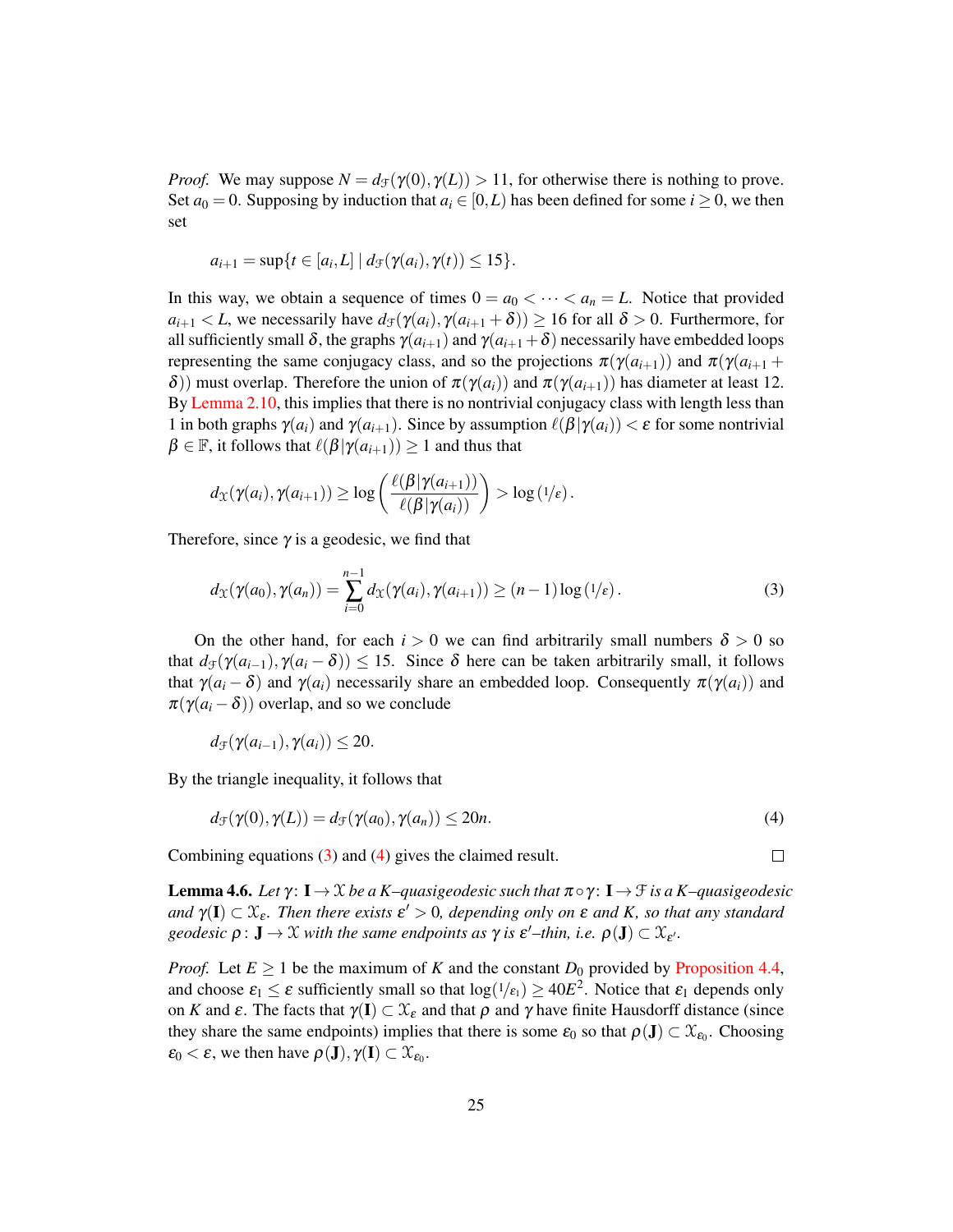*Proof.* We may suppose  $N = d_{\mathcal{F}}(\gamma(0), \gamma(L)) > 11$ , for otherwise there is nothing to prove. Set  $a_0 = 0$ . Supposing by induction that  $a_i \in [0, L)$  has been defined for some  $i \ge 0$ , we then set

$$
a_{i+1} = \sup\{t \in [a_i, L] \mid d_{\mathcal{F}}(\gamma(a_i), \gamma(t)) \leq 15\}.
$$

In this way, we obtain a sequence of times  $0 = a_0 < \cdots < a_n = L$ . Notice that provided  $a_{i+1} < L$ , we necessarily have  $d_f(\gamma(a_i), \gamma(a_{i+1} + \delta)) \ge 16$  for all  $\delta > 0$ . Furthermore, for all sufficiently small  $\delta$ , the graphs  $\gamma(a_{i+1})$  and  $\gamma(a_{i+1} + \delta)$  necessarily have embedded loops representing the same conjugacy class, and so the projections  $\pi(\gamma(a_{i+1}))$  and  $\pi(\gamma(a_{i+1} +$ δ)) must overlap. Therefore the union of  $\pi(\gamma(a_i))$  and  $\pi(\gamma(a_{i+1}))$  has diameter at least 12. By [Lemma 2.10,](#page-16-2) this implies that there is no nontrivial conjugacy class with length less than 1 in both graphs  $\gamma(a_i)$  and  $\gamma(a_{i+1})$ . Since by assumption  $\ell(\beta|\gamma(a_i)) < \varepsilon$  for some nontrivial  $\beta \in \mathbb{F}$ , it follows that  $\ell(\beta|\gamma(a_{i+1})) \geq 1$  and thus that

$$
d_{\mathfrak{X}}(\gamma(a_i), \gamma(a_{i+1})) \geq \log\left(\frac{\ell(\beta|\gamma(a_{i+1}))}{\ell(\beta|\gamma(a_i))}\right) > \log(1/\varepsilon).
$$

Therefore, since  $\gamma$  is a geodesic, we find that

<span id="page-24-0"></span>
$$
d_{\mathcal{X}}(\gamma(a_0), \gamma(a_n)) = \sum_{i=0}^{n-1} d_{\mathcal{X}}(\gamma(a_i), \gamma(a_{i+1})) \ge (n-1) \log (1/\varepsilon).
$$
 (3)

On the other hand, for each  $i > 0$  we can find arbitrarily small numbers  $\delta > 0$  so that  $d_f(\gamma(a_{i-1}), \gamma(a_i - \delta)) \leq 15$ . Since  $\delta$  here can be taken arbitrarily small, it follows that  $\gamma(a_i - \delta)$  and  $\gamma(a_i)$  necessarily share an embedded loop. Consequently  $\pi(\gamma(a_i))$  and  $\pi(\gamma(a_i-\delta))$  overlap, and so we conclude

<span id="page-24-1"></span>
$$
d_{\mathcal{F}}(\gamma(a_{i-1}), \gamma(a_i)) \leq 20.
$$

By the triangle inequality, it follows that

$$
d_{\mathcal{F}}(\gamma(0), \gamma(L)) = d_{\mathcal{F}}(\gamma(a_0), \gamma(a_n)) \le 20n. \tag{4}
$$

Combining equations [\(3\)](#page-24-0) and [\(4\)](#page-24-1) gives the claimed result.

<span id="page-24-2"></span>**Lemma 4.6.** Let  $\gamma: I \to X$  be a K–quasigeodesic such that  $\pi \circ \gamma: I \to \mathcal{F}$  is a K–quasigeodesic *and*  $\gamma(I) \subset \mathfrak{X}_{\varepsilon}$ . Then there exists  $\varepsilon' > 0$ , depending only on  $\varepsilon$  and K, so that any standard *geodesic*  $\rho: \mathbf{J} \to \mathcal{X}$  *with the same endpoints as*  $\gamma$  *is*  $\varepsilon'$ –*thin, i.e.*  $\rho(\mathbf{J}) \subset \mathcal{X}_{\varepsilon'}$ .

*Proof.* Let  $E \ge 1$  be the maximum of *K* and the constant  $D_0$  provided by [Proposition 4.4,](#page-21-1) and choose  $\varepsilon_1 \leq \varepsilon$  sufficiently small so that  $\log(1/\varepsilon_1) \geq 40E^2$ . Notice that  $\varepsilon_1$  depends only on *K* and  $\varepsilon$ . The facts that  $\gamma(I) \subset \mathcal{X}_{\varepsilon}$  and that  $\rho$  and  $\gamma$  have finite Hausdorff distance (since they share the same endpoints) implies that there is some  $\varepsilon_0$  so that  $\rho(\mathbf{J}) \subset \mathcal{X}_{\varepsilon_0}$ . Choosing  $\varepsilon_0 < \varepsilon$ , we then have  $\rho(\mathbf{J}), \gamma(\mathbf{I}) \subset \mathcal{X}_{\varepsilon_0}$ .

 $\Box$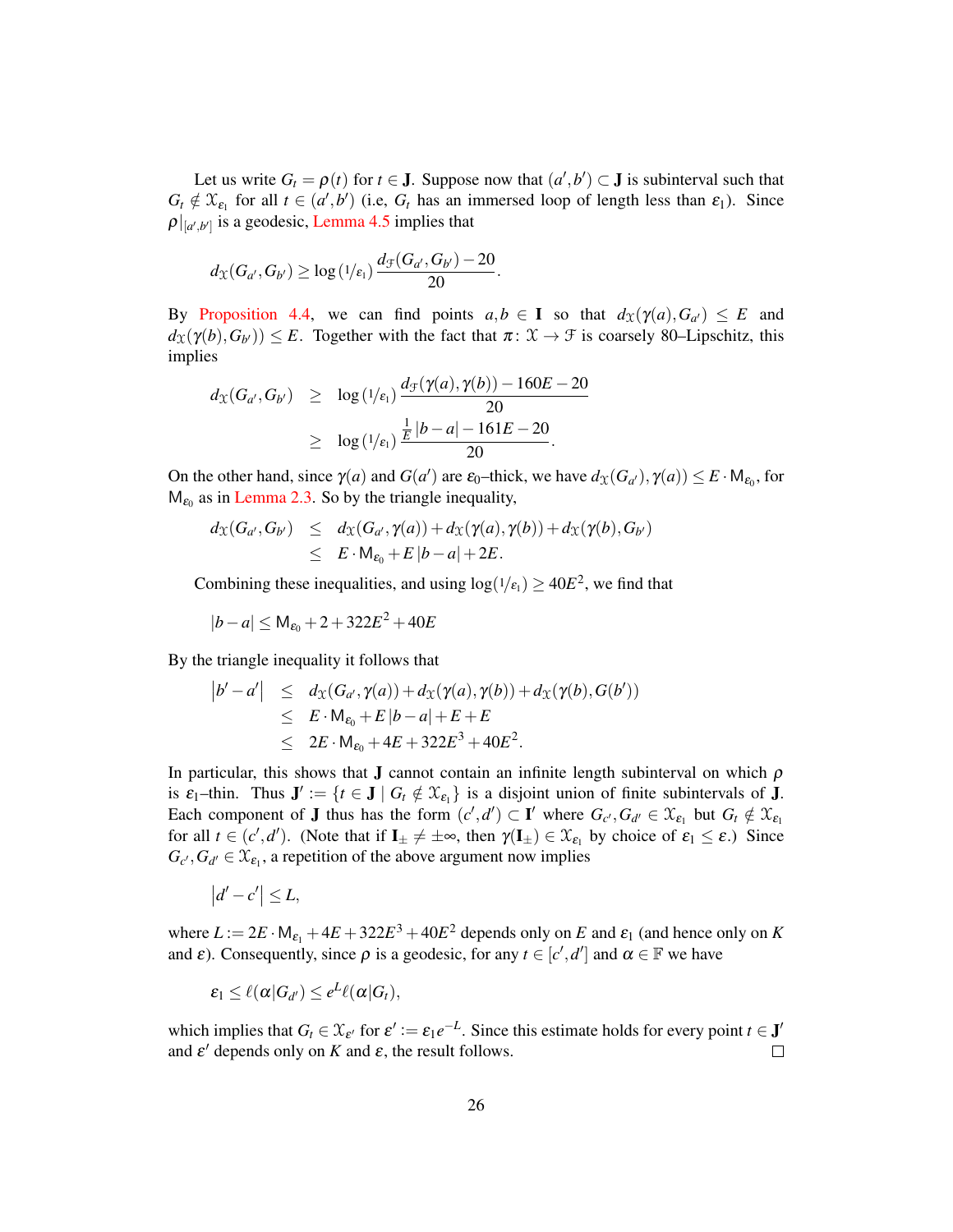Let us write  $G_t = \rho(t)$  for  $t \in J$ . Suppose now that  $(a', b') \subset J$  is subinterval such that  $G_t \notin \mathfrak{X}_{\varepsilon_1}$  for all  $t \in (a', b')$  (i.e,  $G_t$  has an immersed loop of length less than  $\varepsilon_1$ ). Since  $\rho|_{[a',b']}$  is a geodesic, [Lemma 4.5](#page-23-0) implies that

$$
d_{\mathcal{X}}(G_{a'}, G_{b'}) \geq \log\left(\frac{1}{\epsilon_1}\right) \frac{d_{\mathcal{F}}(G_{a'}, G_{b'}) - 20}{20}.
$$

By [Proposition 4.4,](#page-21-1) we can find points  $a, b \in I$  so that  $d_{\mathfrak{X}}(\gamma(a), G_{a'}) \leq E$  and  $d_{\mathfrak{X}}(\gamma(b), G_{b'}) \leq E$ . Together with the fact that  $\pi \colon \mathfrak{X} \to \mathfrak{F}$  is coarsely 80–Lipschitz, this implies

$$
d_{\mathfrak{X}}(G_{a'}, G_{b'}) \geq \log (1/\epsilon_1) \frac{d_{\mathfrak{F}}(\gamma(a), \gamma(b)) - 160E - 20}{20}
$$
  
 
$$
\geq \log (1/\epsilon_1) \frac{\frac{1}{E}|b-a| - 161E - 20}{20}.
$$

On the other hand, since  $\gamma(a)$  and  $G(a')$  are  $\varepsilon_0$ -thick, we have  $d_{\mathfrak{X}}(G_{a'})$ ,  $\gamma(a)) \leq E \cdot M_{\varepsilon_0}$ , for  $M_{\epsilon_0}$  as in [Lemma 2.3.](#page-11-1) So by the triangle inequality,

$$
d_{\mathcal{X}}(G_{a'}, G_{b'}) \leq d_{\mathcal{X}}(G_{a'}, \gamma(a)) + d_{\mathcal{X}}(\gamma(a), \gamma(b)) + d_{\mathcal{X}}(\gamma(b), G_{b'})
$$
  
 
$$
\leq E \cdot M_{\varepsilon_0} + E|b-a| + 2E.
$$

Combining these inequalities, and using  $log(1/\epsilon_1) \geq 40E^2$ , we find that

$$
|b - a| \le M_{\epsilon_0} + 2 + 322E^2 + 40E
$$

By the triangle inequality it follows that

$$
|b'-a'| \leq d_{\mathfrak{X}}(G_{a'},\gamma(a)) + d_{\mathfrak{X}}(\gamma(a),\gamma(b)) + d_{\mathfrak{X}}(\gamma(b),G(b'))
$$
  
\n
$$
\leq E \cdot M_{\epsilon_0} + E|b-a| + E + E
$$
  
\n
$$
\leq 2E \cdot M_{\epsilon_0} + 4E + 322E^3 + 40E^2.
$$

In particular, this shows that **J** cannot contain an infinite length subinterval on which  $\rho$ is  $\varepsilon_1$ -thin. Thus  $J' := \{t \in J \mid G_t \notin \mathcal{X}_{\varepsilon_1}\}\$ is a disjoint union of finite subintervals of J. Each component of **J** thus has the form  $(c', d') \subset \mathbf{I}'$  where  $G_{c'}$ ,  $G_{d'} \in \mathcal{X}_{\varepsilon_1}$  but  $G_t \notin \mathcal{X}_{\varepsilon_1}$ for all  $t \in (c', d')$ . (Note that if  $I_{\pm} \neq \pm \infty$ , then  $\gamma(I_{\pm}) \in \mathfrak{X}_{\epsilon_1}$  by choice of  $\epsilon_1 \leq \epsilon$ .) Since  $G_{c}$ ,  $G_{d'} \in \mathcal{X}_{\varepsilon_1}$ , a repetition of the above argument now implies

$$
|d'-c'|\leq L,
$$

where  $L := 2E \cdot M_{\epsilon_1} + 4E + 322E^3 + 40E^2$  depends only on *E* and  $\epsilon_1$  (and hence only on *K* and  $\varepsilon$ ). Consequently, since  $\rho$  is a geodesic, for any  $t \in [c', d']$  and  $\alpha \in \mathbb{F}$  we have

$$
\varepsilon_1 \leq \ell(\alpha|G_{d'}) \leq e^L \ell(\alpha|G_t),
$$

which implies that  $G_t \in \mathfrak{X}_{\varepsilon'}$  for  $\varepsilon' := \varepsilon_1 e^{-L}$ . Since this estimate holds for every point  $t \in \mathbf{J}'$ and  $\varepsilon'$  depends only on *K* and  $\varepsilon$ , the result follows.  $\Box$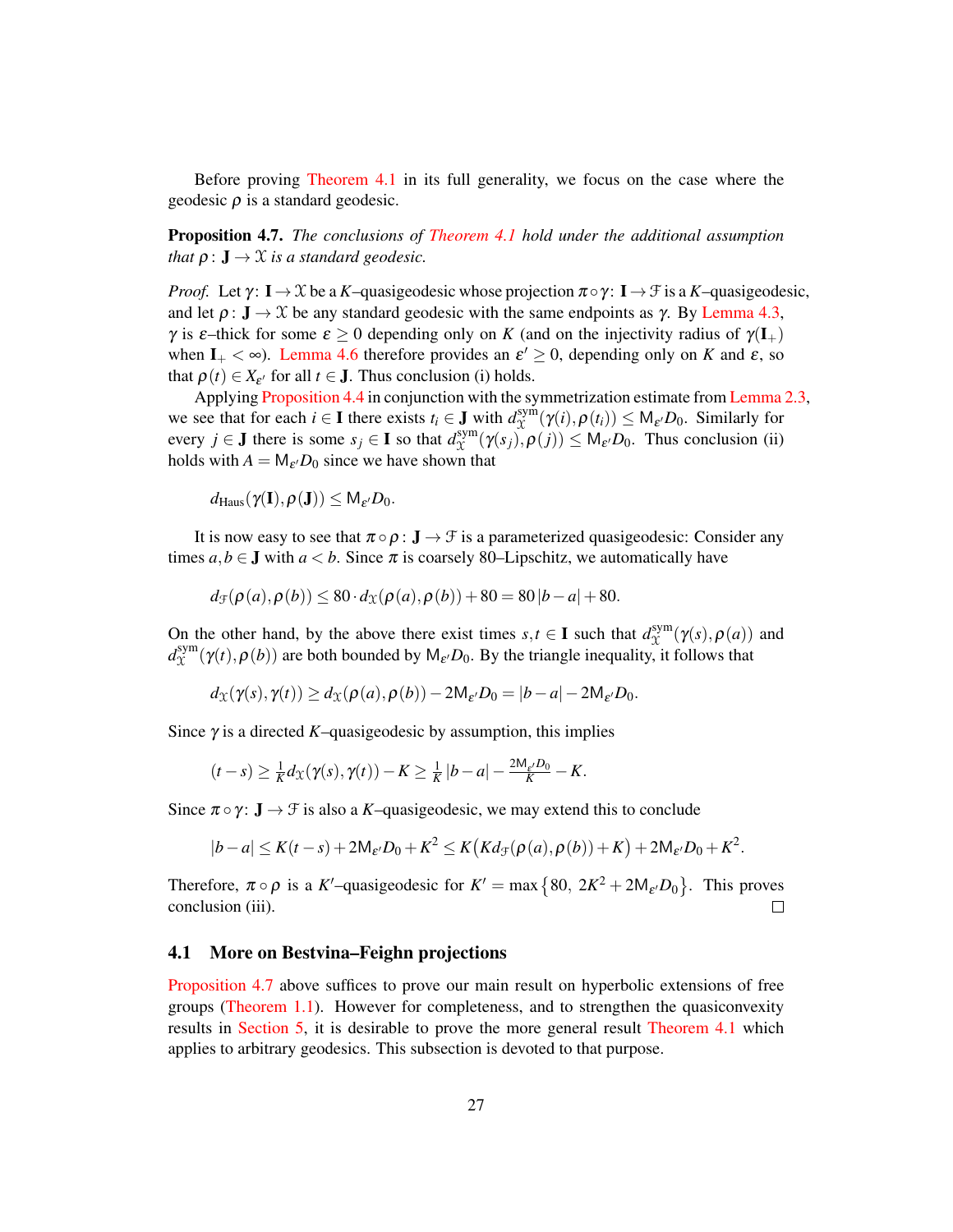Before proving [Theorem 4.1](#page-20-1) in its full generality, we focus on the case where the geodesic ρ is a standard geodesic.

<span id="page-26-1"></span>Proposition 4.7. *The conclusions of [Theorem 4.1](#page-20-1) hold under the additional assumption that*  $\rho: \mathbf{J} \to \mathcal{X}$  *is a standard geodesic.* 

*Proof.* Let  $\gamma: I \to \mathcal{X}$  be a *K*–quasigeodesic whose projection  $\pi \circ \gamma: I \to \mathcal{F}$  is a *K*–quasigeodesic, and let  $\rho: \mathbf{J} \to \mathcal{X}$  be any standard geodesic with the same endpoints as  $\gamma$ . By [Lemma 4.3,](#page-21-0) γ is ε–thick for some  $\epsilon \ge 0$  depending only on K (and on the injectivity radius of  $\gamma(I_+)$ ) when  $I_+ < \infty$ ). [Lemma 4.6](#page-24-2) therefore provides an  $\varepsilon' \geq 0$ , depending only on *K* and  $\varepsilon$ , so that  $\rho(t) \in X_{\varepsilon'}$  for all  $t \in J$ . Thus conclusion (i) holds.

Applying [Proposition 4.4](#page-21-1) in conjunction with the symmetrization estimate from [Lemma 2.3,](#page-11-1) we see that for each *i*  $\in$  **I** there exists  $t_i \in$  **J** with  $d_{\mathcal{X}}^{\text{sym}}$  $\chi^{\text{sym}}(\gamma(i), \rho(t_i)) \leq M_{\varepsilon'}D_0$ . Similarly for every *j*  $\in$  **J** there is some *s<sub>j</sub>*  $\in$  **I** so that  $d_{\mathcal{X}}^{\text{sym}}$  $X^{\text{sym}}_{\alpha}(\gamma(s_j), \rho(j)) \leq M_{\varepsilon'}D_0$ . Thus conclusion (ii) holds with  $A = M_{\varepsilon} D_0$  since we have shown that

$$
d_{\text{Haus}}(\gamma(\mathbf{I}), \rho(\mathbf{J})) \leq M_{\varepsilon'}D_0.
$$

It is now easy to see that  $\pi \circ \rho : \mathbf{J} \to \mathcal{F}$  is a parameterized quasigeodesic: Consider any times  $a, b \in J$  with  $a < b$ . Since  $\pi$  is coarsely 80–Lipschitz, we automatically have

$$
d_{\mathcal{F}}(\rho(a), \rho(b)) \le 80 \cdot d_{\mathcal{X}}(\rho(a), \rho(b)) + 80 = 80|b-a| + 80.
$$

On the other hand, by the above there exist times  $s, t \in I$  such that  $d_{\Upsilon}^{\text{sym}}$  $\chi^{\text{sym}}(\gamma(s), \rho(a))$  and  $d_{\Upsilon}^{\rm sym}$  $\chi^{\text{sym}}(\gamma(t), \rho(b))$  are both bounded by  $M_{\varepsilon}$ , *D*<sub>0</sub>. By the triangle inequality, it follows that

$$
d_{\mathcal{X}}(\gamma(s),\gamma(t)) \geq d_{\mathcal{X}}(\rho(a),\rho(b)) - 2\mathsf{M}_{\varepsilon'}D_0 = |b-a| - 2\mathsf{M}_{\varepsilon'}D_0.
$$

Since  $\gamma$  is a directed *K*–quasigeodesic by assumption, this implies

$$
(t-s)\geq \frac{1}{K}d_{\mathfrak{X}}(\gamma(s),\gamma(t))-K\geq \frac{1}{K}|b-a|-\frac{2\mathsf{M}_{\varepsilon'}D_0}{K}-K.
$$

Since  $\pi \circ \gamma$ :  $J \to \mathcal{F}$  is also a *K*–quasigeodesic, we may extend this to conclude

$$
|b-a|\leq K(t-s)+2{\sf M}_{\varepsilon'}D_0+K^2\leq K\big(Kd_{\mathcal F}(\rho(a),\rho(b))+K\big)+2{\sf M}_{\varepsilon'}D_0+K^2.
$$

Therefore,  $\pi \circ \rho$  is a K'-quasigeodesic for  $K' = \max\{80, 2K^2 + 2M_{\varepsilon'}D_0\}$ . This proves conclusion (iii).  $\Box$ 

### <span id="page-26-0"></span>4.1 More on Bestvina–Feighn projections

[Proposition 4.7](#page-26-1) above suffices to prove our main result on hyperbolic extensions of free groups [\(Theorem 1.1\)](#page-1-1). However for completeness, and to strengthen the quasiconvexity results in [Section 5,](#page-29-0) it is desirable to prove the more general result [Theorem 4.1](#page-20-1) which applies to arbitrary geodesics. This subsection is devoted to that purpose.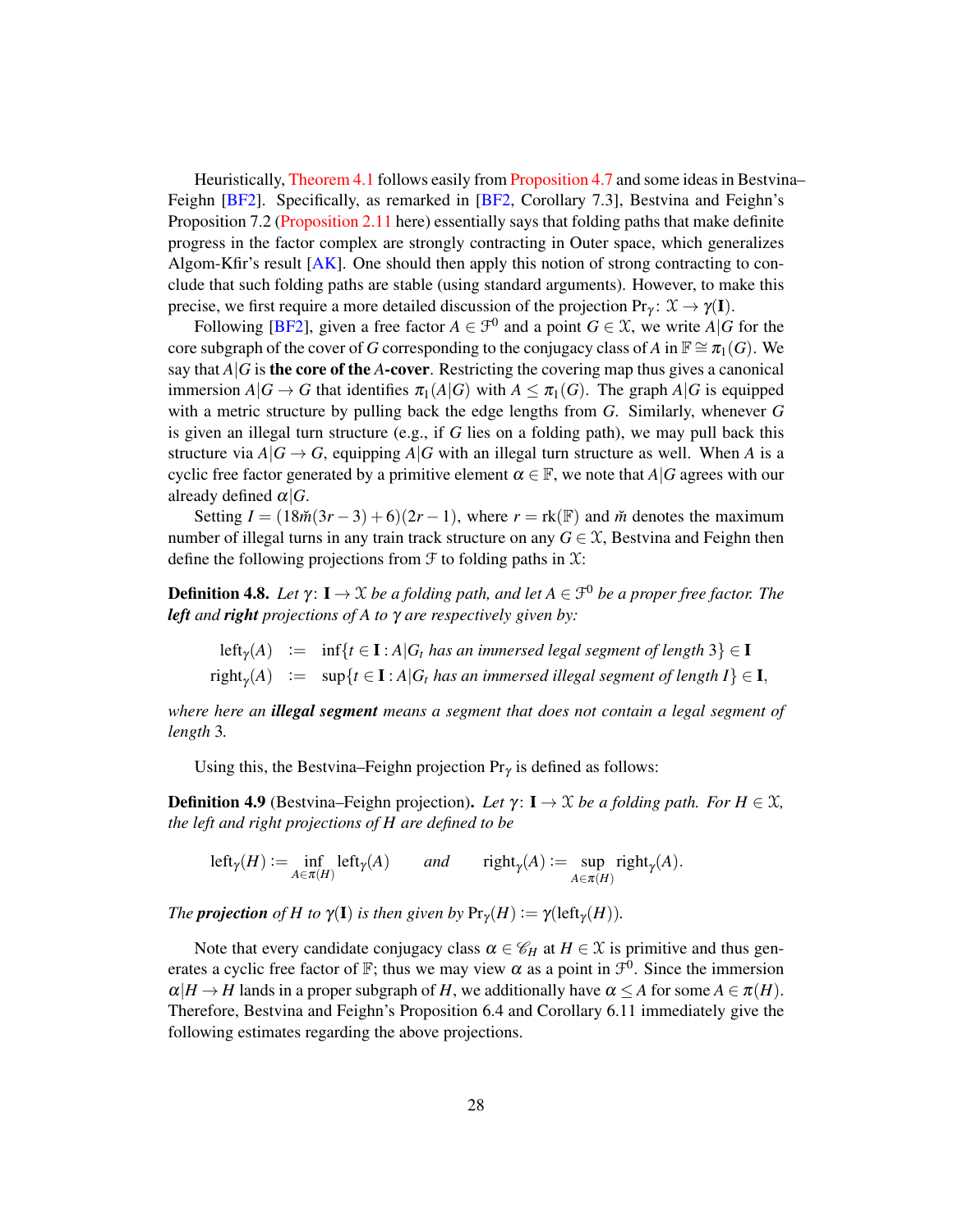Heuristically, [Theorem 4.1](#page-20-1) follows easily from [Proposition 4.7](#page-26-1) and some ideas in Bestvina– Feighn [\[BF2\]](#page-47-1). Specifically, as remarked in [\[BF2,](#page-47-1) Corollary 7.3], Bestvina and Feighn's Proposition 7.2 [\(Proposition 2.11](#page-16-1) here) essentially says that folding paths that make definite progress in the factor complex are strongly contracting in Outer space, which generalizes Algom-Kfir's result [\[AK\]](#page-47-4). One should then apply this notion of strong contracting to conclude that such folding paths are stable (using standard arguments). However, to make this precise, we first require a more detailed discussion of the projection  $Pr_\gamma \colon \mathcal{X} \to \gamma(I)$ .

Following [\[BF2\]](#page-47-1), given a free factor  $A \in \mathcal{F}^0$  and a point  $G \in \mathcal{X}$ , we write  $A|G$  for the core subgraph of the cover of *G* corresponding to the conjugacy class of *A* in  $\mathbb{F} \cong \pi_1(G)$ . We say that  $A|G$  is the core of the A-cover. Restricting the covering map thus gives a canonical immersion  $A|G \to G$  that identifies  $\pi_1(A|G)$  with  $A \leq \pi_1(G)$ . The graph  $A|G$  is equipped with a metric structure by pulling back the edge lengths from *G*. Similarly, whenever *G* is given an illegal turn structure (e.g., if *G* lies on a folding path), we may pull back this structure via  $A|G \rightarrow G$ , equipping  $A|G$  with an illegal turn structure as well. When A is a cyclic free factor generated by a primitive element  $\alpha \in \mathbb{F}$ , we note that *A*|*G* agrees with our already defined  $\alpha|G$ .

Setting  $I = (18\tilde{m}(3r-3)+6)(2r-1)$ , where  $r = \text{rk}(\mathbb{F})$  and  $\tilde{m}$  denotes the maximum number of illegal turns in any train track structure on any  $G \in \mathcal{X}$ , Bestvina and Feighn then define the following projections from  $\mathcal F$  to folding paths in  $\mathfrak X$ :

 $$ *left and right projections of A to* γ *are respectively given by:*

left<sub>γ</sub>(A) := inf{ $t \in I : A | G_t$  *has an immersed legal segment of length*  $3 \n\in I$  $\text{right}_{\gamma}(A) \ := \ \ \sup\{t \in \mathbf{I} : A | G_t \text{ has an immersed illegal segment of length } I \} \in \mathbf{I},$ 

*where here an illegal segment means a segment that does not contain a legal segment of length* 3*.*

Using this, the Bestvina–Feighn projection  $Pr_{\gamma}$  is defined as follows:

<span id="page-27-0"></span>**Definition 4.9** (Bestvina–Feighn projection). Let  $\gamma: I \to X$  be a folding path. For  $H \in \mathcal{X}$ , *the left and right projections of H are defined to be*

 $\text{left}_{\gamma}(H) := \inf_{A \in \pi(H)} \text{left}_{\gamma}(A)$  *and*  $\text{right}_{\gamma}(A) := \sup_{A \in \pi(H)}$  $\sup_{A \in \pi(H)}$  right<sub>γ</sub>(*A*).

*The projection* of *H* to  $\gamma(\mathbf{I})$  *is then given* by  $\Pr_{\gamma}(H) := \gamma(\text{left}_{\gamma}(H))$ *.* 

<span id="page-27-1"></span>Note that every candidate conjugacy class  $\alpha \in \mathcal{C}_H$  at  $H \in \mathcal{X}$  is primitive and thus generates a cyclic free factor of F; thus we may view  $\alpha$  as a point in  $\mathcal{F}^0$ . Since the immersion  $\alpha|H \to H$  lands in a proper subgraph of *H*, we additionally have  $\alpha \leq A$  for some  $A \in \pi(H)$ . Therefore, Bestvina and Feighn's Proposition 6.4 and Corollary 6.11 immediately give the following estimates regarding the above projections.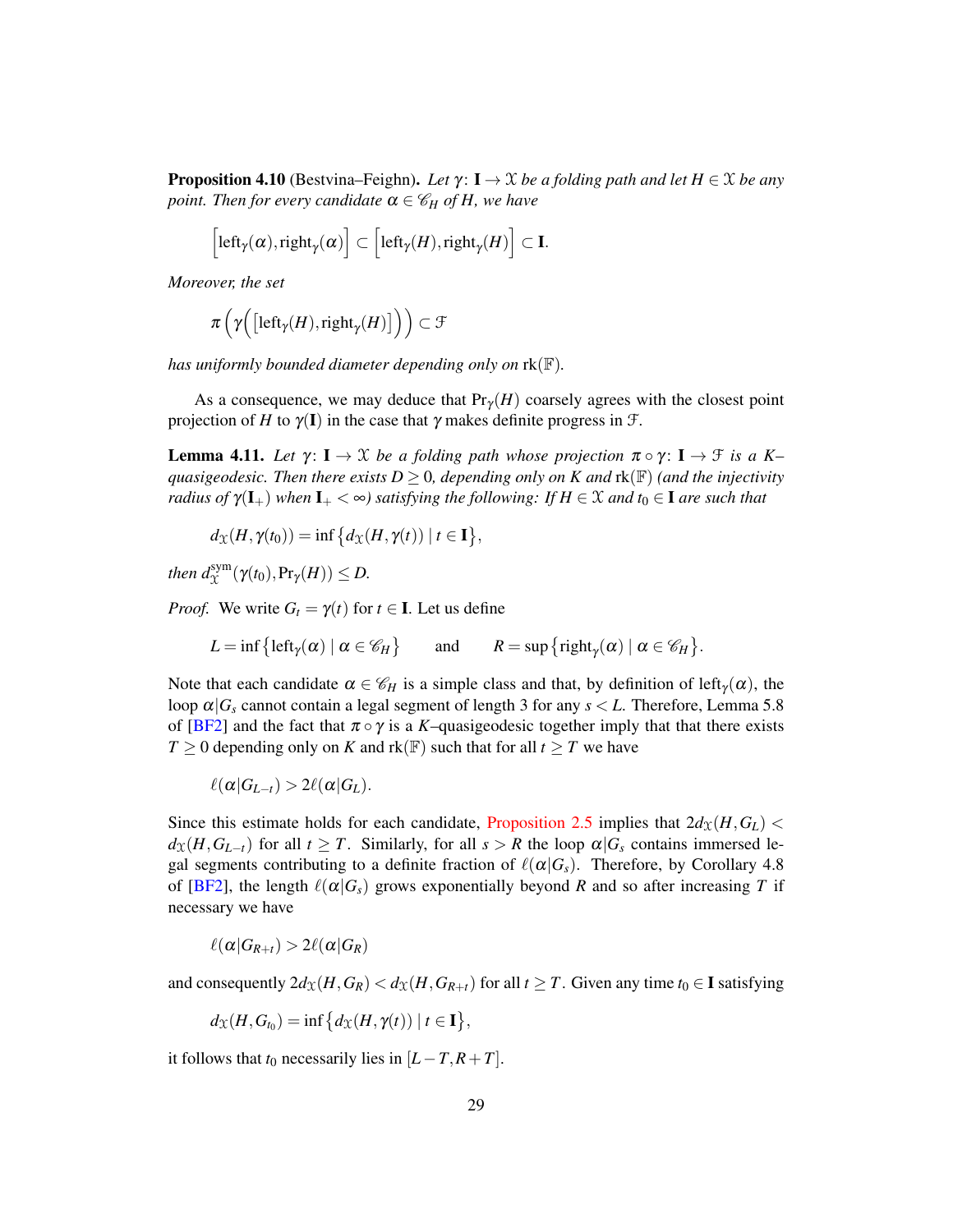**Proposition 4.10** (Bestvina–Feighn). Let  $\gamma: I \to \mathcal{X}$  be a folding path and let  $H \in \mathcal{X}$  be any *point. Then for every candidate*  $\alpha \in \mathcal{C}_H$  *of H, we have* 

$$
\Big[\mathsf{left}_\gamma(\alpha),\mathsf{right}_\gamma(\alpha)\Big]\subset\Big[\mathsf{left}_\gamma(H),\mathsf{right}_\gamma(H)\Big]\subset\mathbf{I}.
$$

*Moreover, the set*

$$
\pi\left(\gamma\Big(\big[\mathsf{left}_{\gamma}(H),\mathsf{right}_{\gamma}(H)\big]\Big)\right)\subset\mathcal{F}
$$

*has uniformly bounded diameter depending only on* rk(F)*.*

As a consequence, we may deduce that  $Pr<sub>\gamma</sub>(H)$  coarsely agrees with the closest point projection of *H* to  $\gamma$ (I) in the case that  $\gamma$  makes definite progress in  $\mathcal{F}$ .

<span id="page-28-0"></span>**Lemma 4.11.** Let  $\gamma: I \to \mathcal{X}$  be a folding path whose projection  $\pi \circ \gamma: I \to \mathcal{F}$  is a K– *quasigeodesic. Then there exists D*  $\geq$  *0, depending only on K and rk(* $\mathbb{F}$ *) (and the injectivity radius of*  $\gamma(I_+)$  *when*  $I_+ < \infty$ *) satisfying the following: If*  $H \in \mathcal{X}$  *and*  $t_0 \in I$  *are such that* 

$$
d_{\mathfrak{X}}(H, \gamma(t_0)) = \inf \{ d_{\mathfrak{X}}(H, \gamma(t)) \mid t \in \mathbf{I} \},
$$

*then*  $d_{\mathcal{X}}^{\text{sym}}(\gamma(t_0), \Pr_{\gamma}(H)) \leq D$ .

*Proof.* We write  $G_t = \gamma(t)$  for  $t \in I$ . Let us define

$$
L = \inf \{ \text{left}_{\gamma}(\alpha) \mid \alpha \in \mathscr{C}_H \} \quad \text{and} \quad R = \sup \{ \text{right}_{\gamma}(\alpha) \mid \alpha \in \mathscr{C}_H \}.
$$

Note that each candidate  $\alpha \in \mathcal{C}_H$  is a simple class and that, by definition of left<sub> $\gamma(\alpha)$ </sub>, the loop  $\alpha|G_s$  cannot contain a legal segment of length 3 for any  $s < L$ . Therefore, Lemma 5.8 of [\[BF2\]](#page-47-1) and the fact that  $\pi \circ \gamma$  is a *K*–quasigeodesic together imply that that there exists *T* ≥ 0 depending only on *K* and  $rk(\mathbb{F})$  such that for all  $t > T$  we have

 $\ell(\alpha|G_{L-t}) > 2\ell(\alpha|G_{L}).$ 

Since this estimate holds for each candidate, [Proposition 2.5](#page-12-0) implies that  $2d_{\mathcal{X}}(H, G_L)$  $d_X(H, G_{L-t})$  for all  $t \geq T$ . Similarly, for all  $s > R$  the loop  $\alpha | G_s$  contains immersed legal segments contributing to a definite fraction of  $\ell(\alpha|G_s)$ . Therefore, by Corollary 4.8 of [\[BF2\]](#page-47-1), the length  $\ell(\alpha|G_s)$  grows exponentially beyond *R* and so after increasing *T* if necessary we have

$$
\ell(\alpha|G_{R+t}) > 2\ell(\alpha|G_R)
$$

and consequently  $2d_X(H, G_R) < d_X(H, G_{R+t})$  for all  $t \geq T$ . Given any time  $t_0 \in \mathbf{I}$  satisfying

$$
d_{\mathfrak{X}}(H,G_{t_0})=\inf\big\{d_{\mathfrak{X}}(H,\gamma(t))\mid t\in I\big\},\
$$

it follows that  $t_0$  necessarily lies in  $[L-T, R+T]$ .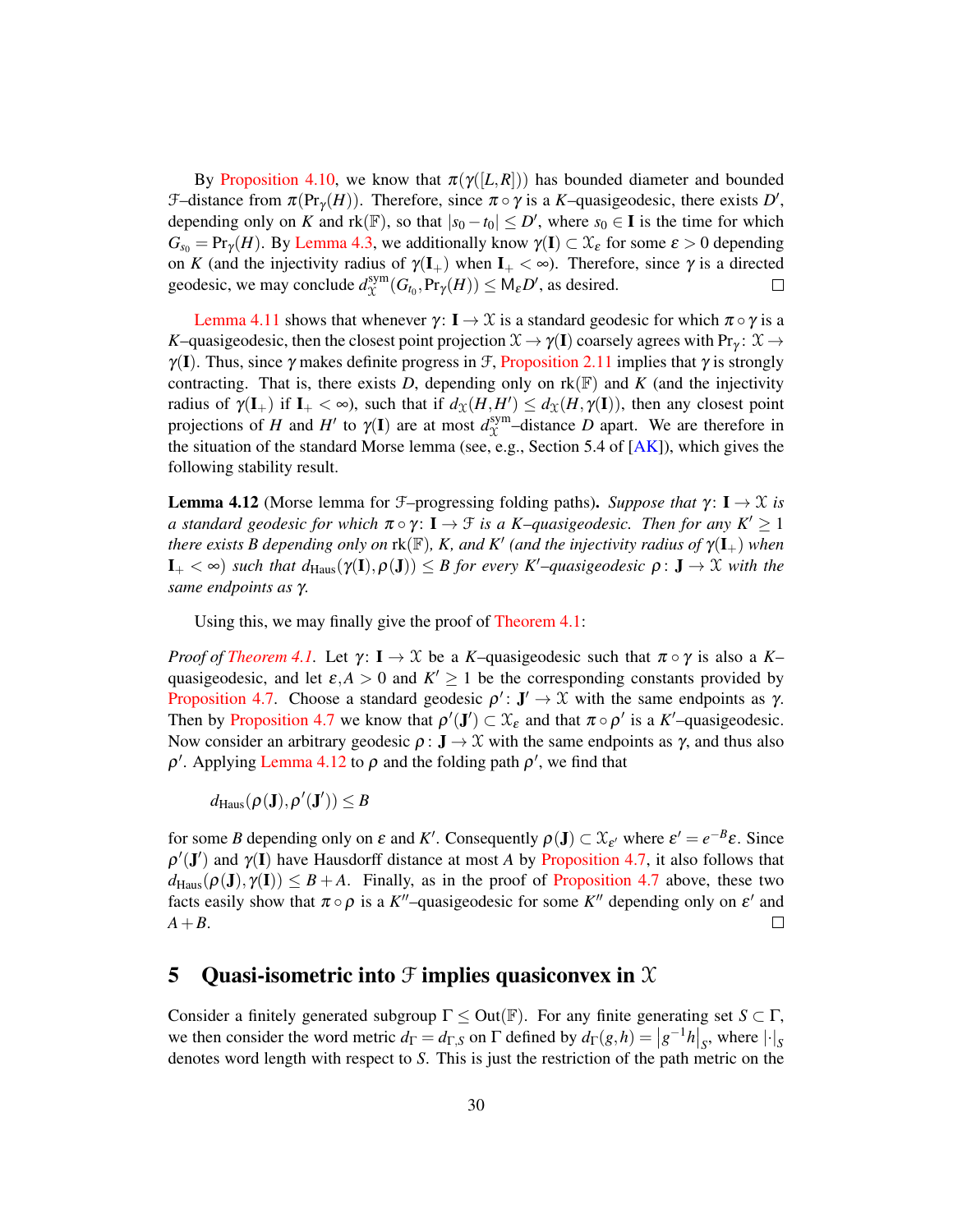By [Proposition 4.10,](#page-27-1) we know that  $\pi(\gamma([L,R]))$  has bounded diameter and bounded  $\mathcal{F}-$ distance from  $\pi(\Pr_{\gamma}(H))$ . Therefore, since  $\pi \circ \gamma$  is a *K*-quasigeodesic, there exists *D'*, depending only on *K* and  $rk(\mathbb{F})$ , so that  $|s_0 - t_0| \le D'$ , where  $s_0 \in \mathbf{I}$  is the time for which  $G_{s_0} = \Pr_Y(H)$ . By [Lemma 4.3,](#page-21-0) we additionally know  $\gamma(I) \subset \mathfrak{X}_{\varepsilon}$  for some  $\varepsilon > 0$  depending on *K* (and the injectivity radius of  $\gamma(I_+)$  when  $I_+ < \infty$ ). Therefore, since  $\gamma$  is a directed geodesic, we may conclude  $d_{\Upsilon}^{\text{sym}}$  $X^{\text{sym}}_{\mathcal{X}}(G_{t_0}, \text{Pr}_{\gamma}(H)) \leq \mathsf{M}_{\varepsilon}D'$ , as desired.  $\Box$ 

[Lemma 4.11](#page-28-0) shows that whenever  $\gamma: I \to \mathcal{X}$  is a standard geodesic for which  $\pi \circ \gamma$  is a *K*–quasigeodesic, then the closest point projection  $\mathcal{X} \to \gamma(\mathbf{I})$  coarsely agrees with Pr<sub>γ</sub>:  $\mathcal{X} \to$  $\gamma(I)$ . Thus, since  $\gamma$  makes definite progress in  $\mathcal{F}$ , [Proposition 2.11](#page-16-1) implies that  $\gamma$  is strongly contracting. That is, there exists *D*, depending only on  $rk(\mathbb{F})$  and *K* (and the injectivity radius of  $\gamma(\mathbf{I}_{+})$  if  $\mathbf{I}_{+} < \infty$ ), such that if  $d_{\mathfrak{X}}(H, H') \leq d_{\mathfrak{X}}(H, \gamma(\mathbf{I}))$ , then any closest point projections of *H* and *H'* to  $\gamma$ (I) are at most  $d_{\chi}^{\text{sym}}$  $X^{\text{sym}}$ -distance *D* apart. We are therefore in the situation of the standard Morse lemma (see, e.g., Section 5.4 of  $[AK]$ ), which gives the following stability result.

<span id="page-29-1"></span>**Lemma 4.12** (Morse lemma for  $\mathcal{F}-$ progressing folding paths). *Suppose that*  $\gamma: I \to \mathcal{X}$  *is a standard geodesic for which*  $\pi \circ \gamma$ :  $I \to \mathcal{F}$  *is a K–quasigeodesic. Then for any K'*  $\geq 1$ *there exists B depending only on*  $\text{rk}(\mathbb{F})$ , *K*, and *K'* (and the injectivity radius of  $\gamma(\mathbf{I}_{+})$  when  $\mathbf{I}_{+}<\infty$ ) *such that d*<sub>Haus</sub>( $\gamma(\mathbf{I}), \rho(\mathbf{J})\leq B$  for every K<sup>*l*</sup>-quasigeodesic  $\rho: \mathbf{J} \to \mathcal{X}$  with the *same endpoints as* γ*.*

Using this, we may finally give the proof of [Theorem 4.1:](#page-20-1)

*Proof of [Theorem 4.1.](#page-20-1)* Let  $\gamma: I \to \mathcal{X}$  be a *K*-quasigeodesic such that  $\pi \circ \gamma$  is also a *K*quasigeodesic, and let  $\varepsilon$ , $A > 0$  and  $K' \ge 1$  be the corresponding constants provided by [Proposition 4.7.](#page-26-1) Choose a standard geodesic  $\rho' : \mathbf{J}' \to \mathcal{X}$  with the same endpoints as  $\gamma$ . Then by [Proposition 4.7](#page-26-1) we know that  $\rho'(J') \subset \mathcal{X}_{\varepsilon}$  and that  $\pi \circ \rho'$  is a *K*'-quasigeodesic. Now consider an arbitrary geodesic  $\rho: \mathbf{J} \to \mathcal{X}$  with the same endpoints as  $\gamma$ , and thus also  $\rho'$ . Applying [Lemma 4.12](#page-29-1) to  $\rho$  and the folding path  $\rho'$ , we find that

 $d_{\text{Haus}}(\rho(\mathbf{J}), \rho'(\mathbf{J}')) \leq B$ 

for some *B* depending only on  $\varepsilon$  and  $K'$ . Consequently  $\rho(\mathbf{J}) \subset \mathfrak{X}_{\varepsilon'}$  where  $\varepsilon' = e^{-B}\varepsilon$ . Since  $\rho'(\mathbf{J}')$  and  $\gamma(\mathbf{I})$  have Hausdorff distance at most *A* by [Proposition 4.7,](#page-26-1) it also follows that  $d_{\text{Haus}}(\rho(\mathbf{J}), \gamma(\mathbf{I})) \leq B + A$ . Finally, as in the proof of [Proposition 4.7](#page-26-1) above, these two facts easily show that  $\pi \circ \rho$  is a K<sup>''</sup>-quasigeodesic for some K<sup>''</sup> depending only on  $\varepsilon'$  and *A*+*B*.  $\Box$ 

## <span id="page-29-0"></span>5 Quasi-isometric into  $\mathfrak F$  implies quasiconvex in  $\mathfrak X$

Consider a finitely generated subgroup  $\Gamma \leq Out(\mathbb{F})$ . For any finite generating set  $S \subset \Gamma$ , we then consider the word metric  $d_{\Gamma} = d_{\Gamma,S}$  on  $\Gamma$  defined by  $d_{\Gamma}(g,h) = |g^{-1}h|_S$ , where  $|\cdot|_S$ denotes word length with respect to *S*. This is just the restriction of the path metric on the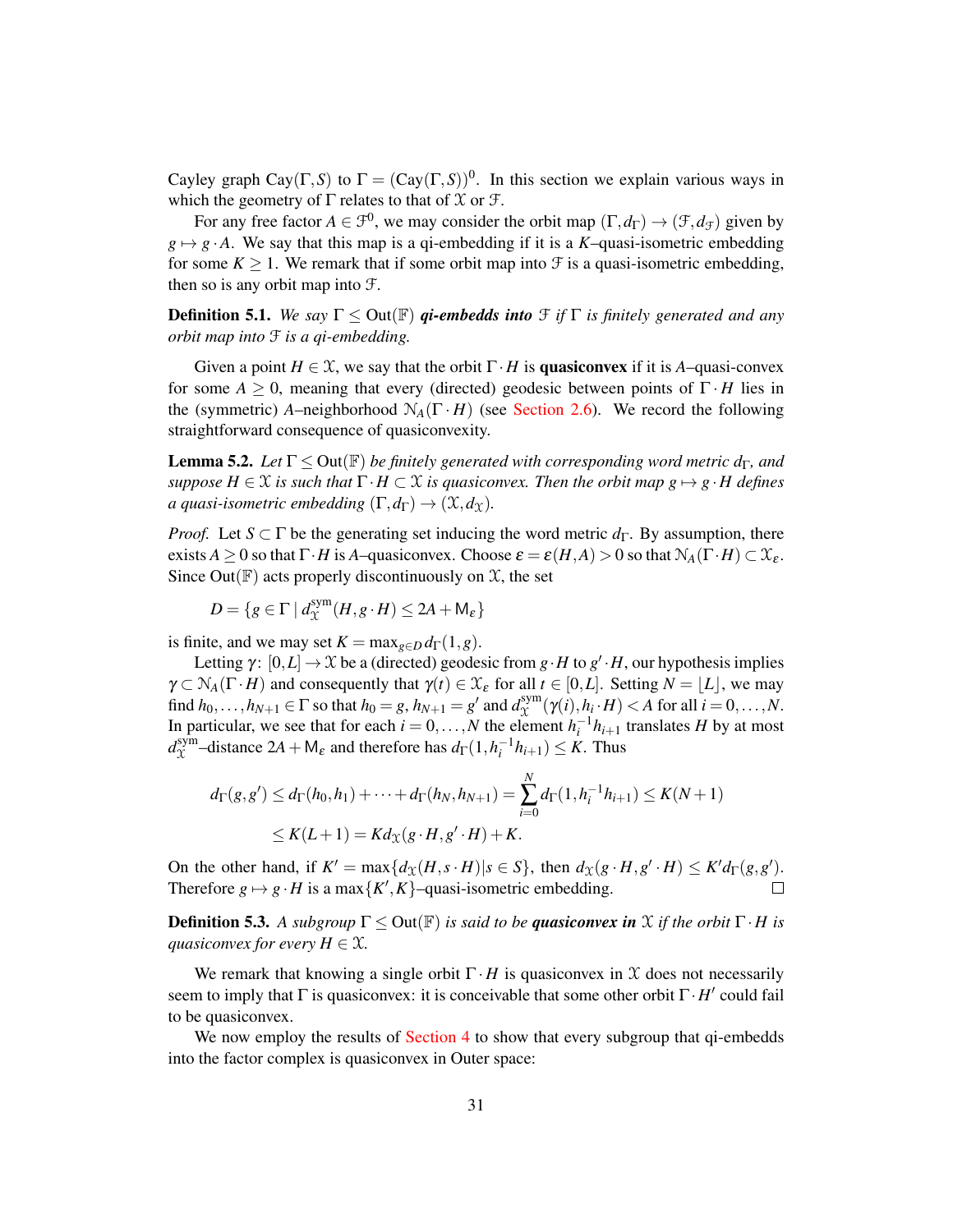Cayley graph Cay( $\Gamma$ , S) to  $\Gamma = (Cay(\Gamma, S))^0$ . In this section we explain various ways in which the geometry of  $\Gamma$  relates to that of  $\mathfrak X$  or  $\mathfrak F$ .

For any free factor  $A \in \mathcal{F}^0$ , we may consider the orbit map  $(\Gamma, d_{\Gamma}) \to (\mathcal{F}, d_{\mathcal{F}})$  given by  $g \mapsto g \cdot A$ . We say that this map is a qi-embedding if it is a *K*–quasi-isometric embedding for some  $K \geq 1$ . We remark that if some orbit map into  $\mathcal F$  is a quasi-isometric embedding, then so is any orbit map into F.

**Definition 5.1.** *We say*  $\Gamma \leq$  Out( $\mathbb{F}$ ) *qi-embedds into*  $\mathcal{F}$  *if*  $\Gamma$  *is finitely generated and any orbit map into* F *is a qi-embedding.*

Given a point  $H \in \mathcal{X}$ , we say that the orbit  $\Gamma \cdot H$  is **quasiconvex** if it is *A*–quasi-convex for some  $A \geq 0$ , meaning that every (directed) geodesic between points of  $\Gamma \cdot H$  lies in the (symmetric) *A*–neighborhood  $N_A(\Gamma \cdot H)$  (see [Section 2.6\)](#page-9-0). We record the following straightforward consequence of quasiconvexity.

<span id="page-30-0"></span>**Lemma 5.2.** *Let*  $\Gamma \leq$  Out( $\mathbb{F}$ ) *be finitely generated with corresponding word metric d<sub>* $\Gamma$ *</sub>, and suppose*  $H \in \mathcal{X}$  *is such that*  $\Gamma \cdot H \subset \mathcal{X}$  *is quasiconvex. Then the orbit map*  $g \mapsto g \cdot H$  *defines a quasi-isometric embedding*  $(\Gamma, d_{\Gamma}) \rightarrow (\mathfrak{X}, d_{\mathfrak{X}})$ .

*Proof.* Let  $S \subset \Gamma$  be the generating set inducing the word metric  $d_{\Gamma}$ . By assumption, there exists *A*  $\geq$  0 so that  $\Gamma \cdot H$  is *A*–quasiconvex. Choose  $\varepsilon = \varepsilon(H, A) > 0$  so that  $\mathcal{N}_A(\Gamma \cdot H) \subset \mathcal{X}_\varepsilon$ . Since Out( $F$ ) acts properly discontinuously on  $X$ , the set

$$
D = \{ g \in \Gamma \mid d_{\mathcal{X}}^{sym}(H, g \cdot H) \leq 2A + M_{\varepsilon} \}
$$

is finite, and we may set  $K = \max_{g \in D} d_{\Gamma}(1, g)$ .

Letting  $\gamma: [0,L] \to \mathcal{X}$  be a (directed) geodesic from  $g \cdot H$  to  $g' \cdot H$ , our hypothesis implies  $\gamma \subset N_A(\Gamma \cdot H)$  and consequently that  $\gamma(t) \in \mathcal{X}_{\varepsilon}$  for all  $t \in [0, L]$ . Setting  $N = |L|$ , we may find  $h_0, \ldots, h_{N+1} \in \Gamma$  so that  $h_0 = g, h_{N+1} = g'$  and  $d_{\mathcal{X}}^{\text{sym}}$  $\chi^{\text{sym}}(\gamma(i), h_i \cdot H) < A$  for all  $i = 0, \ldots, N$ . In particular, we see that for each  $i = 0, \ldots, N$  the element  $h_i^{-1}h_{i+1}$  translates *H* by at most  $d_\Upsilon^{\rm sym}$  $X^{\text{sym}}_{\chi}$  –distance 2*A* + M<sub>ε</sub> and therefore has  $d_{\Gamma}(1, h_i^{-1}h_{i+1}) \leq K$ . Thus

$$
d_{\Gamma}(g,g') \leq d_{\Gamma}(h_0,h_1) + \dots + d_{\Gamma}(h_N,h_{N+1}) = \sum_{i=0}^{N} d_{\Gamma}(1,h_i^{-1}h_{i+1}) \leq K(N+1)
$$
  
 
$$
\leq K(L+1) = Kd_{\mathcal{X}}(g \cdot H,g' \cdot H) + K.
$$

On the other hand, if  $K' = \max\{d_{\mathfrak{X}}(H, s \cdot H) | s \in S\}$ , then  $d_{\mathfrak{X}}(g \cdot H, g' \cdot H) \leq K'd_{\Gamma}(g, g')$ . Therefore  $g \mapsto g \cdot H$  is a max $\{K', K\}$ –quasi-isometric embedding.  $\Box$ 

**Definition 5.3.** A subgroup  $\Gamma \leq Out(\mathbb{F})$  is said to be **quasiconvex in**  $\mathcal X$  if the orbit  $\Gamma \cdot H$  is *guasiconvex for every*  $H \in \mathcal{X}$ *.* 

We remark that knowing a single orbit  $\Gamma \cdot H$  is quasiconvex in X does not necessarily seem to imply that  $\Gamma$  is quasiconvex: it is conceivable that some other orbit  $\Gamma \cdot H'$  could fail to be quasiconvex.

We now employ the results of [Section 4](#page-20-0) to show that every subgroup that qi-embedds into the factor complex is quasiconvex in Outer space: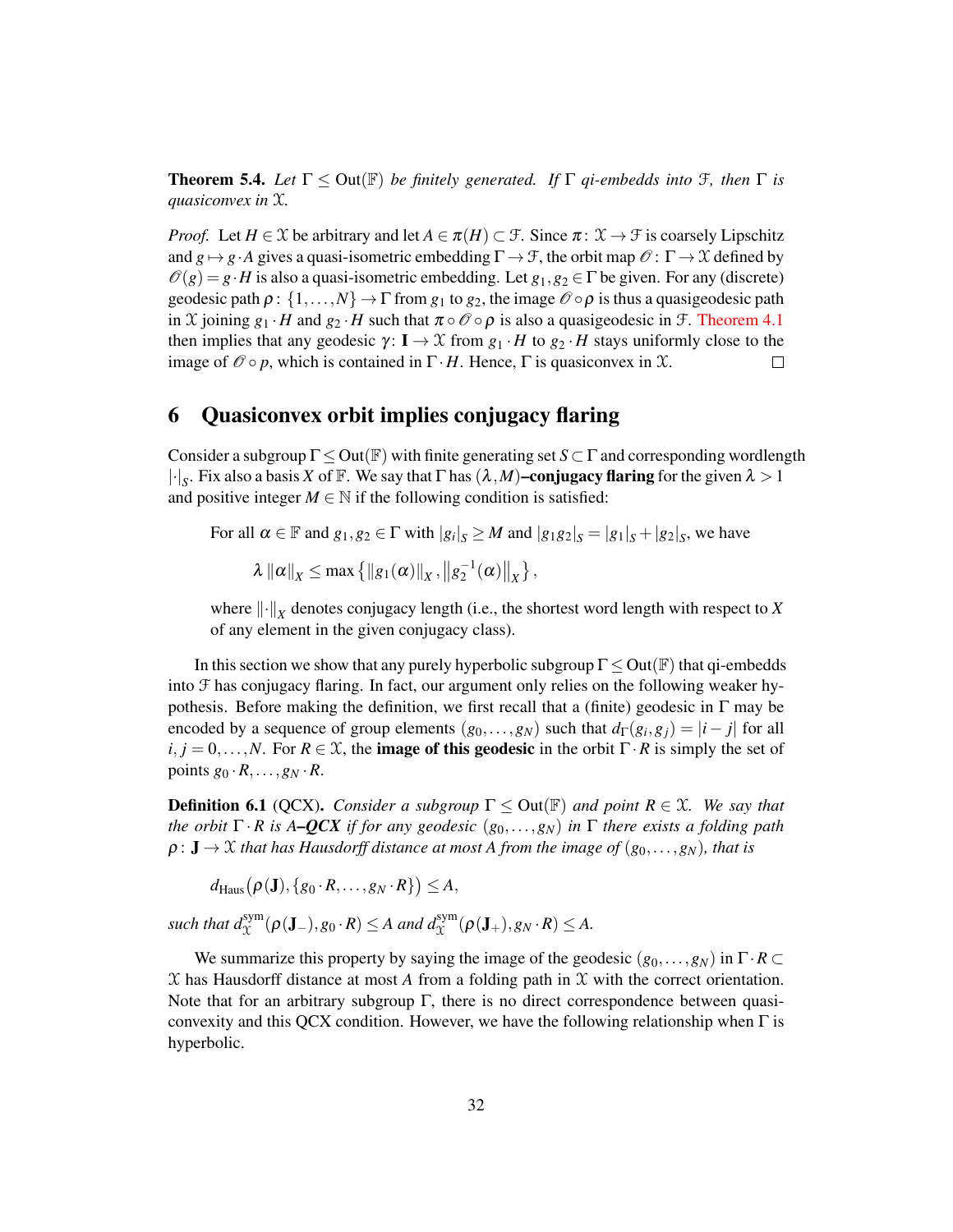<span id="page-31-1"></span>**Theorem 5.4.** Let  $\Gamma \leq$  Out( $\mathbb{F}$ ) *be finitely generated.* If  $\Gamma$  *qi-embedds into*  $\mathcal{F}$ *, then*  $\Gamma$  *is quasiconvex in* X*.*

*Proof.* Let  $H \in \mathcal{X}$  be arbitrary and let  $A \in \pi(H) \subset \mathcal{F}$ . Since  $\pi: \mathcal{X} \to \mathcal{F}$  is coarsely Lipschitz and  $g \mapsto g \cdot A$  gives a quasi-isometric embedding  $\Gamma \to \mathcal{F}$ , the orbit map  $\mathcal{O} : \Gamma \to \mathcal{X}$  defined by  $\mathcal{O}(g) = g \cdot H$  is also a quasi-isometric embedding. Let  $g_1, g_2 \in \Gamma$  be given. For any (discrete) geodesic path  $\rho: \{1,\ldots,N\} \to \Gamma$  from  $g_1$  to  $g_2$ , the image  $\mathcal{O} \circ \rho$  is thus a quasigeodesic path in X joining  $g_1 \cdot H$  and  $g_2 \cdot H$  such that  $\pi \circ \mathcal{O} \circ \rho$  is also a quasigeodesic in  $\mathcal{F}$ . [Theorem 4.1](#page-20-1) then implies that any geodesic  $\gamma: I \to \mathcal{X}$  from  $g_1 \cdot H$  to  $g_2 \cdot H$  stays uniformly close to the image of  $\mathcal{O} \circ p$ , which is contained in  $\Gamma \cdot H$ . Hence,  $\Gamma$  is quasiconvex in  $\mathcal{X}$ .  $\Box$ 

## <span id="page-31-0"></span>6 Quasiconvex orbit implies conjugacy flaring

Consider a subgroup  $\Gamma \leq Out(\mathbb{F})$  with finite generating set  $S \subset \Gamma$  and corresponding wordlength  $|\cdot|_S$ . Fix also a basis *X* of F. We say that  $\Gamma$  has  $(\lambda, M)$ –conjugacy flaring for the given  $\lambda > 1$ and positive integer  $M \in \mathbb{N}$  if the following condition is satisfied:

For all  $\alpha \in \mathbb{F}$  and  $g_1, g_2 \in \Gamma$  with  $|g_i|_S \geq M$  and  $|g_1g_2|_S = |g_1|_S + |g_2|_S$ , we have  $\lambda \| \alpha \|_X \leq \max \{ \| g_1(\alpha) \|_X, \| g_2^{-1}(\alpha) \|_X \},$ 

where  $\left\| \cdot \right\|_X$  denotes conjugacy length (i.e., the shortest word length with respect to *X* of any element in the given conjugacy class).

In this section we show that any purely hyperbolic subgroup  $\Gamma \leq Out(\mathbb{F})$  that qi-embedds into F has conjugacy flaring. In fact, our argument only relies on the following weaker hypothesis. Before making the definition, we first recall that a (finite) geodesic in  $\Gamma$  may be encoded by a sequence of group elements  $(g_0, \ldots, g_N)$  such that  $d_{\Gamma}(g_i, g_j) = |i - j|$  for all  $i, j = 0,..., N$ . For  $R \in \mathcal{X}$ , the **image of this geodesic** in the orbit  $\Gamma \cdot R$  is simply the set of points  $g_0 \cdot R, \ldots, g_N \cdot R$ .

**Definition 6.1** (QCX). *Consider a subgroup*  $\Gamma \leq$  Out( $\mathbb{F}$ ) *and point*  $R \in \mathcal{X}$ *. We say that the orbit*  $\Gamma \cdot R$  *is A–QCX if for any geodesic* ( $g_0, \ldots, g_N$ ) *in*  $\Gamma$  *there exists a folding path*  $\rho: \mathbf{J} \to \mathcal{X}$  *that has Hausdorff distance at most A from the image of*  $(g_0, \ldots, g_N)$ *, that is* 

 $d_{\text{Haus}}\big(\boldsymbol{\rho}(\mathbf{J}), \{g_0\cdot R,\ldots,g_N\cdot R\}\big)\leq A,$ 

 $\mathcal{L} \text{ such that } d_{\mathcal{X}}^{\text{sym}}(\rho(\mathbf{J}_{-}), g_0 \cdot R) \leq A \text{ and } d_{\mathcal{X}}^{\text{sym}}(\rho(\mathbf{J}_{+}), g_N \cdot R) \leq A.$ 

<span id="page-31-2"></span>We summarize this property by saying the image of the geodesic  $(g_0, \ldots, g_N)$  in  $\Gamma \cdot R \subset$ X has Hausdorff distance at most *A* from a folding path in X with the correct orientation. Note that for an arbitrary subgroup  $\Gamma$ , there is no direct correspondence between quasiconvexity and this QCX condition. However, we have the following relationship when  $\Gamma$  is hyperbolic.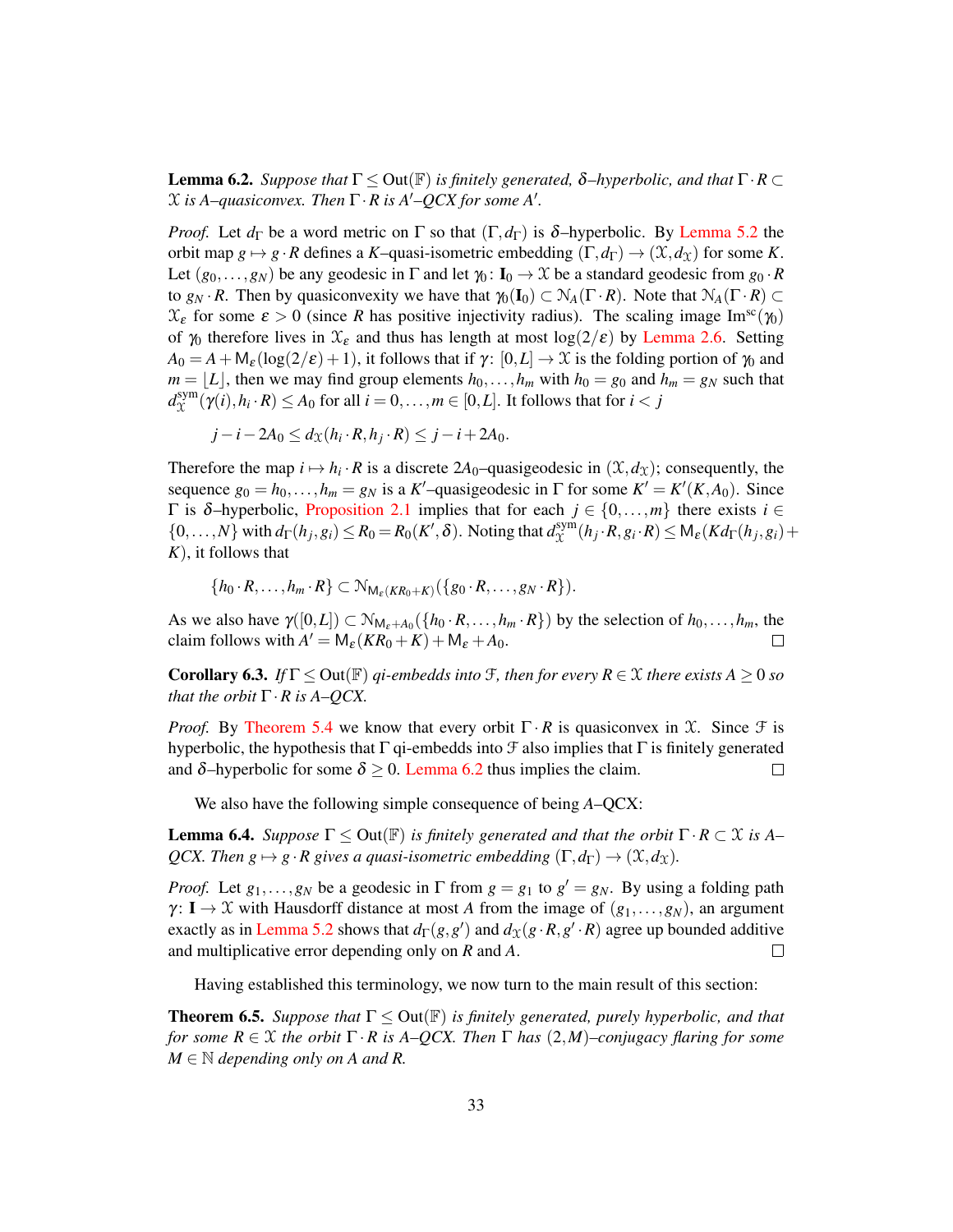**Lemma 6.2.** *Suppose that*  $\Gamma \leq$  Out( $\mathbb{F}$ ) *is finitely generated,* δ–*hyperbolic, and that*  $\Gamma \cdot R \subset$  $X$  is A–quasiconvex. Then  $\Gamma \cdot R$  is A'–QCX for some A'.

*Proof.* Let  $d_{\Gamma}$  be a word metric on  $\Gamma$  so that  $(\Gamma, d_{\Gamma})$  is δ–hyperbolic. By [Lemma 5.2](#page-30-0) the orbit map  $g \mapsto g \cdot R$  defines a *K*–quasi-isometric embedding  $(\Gamma, d_{\Gamma}) \to (\mathfrak{X}, d_{\mathfrak{X}})$  for some *K*. Let  $(g_0, \ldots, g_N)$  be any geodesic in  $\Gamma$  and let  $\gamma_0 : I_0 \to \mathcal{X}$  be a standard geodesic from  $g_0 \cdot R$ to  $g_N \cdot R$ . Then by quasiconvexity we have that  $\gamma_0(I_0) \subset N_A(\Gamma \cdot R)$ . Note that  $N_A(\Gamma \cdot R) \subset$  $\mathcal{X}_{\epsilon}$  for some  $\epsilon > 0$  (since *R* has positive injectivity radius). The scaling image Im<sup>sc</sup>( $\gamma_0$ ) of  $\gamma_0$  therefore lives in  $\mathcal{X}_{\epsilon}$  and thus has length at most log(2/ $\epsilon$ ) by [Lemma 2.6.](#page-14-0) Setting  $A_0 = A + M_{\varepsilon} (\log(2/\varepsilon) + 1)$ , it follows that if  $\gamma : [0, L] \to \mathfrak{X}$  is the folding portion of  $\gamma_0$  and  $m = |L|$ , then we may find group elements  $h_0, \ldots, h_m$  with  $h_0 = g_0$  and  $h_m = g_N$  such that  $d_{\Upsilon}^{\rm sym}$  $\chi^{\text{sym}}_{\mathcal{X}}(\gamma(i), h_i \cdot R) \leq A_0$  for all  $i = 0, \ldots, m \in [0, L]$ . It follows that for  $i < j$ 

$$
j-i-2A_0 \leq d_{\mathfrak{X}}(h_i \cdot R, h_j \cdot R) \leq j-i+2A_0.
$$

Therefore the map  $i \mapsto h_i \cdot R$  is a discrete 2*A*<sub>0</sub>-quasigeodesic in  $(\mathcal{X}, d_{\mathcal{X}})$ ; consequently, the sequence  $g_0 = h_0, \ldots, h_m = g_N$  is a *K*'-quasigeodesic in  $\Gamma$  for some  $K' = K'(K, A_0)$ . Since Γ is δ–hyperbolic, [Proposition 2.1](#page-7-0) implies that for each *j* ∈ {0,...,*m*} there exists *i* ∈  $\{0,\ldots,N\}$  with  $d_{\Gamma}(h_j,g_i) \leq R_0 = R_0(K',\delta)$ . Noting that  $d_{\mathcal{X}}^{\text{sym}}$  $\chi^{\text{sym}}(h_j \cdot R, g_i \cdot R) \leq \mathsf{M}_{\varepsilon}(K d_{\Gamma}(h_j, g_i))$ *K*), it follows that

 $\{h_0 \cdot R, \ldots, h_m \cdot R\} \subset \mathcal{N}_{\mathsf{M}_{\varepsilon}(KR_0+K)}(\{g_0 \cdot R, \ldots, g_N \cdot R\}).$ 

As we also have  $\gamma([0,L]) \subset \mathcal{N}_{M_{\varepsilon}+A_0}(\{h_0 \cdot R,\ldots,h_m \cdot R\})$  by the selection of  $h_0,\ldots,h_m$ , the claim follows with  $A' = M_{\varepsilon}(KR_0 + K) + M_{\varepsilon} + A_0$ . П

<span id="page-32-2"></span>**Corollary 6.3.** *If*  $\Gamma \leq$  Out( $\mathbb{F}$ ) *qi-embedds into*  $\mathcal{F}$ *, then for every*  $R \in \mathcal{X}$  *there exists*  $A \geq 0$  *so that the orbit*  $\Gamma \cdot R$  *is A–QCX.* 

*Proof.* By [Theorem 5.4](#page-31-1) we know that every orbit  $\Gamma \cdot R$  is quasiconvex in X. Since  $\mathcal F$  is hyperbolic, the hypothesis that  $\Gamma$  qi-embedds into  $\mathcal F$  also implies that  $\Gamma$  is finitely generated and  $\delta$ -hyperbolic for some  $\delta \geq 0$ . [Lemma 6.2](#page-31-2) thus implies the claim.  $\Box$ 

We also have the following simple consequence of being *A*–QCX:

<span id="page-32-1"></span>**Lemma 6.4.** *Suppose*  $\Gamma \leq Out(\mathbb{F})$  *is finitely generated and that the orbit*  $\Gamma \cdot R \subset \mathcal{X}$  *is A*– *QCX. Then g*  $\mapsto$  *g · R gives a quasi-isometric embedding*  $(\Gamma, d_{\Gamma}) \rightarrow (\mathfrak{X}, d_{\mathfrak{X}})$ *.* 

*Proof.* Let  $g_1, \ldots, g_N$  be a geodesic in  $\Gamma$  from  $g = g_1$  to  $g' = g_N$ . By using a folding path  $\gamma: I \to \mathcal{X}$  with Hausdorff distance at most *A* from the image of  $(g_1, \ldots, g_N)$ , an argument exactly as in [Lemma 5.2](#page-30-0) shows that  $d_{\Gamma}(g, g')$  and  $d_{\mathcal{X}}(g \cdot R, g' \cdot R)$  agree up bounded additive and multiplicative error depending only on *R* and *A*.  $\Box$ 

Having established this terminology, we now turn to the main result of this section:

<span id="page-32-0"></span>**Theorem 6.5.** *Suppose that*  $\Gamma \leq Out(\mathbb{F})$  *is finitely generated, purely hyperbolic, and that for some R* ∈ X *the orbit* Γ · *R is A–QCX. Then* Γ *has* (2,*M*)*–conjugacy flaring for some*  $M \in \mathbb{N}$  *depending only on A and R.*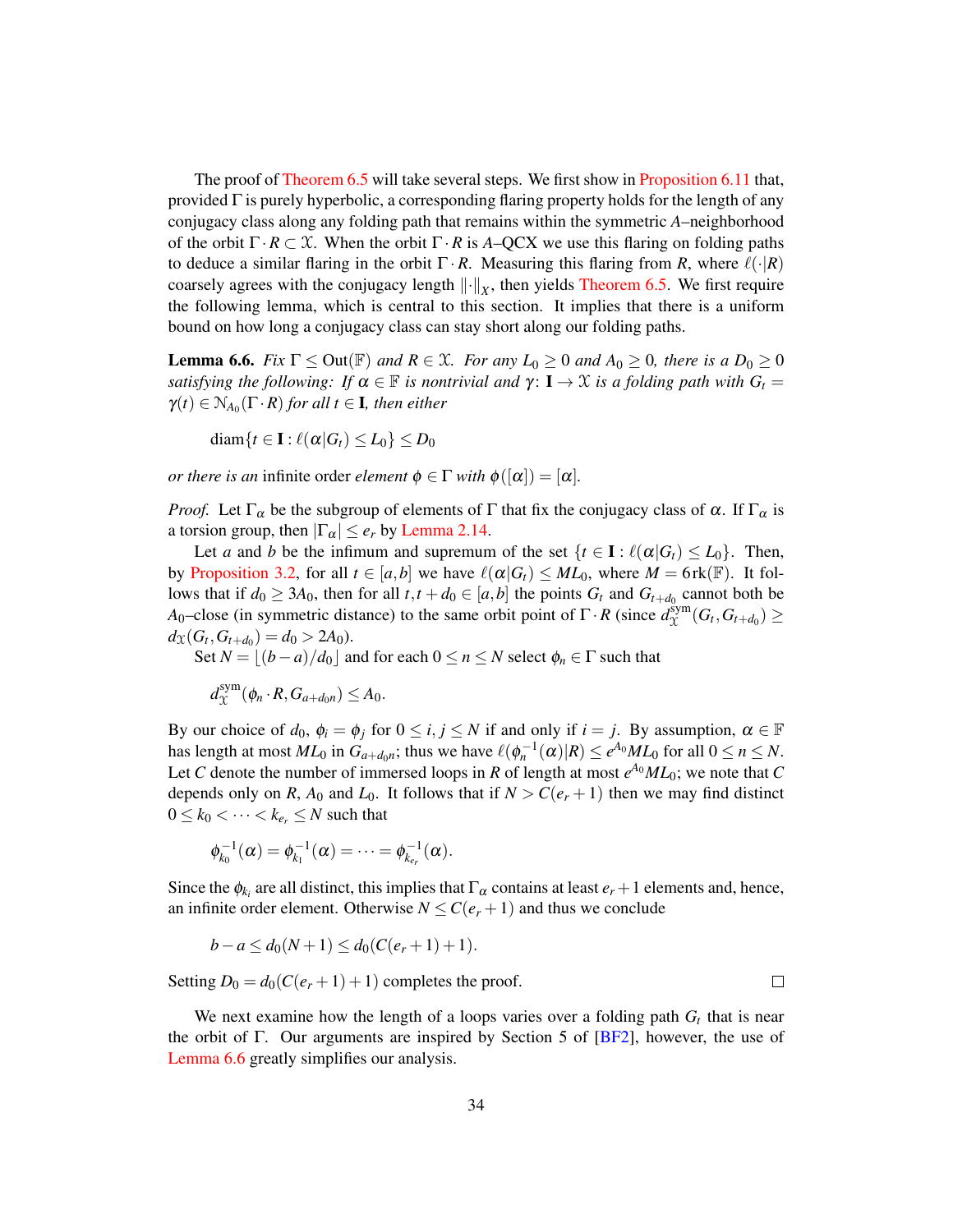The proof of [Theorem 6.5](#page-32-0) will take several steps. We first show in [Proposition 6.11](#page-37-0) that, provided  $\Gamma$  is purely hyperbolic, a corresponding flaring property holds for the length of any conjugacy class along any folding path that remains within the symmetric *A*–neighborhood of the orbit  $\Gamma \cdot R \subset \mathcal{X}$ . When the orbit  $\Gamma \cdot R$  is *A*–QCX we use this flaring on folding paths to deduce a similar flaring in the orbit  $\Gamma \cdot R$ . Measuring this flaring from *R*, where  $\ell(\cdot|R)$ coarsely agrees with the conjugacy length  $\|\cdot\|_X$ , then yields [Theorem 6.5.](#page-32-0) We first require the following lemma, which is central to this section. It implies that there is a uniform bound on how long a conjugacy class can stay short along our folding paths.

<span id="page-33-0"></span>**Lemma 6.6.** *Fix*  $\Gamma \leq Out(\mathbb{F})$  *and*  $R \in \mathcal{X}$ *. For any*  $L_0 \geq 0$  *and*  $A_0 \geq 0$ *, there is a*  $D_0 \geq 0$ *satisfying the following: If*  $\alpha \in \mathbb{F}$  *is nontrivial and*  $\gamma$ :  $I \rightarrow \mathcal{X}$  *is a folding path with*  $G_t =$  $\gamma(t) \in N_{A_0}(\Gamma \cdot R)$  for all  $t \in I$ , then either

$$
\mathrm{diam}\{t\in\mathbf{I}:\ell(\boldsymbol{\alpha}|G_t)\leq L_0\}\leq D_0
$$

*or there is an* infinite order *element*  $\phi \in \Gamma$  *with*  $\phi([\alpha]) = [\alpha]$ *.* 

*Proof.* Let  $\Gamma_{\alpha}$  be the subgroup of elements of  $\Gamma$  that fix the conjugacy class of  $\alpha$ . If  $\Gamma_{\alpha}$  is a torsion group, then  $|\Gamma_{\alpha}| \leq e_r$  by [Lemma 2.14.](#page-18-3)

Let *a* and *b* be the infimum and supremum of the set  $\{t \in I : \ell(\alpha | G_t) \leq L_0\}$ . Then, by [Proposition 3.2,](#page-19-1) for all  $t \in [a,b]$  we have  $\ell(\alpha|G_t) \leq ML_0$ , where  $M = 6$  rk( $\mathbb{F}$ ). It follows that if  $d_0 \geq 3A_0$ , then for all  $t, t + d_0 \in [a, b]$  the points  $G_t$  and  $G_{t+d_0}$  cannot both be *A*<sub>0</sub>–close (in symmetric distance) to the same orbit point of  $\Gamma \cdot R$  (since  $d_{\mathcal{X}}^{\text{sym}}$  $\chi^{\text{sym}}(G_t, G_{t+d_0}) \geq$  $d_{\mathfrak{X}}(G_t, G_{t+d_0}) = d_0 > 2A_0.$ 

Set  $N = |(b-a)/d_0|$  and for each  $0 \le n \le N$  select  $\phi_n \in \Gamma$  such that

 $d_{\Upsilon}^{\rm sym}$  $X^{\text{sym}}_{\mathcal{X}}(\phi_n \cdot R, G_{a+d_0 n}) \leq A_0.$ 

By our choice of  $d_0$ ,  $\phi_i = \phi_j$  for  $0 \le i, j \le N$  if and only if  $i = j$ . By assumption,  $\alpha \in \mathbb{F}$ has length at most  $ML_0$  in  $G_{a+d_0n}$ ; thus we have  $\ell(\phi_n^{-1}(\alpha)|R) \le e^{A_0}ML_0$  for all  $0 \le n \le N$ . Let *C* denote the number of immersed loops in *R* of length at most  $e^{A_0}ML_0$ ; we note that *C* depends only on *R*,  $A_0$  and  $L_0$ . It follows that if  $N > C(e_r + 1)$  then we may find distinct  $0 \leq k_0 < \cdots < k_{e_r} \leq N$  such that

$$
\phi_{k_0}^{-1}(\alpha) = \phi_{k_1}^{-1}(\alpha) = \cdots = \phi_{k_{e_r}}^{-1}(\alpha).
$$

Since the  $\phi_{k_i}$  are all distinct, this implies that  $\Gamma_\alpha$  contains at least  $e_r + 1$  elements and, hence, an infinite order element. Otherwise  $N \leq C(e_r + 1)$  and thus we conclude

$$
b-a \leq d_0(N+1) \leq d_0(C(e_r+1)+1).
$$

Setting  $D_0 = d_0(C(e_r + 1) + 1)$  completes the proof.

We next examine how the length of a loops varies over a folding path  $G_t$  that is near the orbit of Γ. Our arguments are inspired by Section 5 of  $[BF2]$ , however, the use of [Lemma 6.6](#page-33-0) greatly simplifies our analysis.

 $\Box$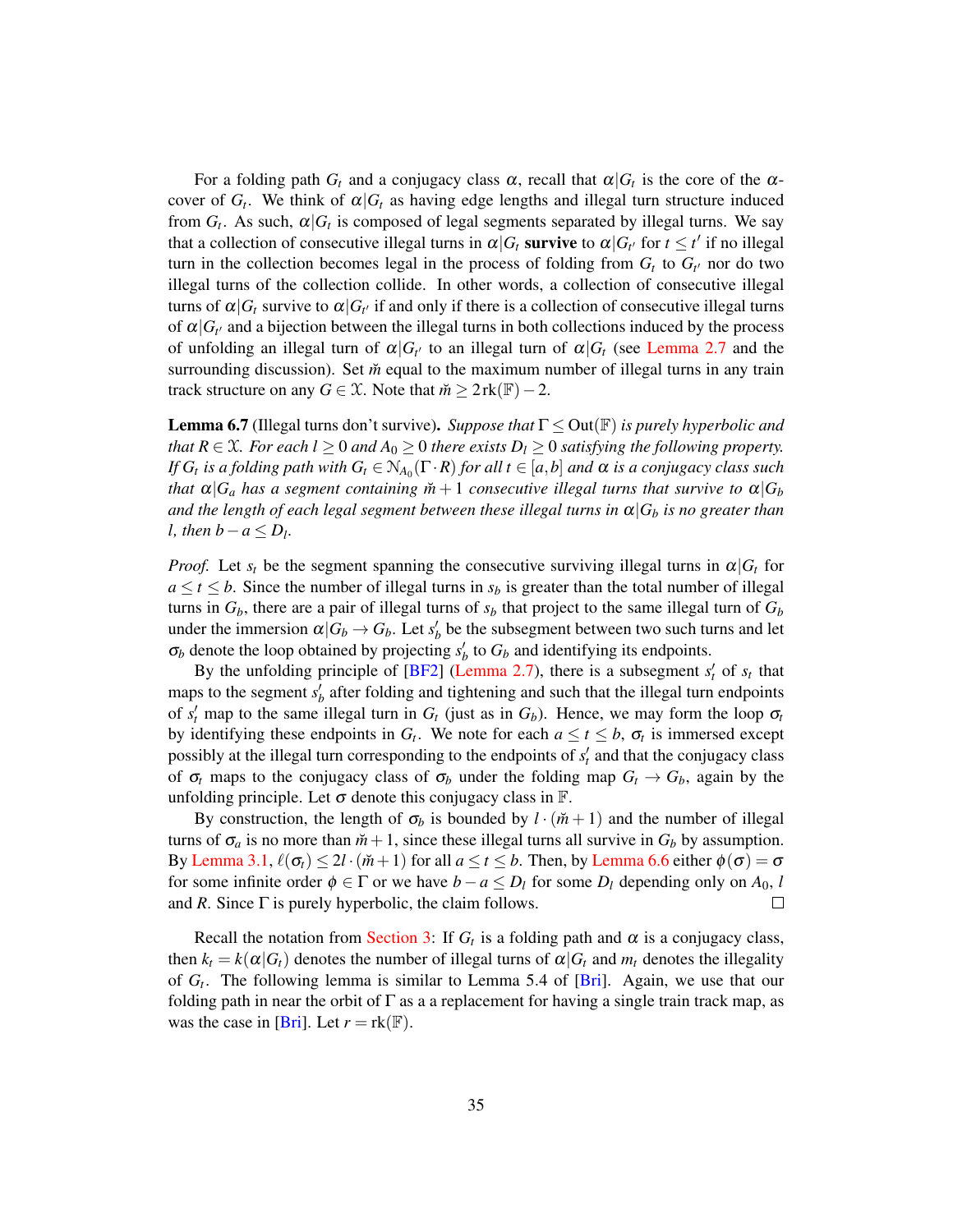For a folding path  $G_t$  and a conjugacy class  $\alpha$ , recall that  $\alpha|G_t$  is the core of the  $\alpha$ cover of  $G_t$ . We think of  $\alpha | G_t$  as having edge lengths and illegal turn structure induced from  $G_t$ . As such,  $\alpha | G_t$  is composed of legal segments separated by illegal turns. We say that a collection of consecutive illegal turns in  $\alpha|G_t$  survive to  $\alpha|G_{t'}$  for  $t \leq t'$  if no illegal turn in the collection becomes legal in the process of folding from  $G_t$  to  $G_{t'}$  nor do two illegal turns of the collection collide. In other words, a collection of consecutive illegal turns of  $\alpha|G_t$  survive to  $\alpha|G_{t'}$  if and only if there is a collection of consecutive illegal turns of  $\alpha|G_{t'}$  and a bijection between the illegal turns in both collections induced by the process of unfolding an illegal turn of  $\alpha | G_t$  to an illegal turn of  $\alpha | G_t$  (see [Lemma 2.7](#page-15-1) and the surrounding discussion). Set  $\ddot{m}$  equal to the maximum number of illegal turns in any train track structure on any *G* ∈  $\mathcal{X}$ . Note that  $\breve{m} \geq 2$  rk( $\mathbb{F}$ ) − 2.

<span id="page-34-0"></span>Lemma 6.7 (Illegal turns don't survive). *Suppose that* Γ ≤ Out(F) *is purely hyperbolic and that*  $R \in \mathcal{X}$ *. For each l*  $\geq 0$  *and*  $A_0 \geq 0$  *there exists*  $D_l \geq 0$  *satisfying the following property. If*  $G_t$  is a folding path with  $G_t \in N_{A_0}(\Gamma \cdot R)$  for all  $t \in [a,b]$  and  $\alpha$  is a conjugacy class such *that*  $\alpha |G_a|$  *has a segment containing*  $\tilde{m} + 1$  *consecutive illegal turns that survive to*  $\alpha |G_b|$ *and the length of each legal segment between these illegal turns in*  $\alpha |G_b$  *is no greater than l*, then  $b - a \le D_l$ .

*Proof.* Let  $s_t$  be the segment spanning the consecutive surviving illegal turns in  $\alpha | G_t$  for  $a \le t \le b$ . Since the number of illegal turns in  $s_b$  is greater than the total number of illegal turns in  $G_b$ , there are a pair of illegal turns of  $s_b$  that project to the same illegal turn of  $G_b$ under the immersion  $\alpha | G_b \to G_b$ . Let  $s'_b$  be the subsegment between two such turns and let  $\sigma_b$  denote the loop obtained by projecting  $s'_b$  to  $G_b$  and identifying its endpoints.

By the unfolding principle of  $[BF2]$  [\(Lemma 2.7\)](#page-15-1), there is a subsegment  $s'_t$  of  $s_t$  that maps to the segment  $s_b$  after folding and tightening and such that the illegal turn endpoints of  $s'_t$  map to the same illegal turn in  $G_t$  (just as in  $G_b$ ). Hence, we may form the loop  $\sigma_t$ by identifying these endpoints in  $G_t$ . We note for each  $a \le t \le b$ ,  $\sigma_t$  is immersed except possibly at the illegal turn corresponding to the endpoints of  $s_t'$  and that the conjugacy class of  $\sigma_t$  maps to the conjugacy class of  $\sigma_b$  under the folding map  $G_t \to G_b$ , again by the unfolding principle. Let  $\sigma$  denote this conjugacy class in  $\mathbb{F}$ .

By construction, the length of  $\sigma_b$  is bounded by  $l \cdot (\check{m} + 1)$  and the number of illegal turns of  $\sigma_a$  is no more than  $\tilde{m}+1$ , since these illegal turns all survive in  $G_b$  by assumption. By [Lemma 3.1,](#page-18-2)  $\ell(\sigma_t) \leq 2l \cdot (\check{m}+1)$  for all  $a \leq t \leq b$ . Then, by [Lemma 6.6](#page-33-0) either  $\phi(\sigma) = \sigma$ for some infinite order  $\phi \in \Gamma$  or we have  $b - a \leq D_l$  for some  $D_l$  depending only on  $A_0$ , *l* and *R*. Since  $\Gamma$  is purely hyperbolic, the claim follows. П

<span id="page-34-1"></span>Recall the notation from [Section 3:](#page-18-0) If  $G_t$  is a folding path and  $\alpha$  is a conjugacy class, then  $k_t = k(\alpha | G_t)$  denotes the number of illegal turns of  $\alpha | G_t$  and  $m_t$  denotes the illegality of *G<sup>t</sup>* . The following lemma is similar to Lemma 5.4 of [\[Bri\]](#page-48-2). Again, we use that our folding path in near the orbit of  $\Gamma$  as a a replacement for having a single train track map, as was the case in [\[Bri\]](#page-48-2). Let  $r = \text{rk}(\mathbb{F})$ .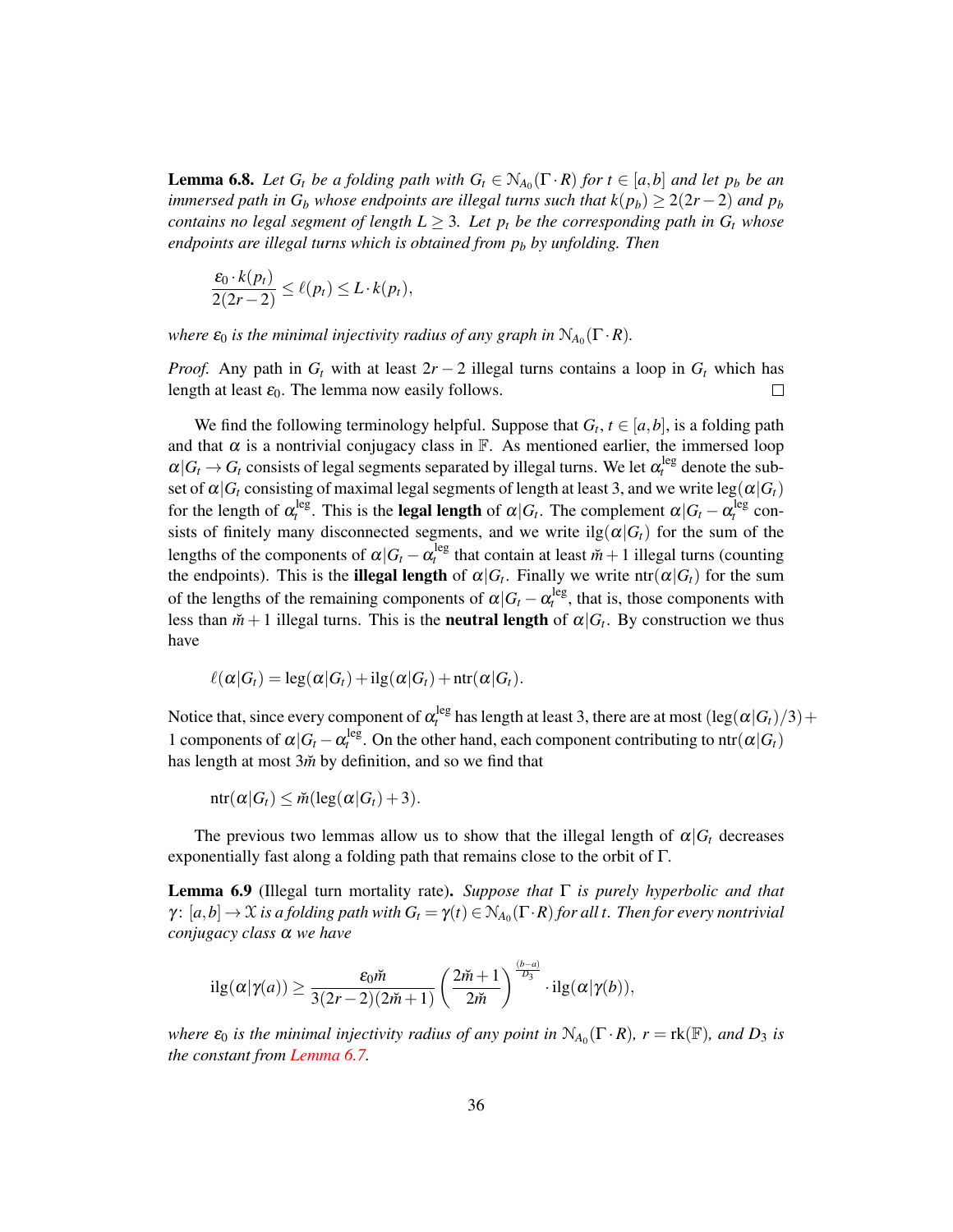**Lemma 6.8.** Let  $G_t$  be a folding path with  $G_t \in N_{A_0}(\Gamma \cdot R)$  for  $t \in [a,b]$  and let  $p_b$  be an *immersed path in*  $G_b$  *whose endpoints are illegal turns such that*  $k(p_b) \geq 2(2r - 2)$  *and*  $p_b$ *contains no legal segment of length*  $L \geq 3$ *. Let*  $p_t$  *be the corresponding path in*  $G_t$  *whose endpoints are illegal turns which is obtained from p<sup>b</sup> by unfolding. Then*

$$
\frac{\varepsilon_0 \cdot k(p_t)}{2(2r-2)} \leq \ell(p_t) \leq L \cdot k(p_t),
$$

*where*  $\varepsilon_0$  *is the minimal injectivity radius of any graph in*  $N_{A_0}(\Gamma \cdot R)$ *.* 

*Proof.* Any path in  $G_t$  with at least  $2r - 2$  illegal turns contains a loop in  $G_t$  which has length at least  $\varepsilon_0$ . The lemma now easily follows.  $\Box$ 

We find the following terminology helpful. Suppose that  $G_t$ ,  $t \in [a, b]$ , is a folding path and that  $\alpha$  is a nontrivial conjugacy class in  $\mathbb{F}$ . As mentioned earlier, the immersed loop  $\alpha | G_t \to G_t$  consists of legal segments separated by illegal turns. We let  $\alpha_t^{\text{leg}}$  denote the subset of  $\alpha | G_t$  consisting of maximal legal segments of length at least 3, and we write leg( $\alpha | G_t$ ) for the length of  $\alpha_t^{leg}$ . This is the **legal length** of  $\alpha|G_t$ . The complement  $\alpha|G_t - \alpha_t^{leg}$  consists of finitely many disconnected segments, and we write  $\text{ilg}(\alpha|G_t)$  for the sum of the lengths of the components of  $\alpha | G_t - \alpha_t^{\text{leg}}$  that contain at least  $\check{m}+1$  illegal turns (counting the endpoints). This is the **illegal length** of  $\alpha|G_t$ . Finally we write ntr $(\alpha|G_t)$  for the sum of the lengths of the remaining components of  $\alpha | G_t - \alpha_t^{\text{leg}}$ , that is, those components with less than  $\tilde{m}+1$  illegal turns. This is the **neutral length** of  $\alpha|G_t$ . By construction we thus have

$$
\ell(\alpha|G_t) = \log(\alpha|G_t) + \mathrm{ilg}(\alpha|G_t) + \mathrm{ntr}(\alpha|G_t).
$$

Notice that, since every component of  $\alpha_t^{\text{leg}}$  has length at least 3, there are at most  $(\text{leg}(\alpha|G_t)/3)+$ 1 components of  $\alpha | G_t - \alpha_t^{\text{leg}}$ . On the other hand, each component contributing to ntr $(\alpha | G_t)$ has length at most 3 $\tilde{m}$  by definition, and so we find that

 $ntr(\alpha|G_t) \leq \tilde{m}(\text{leg}(\alpha|G_t) + 3).$ 

The previous two lemmas allow us to show that the illegal length of  $\alpha|G_t$  decreases exponentially fast along a folding path that remains close to the orbit of Γ.

<span id="page-35-0"></span>Lemma 6.9 (Illegal turn mortality rate). *Suppose that* Γ *is purely hyperbolic and that*  $\gamma\colon [a,b]\to \mathfrak X$  is a folding path with  $G_t=\gamma(t)\in \mathbb N_{A_0}(\Gamma\cdot R)$  for all t. Then for every nontrivial *conjugacy class* α *we have*

$$
i\lg(\alpha|\gamma(a)) \geq \frac{\varepsilon_0 \check{m}}{3(2r-2)(2\check{m}+1)} \left(\frac{2\check{m}+1}{2\check{m}}\right)^{\frac{(b-a)}{D_3}} \cdot i\lg(\alpha|\gamma(b)),
$$

*where*  $\varepsilon_0$  *is the minimal injectivity radius of any point in*  $\mathcal{N}_{A_0}(\Gamma \cdot R)$ ,  $r = \text{rk}(\mathbb{F})$ , and  $D_3$  *is the constant from [Lemma 6.7.](#page-34-0)*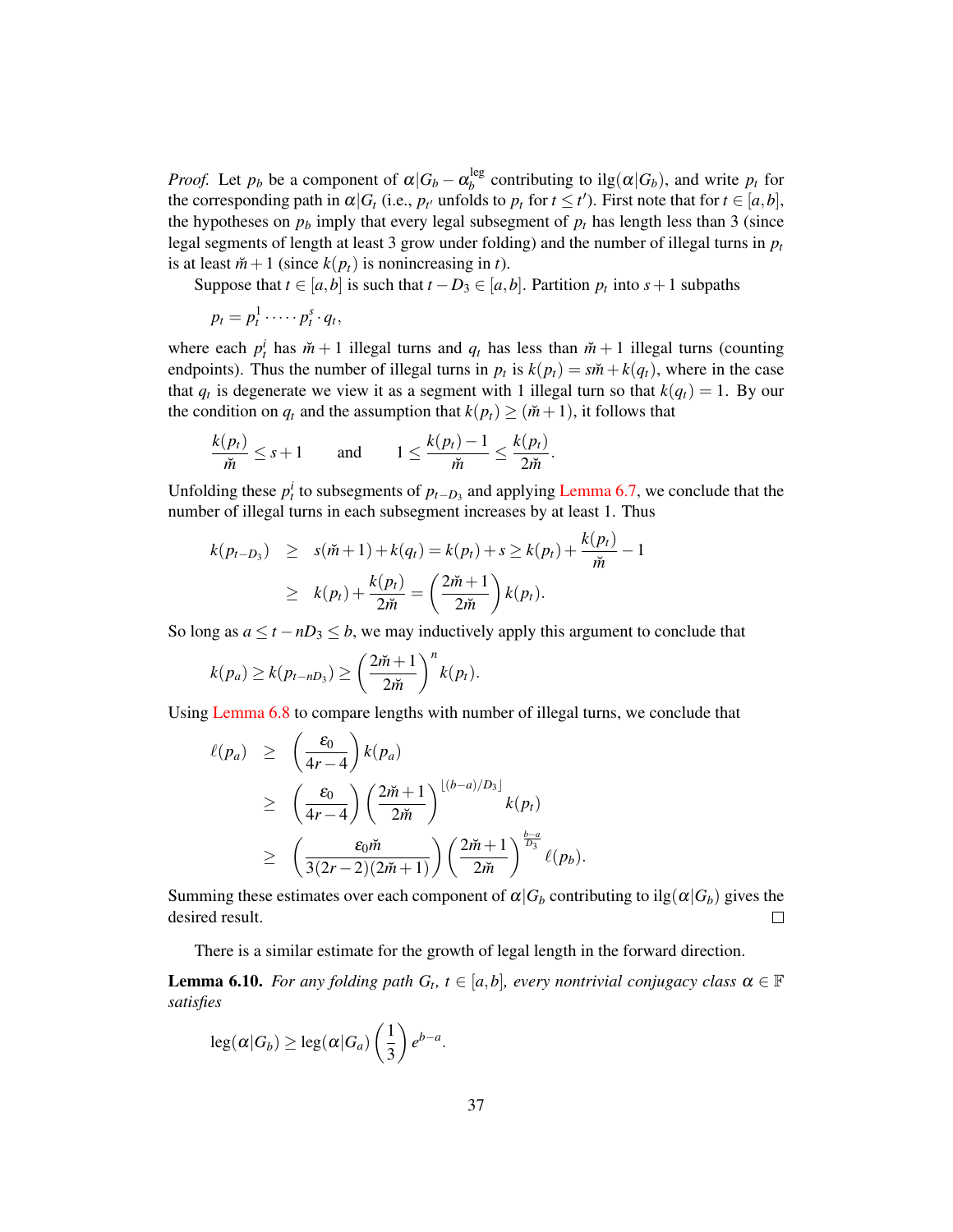*Proof.* Let  $p_b$  be a component of  $\alpha | G_b - \alpha_b^{\text{leg}}$  $b_b^{\text{leg}}$  contributing to ilg( $\alpha | G_b$ ), and write  $p_t$  for the corresponding path in  $\alpha | G_t$  (i.e.,  $p_{t'}$  unfolds to  $p_t$  for  $t \leq t'$ ). First note that for  $t \in [a,b]$ , the hypotheses on  $p_b$  imply that every legal subsegment of  $p_t$  has length less than 3 (since legal segments of length at least 3 grow under folding) and the number of illegal turns in  $p_t$ is at least  $\check{m}+1$  (since  $k(p_t)$  is nonincreasing in *t*).

Suppose that  $t \in [a, b]$  is such that  $t - D_3 \in [a, b]$ . Partition  $p_t$  into  $s + 1$  subpaths

$$
p_t=p_t^1\cdots\cdots p_t^s\cdot q_t,
$$

where each  $p_t^i$  has  $\tilde{m} + 1$  illegal turns and  $q_t$  has less than  $\tilde{m} + 1$  illegal turns (counting endpoints). Thus the number of illegal turns in  $p_t$  is  $k(p_t) = s\ddot{m} + k(q_t)$ , where in the case that  $q_t$  is degenerate we view it as a segment with 1 illegal turn so that  $k(q_t) = 1$ . By our the condition on  $q_t$  and the assumption that  $k(p_t) \geq (m+1)$ , it follows that

$$
\frac{k(p_t)}{\breve{m}} \leq s+1 \quad \text{and} \quad 1 \leq \frac{k(p_t)-1}{\breve{m}} \leq \frac{k(p_t)}{2\breve{m}}.
$$

Unfolding these  $p_t^i$  to subsegments of  $p_{t-D_3}$  and applying [Lemma 6.7,](#page-34-0) we conclude that the number of illegal turns in each subsegment increases by at least 1. Thus

$$
k(p_{t-D_3}) \geq s(\tilde{m}+1) + k(q_t) = k(p_t) + s \geq k(p_t) + \frac{k(p_t)}{\tilde{m}} - 1
$$
  
 
$$
\geq k(p_t) + \frac{k(p_t)}{2\tilde{m}} = \left(\frac{2\tilde{m}+1}{2\tilde{m}}\right)k(p_t).
$$

So long as  $a \le t - nD_3 \le b$ , we may inductively apply this argument to conclude that

$$
k(p_a) \geq k(p_{t-nD_3}) \geq \left(\frac{2m+1}{2m}\right)^n k(p_t).
$$

Using [Lemma 6.8](#page-34-1) to compare lengths with number of illegal turns, we conclude that

$$
\ell(p_a) \ge \left(\frac{\varepsilon_0}{4r-4}\right) k(p_a)
$$
  
\n
$$
\ge \left(\frac{\varepsilon_0}{4r-4}\right) \left(\frac{2\check{m}+1}{2\check{m}}\right)^{\lfloor (b-a)/D_3 \rfloor} k(p_t)
$$
  
\n
$$
\ge \left(\frac{\varepsilon_0 \check{m}}{3(2r-2)(2\check{m}+1)}\right) \left(\frac{2\check{m}+1}{2\check{m}}\right)^{\frac{b-a}{D_3}} \ell(p_b).
$$

Summing these estimates over each component of  $\alpha|G_b$  contributing to ilg( $\alpha|G_b$ ) gives the desired result.  $\Box$ 

There is a similar estimate for the growth of legal length in the forward direction.

<span id="page-36-0"></span>**Lemma 6.10.** *For any folding path*  $G_t$ ,  $t \in [a,b]$ *, every nontrivial conjugacy class*  $\alpha \in \mathbb{F}$ *satisfies*

$$
\operatorname{leg}(\alpha|G_b) \geq \operatorname{leg}(\alpha|G_a) \left(\frac{1}{3}\right) e^{b-a}.
$$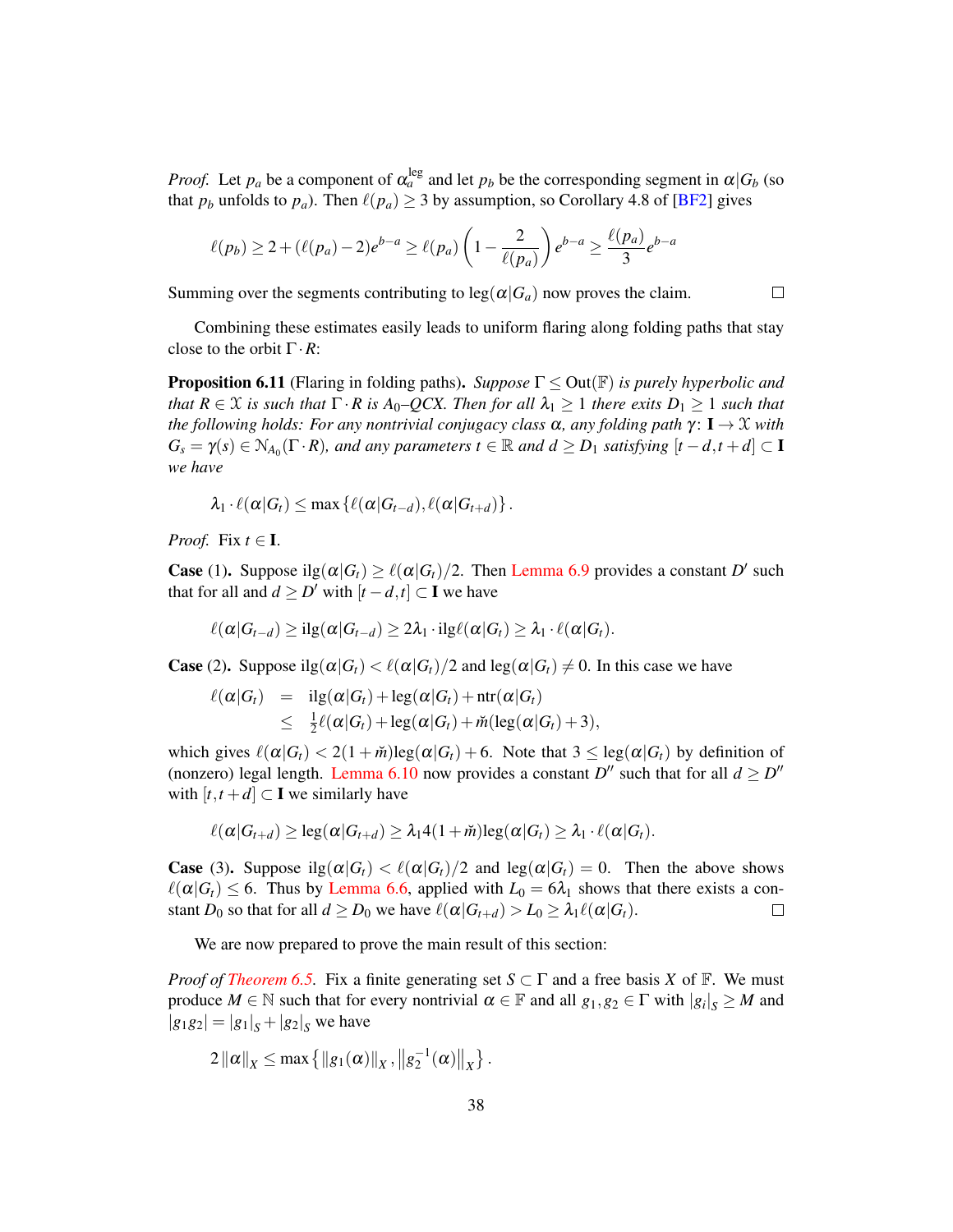*Proof.* Let  $p_a$  be a component of  $\alpha_a^{\text{leg}}$  and let  $p_b$  be the corresponding segment in  $\alpha | G_b$  (so that  $p_b$  unfolds to  $p_a$ ). Then  $\ell(p_a) \geq 3$  by assumption, so Corollary 4.8 of [\[BF2\]](#page-47-1) gives

$$
\ell(p_b) \ge 2 + (\ell(p_a) - 2)e^{b-a} \ge \ell(p_a) \left(1 - \frac{2}{\ell(p_a)}\right) e^{b-a} \ge \frac{\ell(p_a)}{3} e^{b-a}
$$

Summing over the segments contributing to  $\log(\alpha|G_a)$  now proves the claim.

 $\Box$ 

Combining these estimates easily leads to uniform flaring along folding paths that stay close to the orbit Γ·*R*:

<span id="page-37-0"></span>Proposition 6.11 (Flaring in folding paths). *Suppose* Γ ≤ Out(F) *is purely hyperbolic and that*  $R \in \mathcal{X}$  *is such that*  $\Gamma \cdot R$  *is A*<sub>0</sub>–*QCX. Then for all*  $\lambda_1 \geq 1$  *there exits*  $D_1 \geq 1$  *such that the following holds: For any nontrivial conjugacy class*  $\alpha$ *, any folding path*  $\gamma$ :  $I \rightarrow \mathcal{X}$  *with*  $G_s = \gamma(s) \in N_{A_0}(\Gamma \cdot R)$ , and any parameters  $t \in \mathbb{R}$  and  $d \geq D_1$  satisfying  $[t-d, t+d] \subset \Gamma$ *we have*

$$
\lambda_1 \cdot \ell(\alpha|G_t) \leq \max \left\{ \ell(\alpha|G_{t-d}), \ell(\alpha|G_{t+d}) \right\}.
$$

*Proof.* Fix  $t \in I$ .

**Case** (1). Suppose ilg $(\alpha | G_t) \ge \ell(\alpha | G_t)/2$ . Then [Lemma 6.9](#page-35-0) provides a constant *D'* such that for all and  $d \ge D'$  with  $[t - d, t] \subset \mathbf{I}$  we have

$$
\ell(\alpha|G_{t-d}) \geq \mathrm{ilg}(\alpha|G_{t-d}) \geq 2\lambda_1 \cdot \mathrm{ilg}\ell(\alpha|G_t) \geq \lambda_1 \cdot \ell(\alpha|G_t).
$$

**Case** (2). Suppose ilg $(\alpha|G_t) < \ell(\alpha|G_t)/2$  and leg $(\alpha|G_t) \neq 0$ . In this case we have

$$
\ell(\alpha|G_t) = \mathrm{ilg}(\alpha|G_t) + \mathrm{leg}(\alpha|G_t) + \mathrm{ntr}(\alpha|G_t)
$$
  
\n
$$
\leq \frac{1}{2}\ell(\alpha|G_t) + \mathrm{leg}(\alpha|G_t) + \check{m}(\mathrm{leg}(\alpha|G_t) + 3),
$$

which gives  $\ell(\alpha|G_t) < 2(1 + \tilde{m})\log(\alpha|G_t) + 6$ . Note that  $3 \leq \log(\alpha|G_t)$  by definition of (nonzero) legal length. [Lemma 6.10](#page-36-0) now provides a constant  $D''$  such that for all  $d \ge D''$ with  $[t, t + d] \subset \mathbf{I}$  we similarly have

$$
\ell(\alpha|G_{t+d}) \geq \log(\alpha|G_{t+d}) \geq \lambda_1 4(1+\breve{m})\log(\alpha|G_t) \geq \lambda_1 \cdot \ell(\alpha|G_t).
$$

**Case** (3). Suppose  $\text{ilg}(\alpha|G_t) < \ell(\alpha|G_t)/2$  and  $\text{leg}(\alpha|G_t) = 0$ . Then the above shows  $\ell(\alpha|G_t) \leq 6$ . Thus by [Lemma 6.6,](#page-33-0) applied with  $L_0 = 6\lambda_1$  shows that there exists a constant *D*<sup>0</sup> so that for all  $d \geq D_0$  we have  $\ell(\alpha | G_{t+d}) > L_0 \geq \lambda_1 \ell(\alpha | G_t)$ .  $\Box$ 

We are now prepared to prove the main result of this section:

*Proof of [Theorem 6.5.](#page-32-0)* Fix a finite generating set  $S \subset \Gamma$  and a free basis *X* of  $\mathbb{F}$ . We must produce  $M \in \mathbb{N}$  such that for every nontrivial  $\alpha \in \mathbb{F}$  and all  $g_1, g_2 \in \Gamma$  with  $|g_i|_S \geq M$  and  $|g_1g_2| = |g_1|_S + |g_2|_S$  we have

$$
2\|\alpha\|_X \leq \max\left\{ \|g_1(\alpha)\|_X, \|g_2^{-1}(\alpha)\|_X \right\}.
$$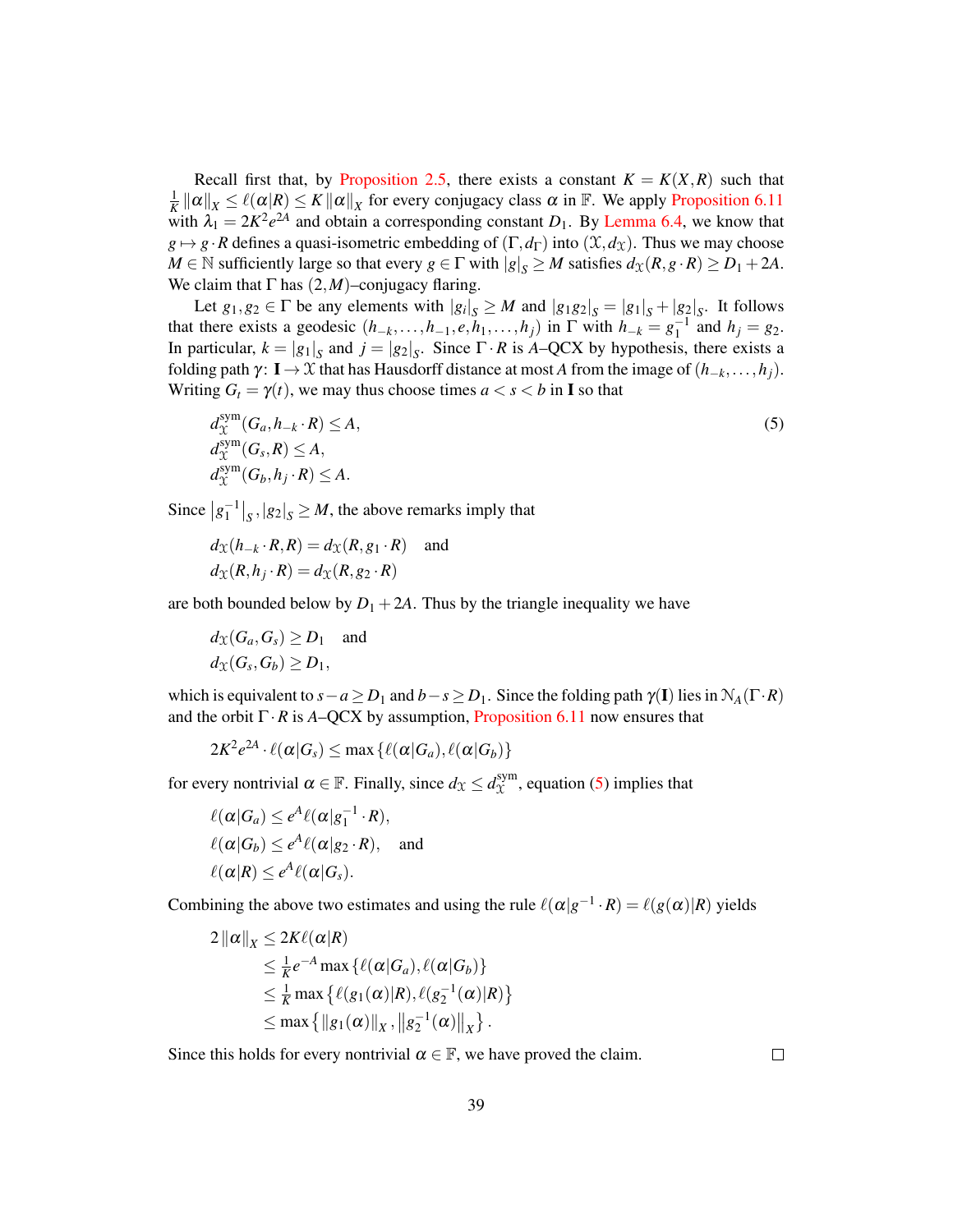Recall first that, by [Proposition 2.5,](#page-12-0) there exists a constant  $K = K(X, R)$  such that  $\frac{1}{K} ||\alpha||_X \leq \ell(\alpha | R) \leq K ||\alpha||_X$  for every conjugacy class  $\alpha$  in  $\mathbb{F}$ . We apply [Proposition 6.11](#page-37-0) with  $\lambda_1 = 2K^2e^{2A}$  and obtain a corresponding constant  $D_1$ . By [Lemma 6.4,](#page-32-1) we know that  $g \mapsto g \cdot R$  defines a quasi-isometric embedding of  $(\Gamma, d_{\Gamma})$  into  $(\mathfrak{X}, d_{\mathfrak{X}})$ . Thus we may choose  $M \in \mathbb{N}$  sufficiently large so that every  $g \in \Gamma$  with  $|g|_S \geq M$  satisfies  $d_X(R, g \cdot R) \geq D_1 + 2A$ . We claim that  $\Gamma$  has  $(2,M)$ –conjugacy flaring.

Let  $g_1, g_2 \in \Gamma$  be any elements with  $|g_i|_S \geq M$  and  $|g_1g_2|_S = |g_1|_S + |g_2|_S$ . It follows that there exists a geodesic  $(h_{-k},...,h_{-1},e,h_1,...,h_j)$  in  $\Gamma$  with  $h_{-k} = g_1^{-1}$  and  $h_j = g_2$ . In particular,  $k = |g_1|_S$  and  $j = |g_2|_S$ . Since  $\Gamma \cdot R$  is *A*–QCX by hypothesis, there exists a folding path  $\gamma$ : **I** → X that has Hausdorff distance at most *A* from the image of  $(h_{-k},...,h_i)$ . Writing  $G_t = \gamma(t)$ , we may thus choose times  $a < s < b$  in **I** so that

<span id="page-38-0"></span>
$$
d_{\mathcal{X}}^{\text{sym}}(G_a, h_{-k} \cdot R) \le A,
$$
  
\n
$$
d_{\mathcal{X}}^{\text{sym}}(G_s, R) \le A,
$$
  
\n
$$
d_{\mathcal{X}}^{\text{sym}}(G_b, h_j \cdot R) \le A.
$$
\n(5)

Since  $|g_1^{-1}|_S, |g_2|_S \geq M$ , the above remarks imply that

$$
d_{\mathcal{X}}(h_{-k} \cdot R, R) = d_{\mathcal{X}}(R, g_1 \cdot R) \text{ and}
$$
  

$$
d_{\mathcal{X}}(R, h_j \cdot R) = d_{\mathcal{X}}(R, g_2 \cdot R)
$$

are both bounded below by  $D_1 + 2A$ . Thus by the triangle inequality we have

$$
d_{\mathfrak{X}}(G_a, G_s) \ge D_1 \text{ and}
$$
  

$$
d_{\mathfrak{X}}(G_s, G_b) \ge D_1,
$$

which is equivalent to  $s - a \ge D_1$  and  $b - s \ge D_1$ . Since the folding path  $\gamma(I)$  lies in  $\mathcal{N}_A(\Gamma \cdot R)$ and the orbit  $\Gamma \cdot R$  is *A*–QCX by assumption, [Proposition 6.11](#page-37-0) now ensures that

$$
2K^2e^{2A} \cdot \ell(\alpha|G_s) \le \max\left\{ \ell(\alpha|G_a), \ell(\alpha|G_b) \right\}
$$

for every nontrivial  $\alpha \in \mathbb{F}$ . Finally, since  $d_{\mathfrak{X}} \leq d_{\mathfrak{X}}^{\text{sym}}$  $\chi^{\text{sym}}$ , equation [\(5\)](#page-38-0) implies that

$$
\ell(\alpha|G_a) \leq e^A \ell(\alpha|g_1^{-1} \cdot R),
$$
  

$$
\ell(\alpha|G_b) \leq e^A \ell(\alpha|g_2 \cdot R),
$$
 and  

$$
\ell(\alpha|R) \leq e^A \ell(\alpha|G_s).
$$

Combining the above two estimates and using the rule  $\ell(\alpha|g^{-1} \cdot R) = \ell(g(\alpha)|R)$  yields

$$
2\|\alpha\|_X \leq 2K\ell(\alpha|R)
$$
  
\n
$$
\leq \frac{1}{K}e^{-A}\max{\{\ell(\alpha|G_a), \ell(\alpha|G_b)\}}
$$
  
\n
$$
\leq \frac{1}{K}\max{\{\ell(g_1(\alpha)|R), \ell(g_2^{-1}(\alpha)|R)\}}
$$
  
\n
$$
\leq \max{\{\|g_1(\alpha)\|_X, \|g_2^{-1}(\alpha)\|_X\}}.
$$

Since this holds for every nontrivial  $\alpha \in \mathbb{F}$ , we have proved the claim.

 $\Box$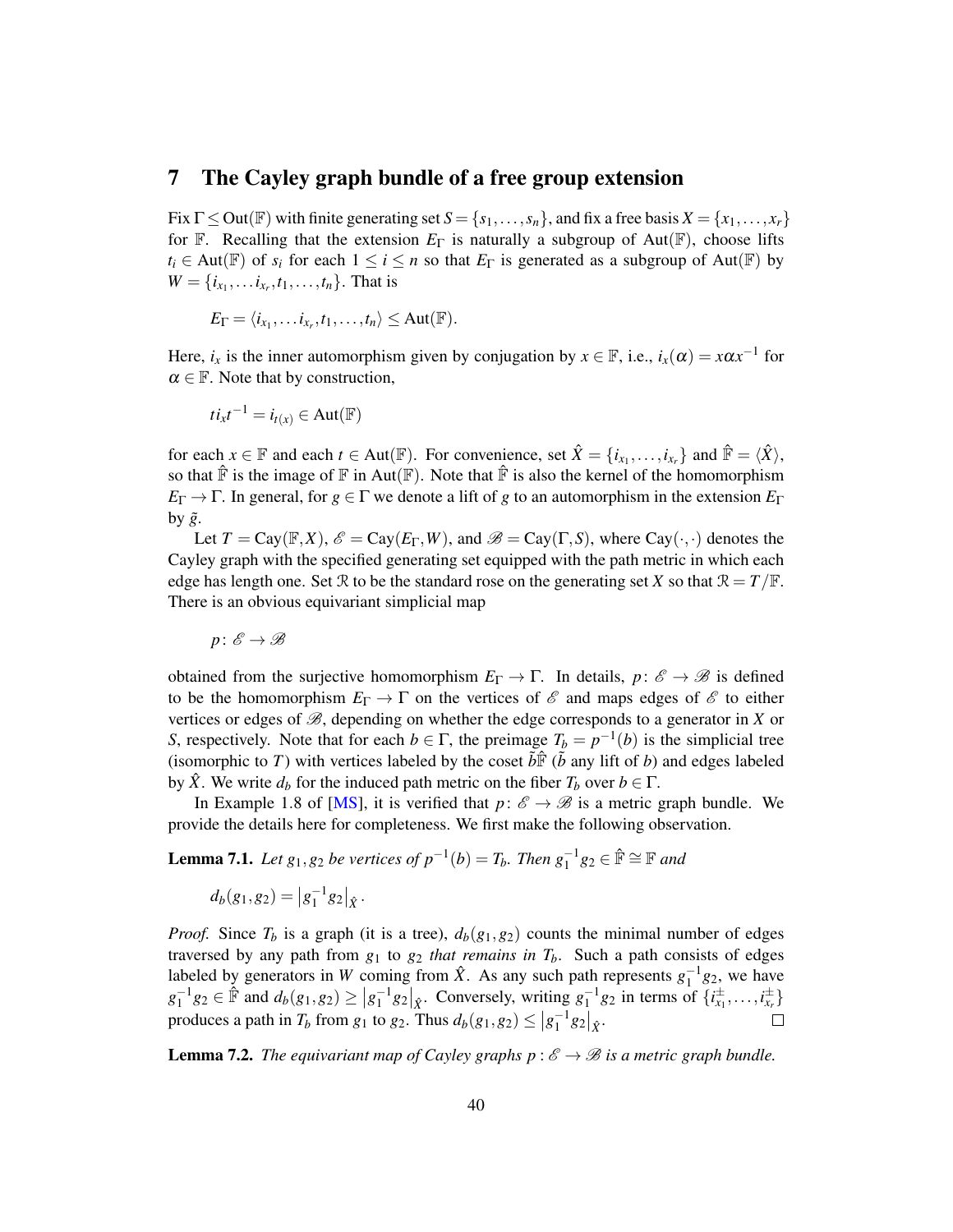## <span id="page-39-0"></span>7 The Cayley graph bundle of a free group extension

Fix  $\Gamma \leq Out(\mathbb{F})$  with finite generating set  $S = \{s_1, \ldots, s_n\}$ , and fix a free basis  $X = \{x_1, \ldots, x_r\}$ for F. Recalling that the extension  $E_{\Gamma}$  is naturally a subgroup of Aut(F), choose lifts  $t_i \in Aut(\mathbb{F})$  of  $s_i$  for each  $1 \leq i \leq n$  so that  $E_{\Gamma}$  is generated as a subgroup of Aut( $\mathbb{F}$ ) by  $W = \{i_{x_1}, \ldots i_{x_r}, t_1, \ldots, t_n\}$ . That is

$$
E_{\Gamma} = \langle i_{x_1}, \ldots i_{x_r}, t_1, \ldots, t_n \rangle \leq \text{Aut}(\mathbb{F}).
$$

Here,  $i_x$  is the inner automorphism given by conjugation by  $x \in \mathbb{F}$ , i.e.,  $i_x(\alpha) = x\alpha x^{-1}$  for  $\alpha \in \mathbb{F}$ . Note that by construction,

$$
ti_xt^{-1} = i_{t(x)} \in Aut(\mathbb{F})
$$

for each  $x \in \mathbb{F}$  and each  $t \in Aut(\mathbb{F})$ . For convenience, set  $\hat{X} = \{i_{x_1}, \ldots, i_{x_r}\}$  and  $\hat{\mathbb{F}} = \langle \hat{X} \rangle$ , so that  $\hat{F}$  is the image of  $F$  in Aut( $F$ ). Note that  $\hat{F}$  is also the kernel of the homomorphism  $E_{\Gamma} \to \Gamma$ . In general, for  $g \in \Gamma$  we denote a lift of *g* to an automorphism in the extension  $E_{\Gamma}$ by  $\tilde{g}$ .

Let  $T = Cay(\mathbb{F}, X)$ ,  $\mathscr{E} = Cay(E_{\Gamma}, W)$ , and  $\mathscr{B} = Cay(\Gamma, S)$ , where  $Cay(\cdot, \cdot)$  denotes the Cayley graph with the specified generating set equipped with the path metric in which each edge has length one. Set  $R$  to be the standard rose on the generating set *X* so that  $R = T/R$ . There is an obvious equivariant simplicial map

$$
p\colon \mathscr{E} \to \mathscr{B}
$$

obtained from the surjective homomorphism  $E_{\Gamma} \to \Gamma$ . In details, *p*:  $\mathscr{E} \to \mathscr{B}$  is defined to be the homomorphism  $E_{\Gamma} \to \Gamma$  on the vertices of  $\mathscr E$  and maps edges of  $\mathscr E$  to either vertices or edges of  $\mathcal{B}$ , depending on whether the edge corresponds to a generator in *X* or *S*, respectively. Note that for each  $b \in \Gamma$ , the preimage  $T_b = p^{-1}(b)$  is the simplicial tree (isomorphic to *T*) with vertices labeled by the coset  $\tilde{b} \hat{F}$  ( $\tilde{b}$  any lift of *b*) and edges labeled by  $\hat{X}$ . We write  $d_b$  for the induced path metric on the fiber  $T_b$  over  $b \in \Gamma$ .

In Example 1.8 of [\[MS\]](#page-49-4), it is verified that  $p: \mathscr{E} \to \mathscr{B}$  is a metric graph bundle. We provide the details here for completeness. We first make the following observation.

<span id="page-39-1"></span>**Lemma 7.1.** *Let*  $g_1, g_2$  *be vertices of*  $p^{-1}(b) = T_b$ *. Then*  $g_1^{-1}g_2 \in \mathbb{P}$  ≃  $\mathbb{F}$  *and* 

$$
d_b(g_1,g_2)=|g_1^{-1}g_2|_{\hat{X}}.
$$

*Proof.* Since  $T_b$  is a graph (it is a tree),  $d_b(g_1, g_2)$  counts the minimal number of edges traversed by any path from  $g_1$  to  $g_2$  *that remains in*  $T_b$ . Such a path consists of edges labeled by generators in *W* coming from  $\hat{X}$ . As any such path represents  $g_1^{-1}g_2$ , we have  $g_1^{-1}g_2 \in \hat{\mathbb{F}}$  and  $d_b(g_1, g_2) \ge |g_1^{-1}g_2|_{\hat{X}}$ . Conversely, writing  $g_1^{-1}g_2$  in terms of  $\{i_{x_1}^{\pm}, \ldots, i_{x_r}^{\pm}\}$ produces a path in  $T_b$  from  $g_1$  to  $g_2$ . Thus  $d_b(g_1, g_2) \le |g_1^{-1}g_2|_{\hat{X}}$ .  $\Box$ 

**Lemma 7.2.** *The equivariant map of Cayley graphs p* :  $\mathcal{E} \rightarrow \mathcal{B}$  *is a metric graph bundle.*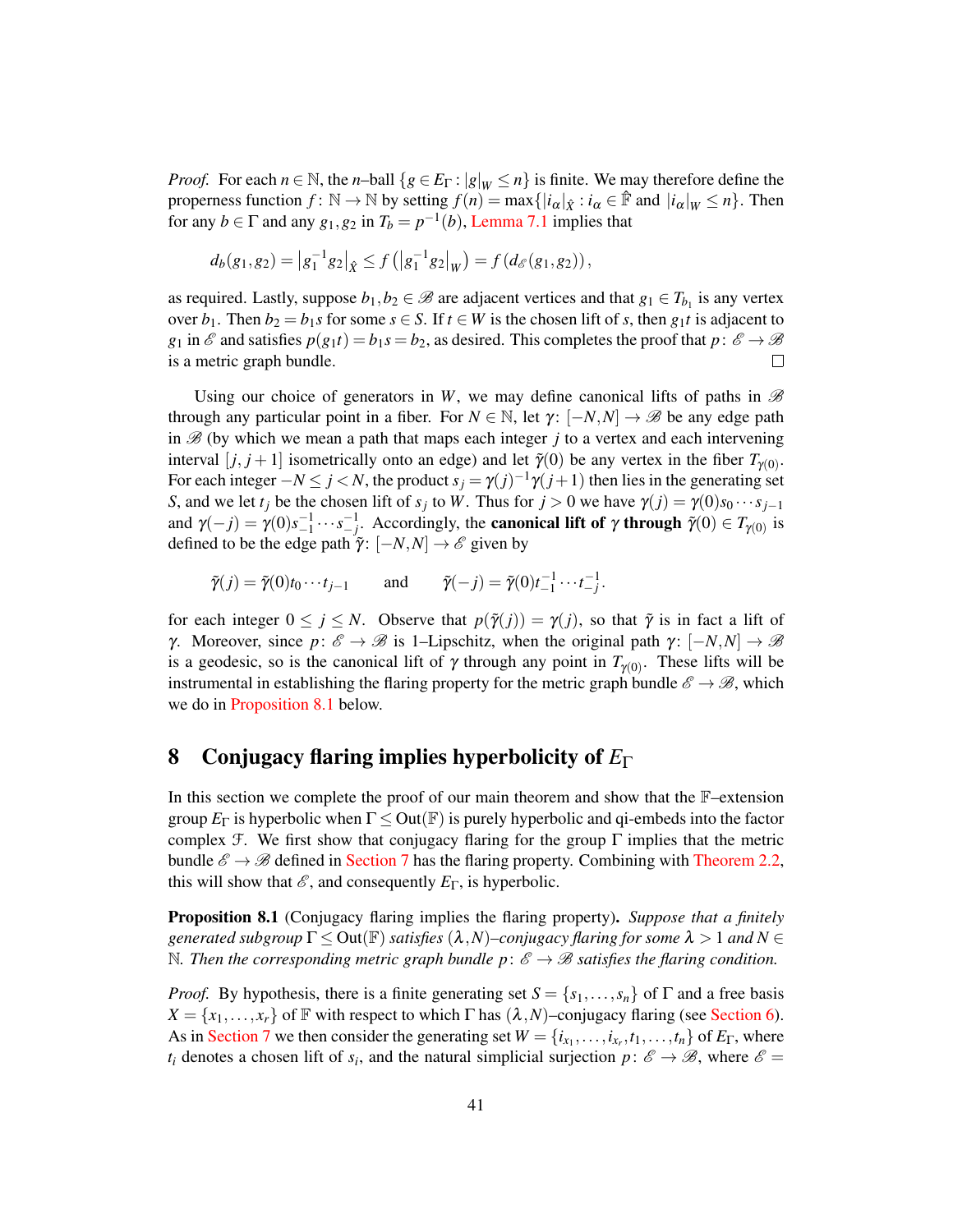*Proof.* For each  $n \in \mathbb{N}$ , the *n*–ball  $\{g \in E_\Gamma : |g|_W \le n\}$  is finite. We may therefore define the properness function  $f: \mathbb{N} \to \mathbb{N}$  by setting  $f(n) = \max\{|i_{\alpha}|_{\hat{X}} : i_{\alpha} \in \mathbb{F}$  and  $|i_{\alpha}|_{W} \leq n\}$ . Then for any  $b \in \Gamma$  and any  $g_1, g_2$  in  $T_b = p^{-1}(b)$ , [Lemma 7.1](#page-39-1) implies that

$$
d_b(g_1,g_2) = |g_1^{-1}g_2|_{\hat{X}} \leq f(|g_1^{-1}g_2|_{W}) = f(d_{\mathscr{E}}(g_1,g_2)),
$$

as required. Lastly, suppose  $b_1, b_2 \in \mathcal{B}$  are adjacent vertices and that  $g_1 \in T_{b_1}$  is any vertex over  $b_1$ . Then  $b_2 = b_1 s$  for some  $s \in S$ . If  $t \in W$  is the chosen lift of *s*, then  $g_1 t$  is adjacent to  $g_1$  in  $\mathscr E$  and satisfies  $p(g_1 t) = b_1 s = b_2$ , as desired. This completes the proof that  $p: \mathscr E \to \mathscr B$ is a metric graph bundle.  $\Box$ 

Using our choice of generators in W, we may define canonical lifts of paths in  $\mathscr B$ through any particular point in a fiber. For  $N \in \mathbb{N}$ , let  $\gamma: [-N, N] \to \mathscr{B}$  be any edge path in  $\mathscr{B}$  (by which we mean a path that maps each integer  $j$  to a vertex and each intervening interval  $[j, j+1]$  isometrically onto an edge) and let  $\tilde{\gamma}(0)$  be any vertex in the fiber  $T_{\gamma(0)}$ . For each integer  $-N \le j < N$ , the product  $s_j = \gamma(j)^{-1}\gamma(j+1)$  then lies in the generating set *S*, and we let *t<sub>j</sub>* be the chosen lift of  $s_j$  to *W*. Thus for  $j > 0$  we have  $\gamma(j) = \gamma(0)s_0 \cdots s_{j-1}$ and  $\gamma(-j) = \gamma(0)s_{-1}^{-1} \cdots s_{-j}^{-1}$ . Accordingly, the **canonical lift of**  $\gamma$  through  $\tilde{\gamma}(0) \in T_{\gamma(0)}$  is defined to be the edge path  $\tilde{\gamma}$ :  $[-N, N] \rightarrow \mathscr{E}$  given by

$$
\tilde{\gamma}(j) = \tilde{\gamma}(0)t_0 \cdots t_{j-1} \quad \text{and} \quad \tilde{\gamma}(-j) = \tilde{\gamma}(0)t_{-1}^{-1} \cdots t_{j}^{-1}.
$$

for each integer  $0 \le j \le N$ . Observe that  $p(\tilde{\gamma}(j)) = \gamma(j)$ , so that  $\tilde{\gamma}$  is in fact a lift of *γ*. Moreover, since  $p: \mathscr{E} \to \mathscr{B}$  is 1–Lipschitz, when the original path  $\gamma: [-N, N] \to \mathscr{B}$ is a geodesic, so is the canonical lift of  $\gamma$  through any point in  $T_{\gamma(0)}$ . These lifts will be instrumental in establishing the flaring property for the metric graph bundle  $\mathscr{E} \to \mathscr{B}$ , which we do in [Proposition 8.1](#page-40-1) below.

## <span id="page-40-0"></span>8 Conjugacy flaring implies hyperbolicity of *E*<sup>Γ</sup>

In this section we complete the proof of our main theorem and show that the F–extension group  $E_{\Gamma}$  is hyperbolic when  $\Gamma \leq Out(\mathbb{F})$  is purely hyperbolic and qi-embeds into the factor complex F. We first show that conjugacy flaring for the group  $\Gamma$  implies that the metric bundle  $\mathscr{E} \to \mathscr{B}$  defined in [Section 7](#page-39-0) has the flaring property. Combining with [Theorem 2.2,](#page-8-3) this will show that  $\mathscr E$ , and consequently  $E_{\Gamma}$ , is hyperbolic.

<span id="page-40-1"></span>Proposition 8.1 (Conjugacy flaring implies the flaring property). *Suppose that a finitely generated subgroup* Γ ≤ Out(F) *satisfies* (λ,*N*)*–conjugacy flaring for some* λ > 1 *and N* ∈ N. Then the corresponding metric graph bundle  $p: \mathscr{E} \to \mathscr{B}$  satisfies the flaring condition.

*Proof.* By hypothesis, there is a finite generating set  $S = \{s_1, \ldots, s_n\}$  of  $\Gamma$  and a free basis  $X = \{x_1, \ldots, x_r\}$  of F with respect to which  $\Gamma$  has  $(\lambda, N)$ –conjugacy flaring (see [Section 6\)](#page-31-0). As in [Section 7](#page-39-0) we then consider the generating set  $W = \{i_{x_1}, \ldots, i_{x_r}, t_1, \ldots, t_n\}$  of  $E_{\Gamma}$ , where *t<sub>i</sub>* denotes a chosen lift of *s<sub>i</sub>*, and the natural simplicial surjection  $p: \mathscr{E} \to \mathscr{B}$ , where  $\mathscr{E} =$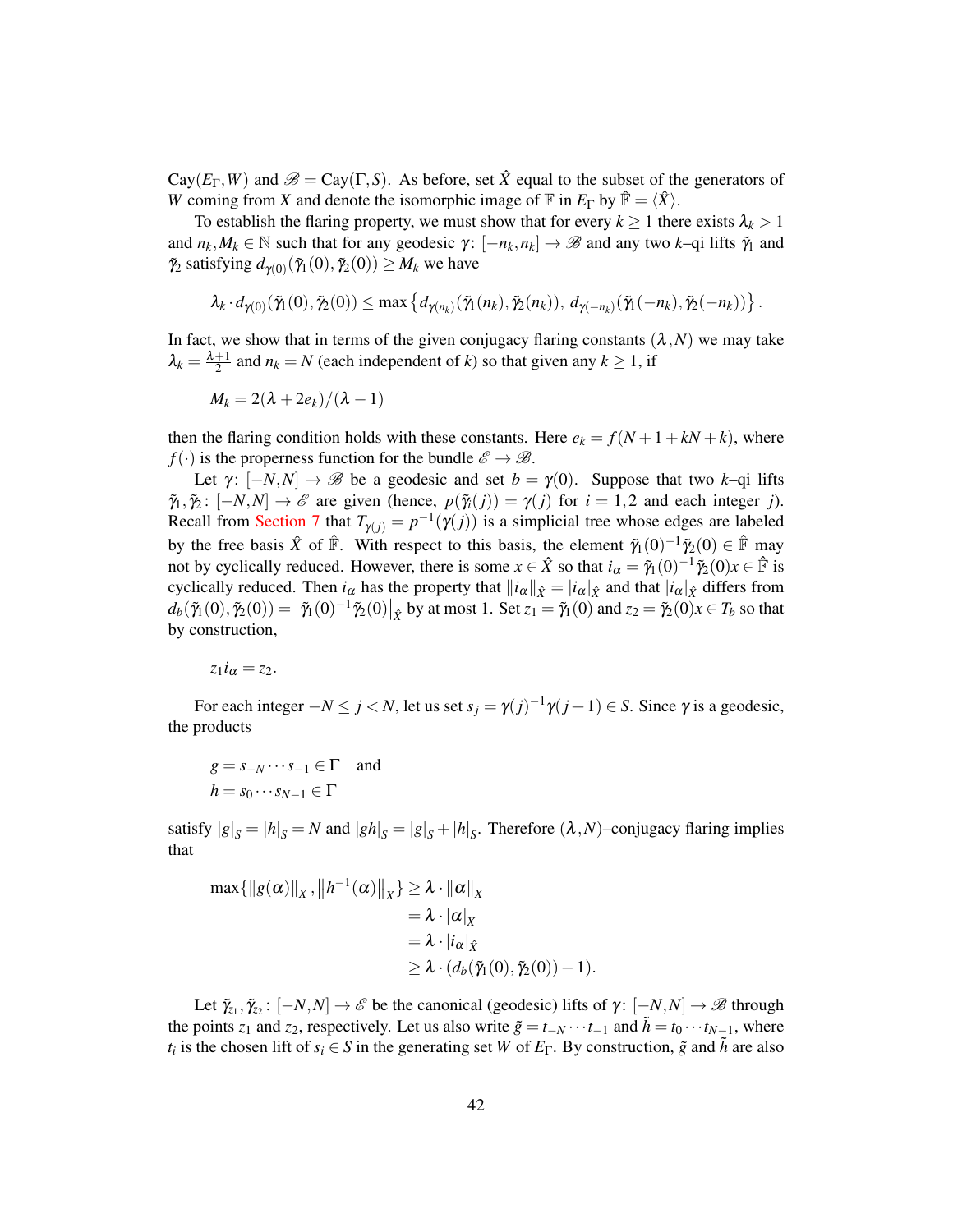$Cay(E_{\Gamma}, W)$  and  $\mathscr{B} = Cay(\Gamma, S)$ . As before, set  $\hat{X}$  equal to the subset of the generators of *W* coming from *X* and denote the isomorphic image of  $\mathbb{F}$  in  $E_{\Gamma}$  by  $\hat{\mathbb{F}} = \langle \hat{X} \rangle$ .

To establish the flaring property, we must show that for every  $k \ge 1$  there exists  $\lambda_k > 1$ and  $n_k, M_k \in \mathbb{N}$  such that for any geodesic  $\gamma: [-n_k, n_k] \to \mathcal{B}$  and any two *k*–qi lifts  $\tilde{\gamma}_1$  and  $\tilde{\gamma}_2$  satisfying  $d_{\gamma(0)}(\tilde{\gamma}_1(0), \tilde{\gamma}_2(0)) \geq M_k$  we have

$$
\lambda_k \cdot d_{\gamma(0)}(\tilde{\gamma}_1(0), \tilde{\gamma}_2(0)) \leq \max \left\{ d_{\gamma(n_k)}(\tilde{\gamma}_1(n_k), \tilde{\gamma}_2(n_k)), d_{\gamma(-n_k)}(\tilde{\gamma}_1(-n_k), \tilde{\gamma}_2(-n_k)) \right\}.
$$

In fact, we show that in terms of the given conjugacy flaring constants  $(\lambda, N)$  we may take  $\lambda_k = \frac{\lambda+1}{2}$  and  $n_k = N$  (each independent of *k*) so that given any  $k \ge 1$ , if

$$
M_k = 2(\lambda + 2e_k)/(\lambda - 1)
$$

then the flaring condition holds with these constants. Here  $e_k = f(N + 1 + kN + k)$ , where  $f(\cdot)$  is the properness function for the bundle  $\mathscr{E} \to \mathscr{B}$ .

Let  $\gamma: [-N,N] \to \mathscr{B}$  be a geodesic and set  $b = \gamma(0)$ . Suppose that two *k*–qi lifts  $\tilde{\gamma}_1, \tilde{\gamma}_2$ :  $[-N, N] \rightarrow \mathcal{E}$  are given (hence,  $p(\tilde{\gamma}_i(j)) = \gamma(j)$  for  $i = 1, 2$  and each integer *j*). Recall from [Section 7](#page-39-0) that  $T_{\gamma(j)} = p^{-1}(\gamma(j))$  is a simplicial tree whose edges are labeled by the free basis  $\hat{X}$  of  $\hat{F}$ . With respect to this basis, the element  $\tilde{\gamma}_1(0)^{-1}\tilde{\gamma}_2(0) \in \hat{F}$  may not by cyclically reduced. However, there is some  $x \in \hat{X}$  so that  $i_{\alpha} = \tilde{\gamma}_1(0)^{-1} \tilde{\gamma}_2(0) x \in \hat{\mathbb{F}}$  is cyclically reduced. Then  $i_\alpha$  has the property that  $||i_\alpha||_{\hat{X}} = |i_\alpha|_{\hat{X}}$  and that  $|i_\alpha|_{\hat{X}}$  differs from  $d_b(\tilde{\gamma}_1(0),\tilde{\gamma}_2(0)) = |\tilde{\gamma}_1(0)^{-1}\tilde{\gamma}_2(0)|_{\hat{X}}$  by at most 1. Set  $z_1 = \tilde{\gamma}_1(0)$  and  $z_2 = \tilde{\gamma}_2(0)x \in T_b$  so that by construction,

 $z_1 i_\alpha = z_2$ .

For each integer  $-N \le j < N$ , let us set  $s_j = \gamma(j)^{-1}\gamma(j+1) \in S$ . Since  $\gamma$  is a geodesic, the products

$$
g = s_{-N} \cdots s_{-1} \in \Gamma \quad \text{and} \quad
$$
  

$$
h = s_0 \cdots s_{N-1} \in \Gamma
$$

satisfy  $|g|_S = |h|_S = N$  and  $|gh|_S = |g|_S + |h|_S$ . Therefore  $(\lambda, N)$ –conjugacy flaring implies that

$$
\max \{ ||g(\alpha)||_X, ||h^{-1}(\alpha)||_X \} \ge \lambda \cdot ||\alpha||_X
$$
  
=  $\lambda \cdot |\alpha|_X$   
=  $\lambda \cdot |i_{\alpha}|_{\hat{X}}$   
 $\ge \lambda \cdot (d_b(\tilde{\gamma}_1(0), \tilde{\gamma}_2(0)) - 1)$ 

Let  $\tilde{\gamma}_{z_1}, \tilde{\gamma}_{z_2} : [-N, N] \to \mathscr{E}$  be the canonical (geodesic) lifts of  $\gamma : [-N, N] \to \mathscr{B}$  through the points *z*<sub>1</sub> and *z*<sub>2</sub>, respectively. Let us also write  $\tilde{g} = t_{-N} \cdots t_{-1}$  and  $\tilde{h} = t_0 \cdots t_{N-1}$ , where *t<sub>i</sub>* is the chosen lift of  $s_i \in S$  in the generating set *W* of  $E_\Gamma$ . By construction,  $\tilde{g}$  and  $\tilde{h}$  are also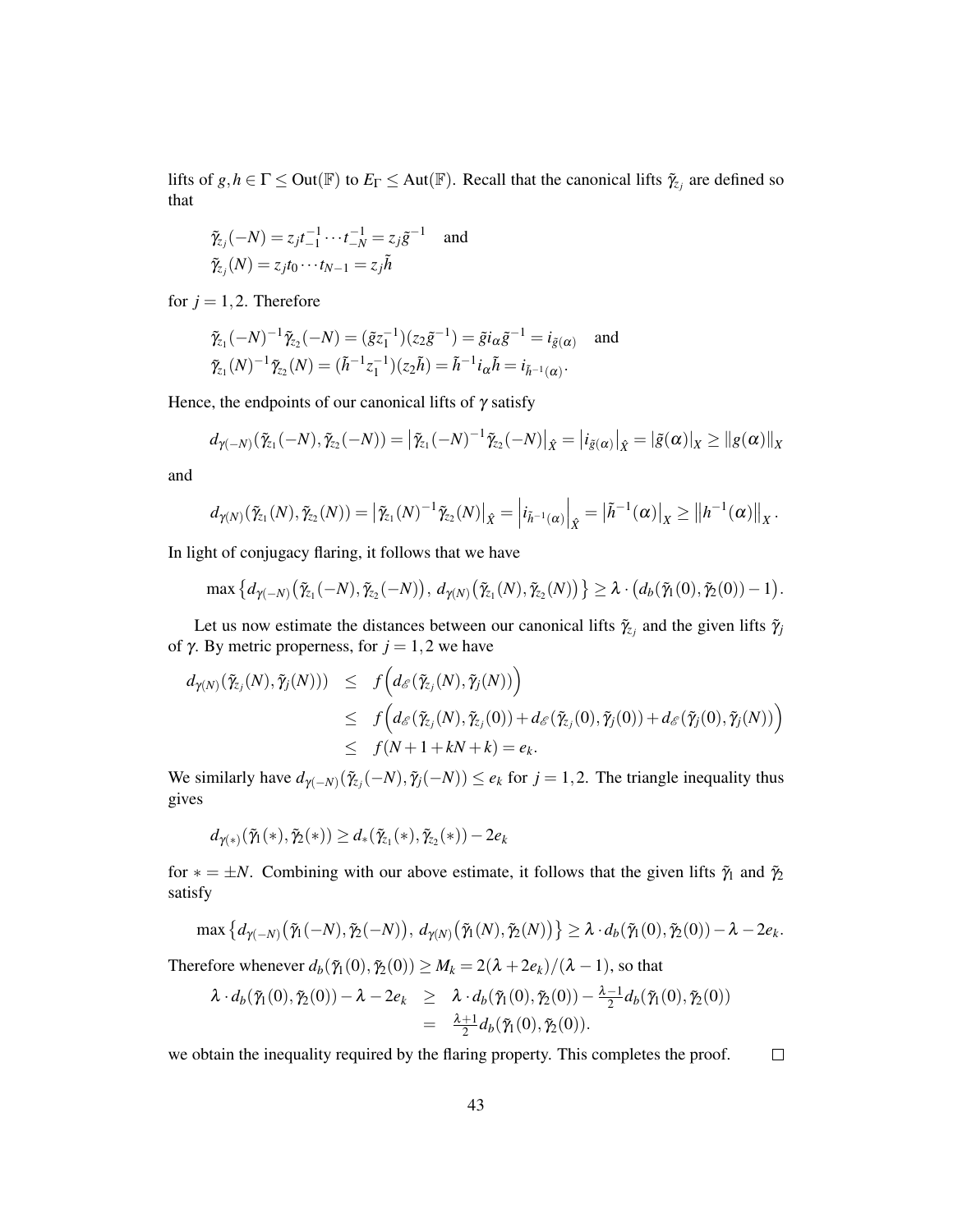lifts of  $g, h \in \Gamma \le$  Out( $\mathbb{F}$ ) to  $E_{\Gamma} \le$  Aut( $\mathbb{F}$ ). Recall that the canonical lifts  $\tilde{\gamma}_{z_j}$  are defined so that

$$
\tilde{\gamma}_{z_j}(-N) = z_j t_{-1}^{-1} \cdots t_{-N}^{-1} = z_j \tilde{g}^{-1}
$$
 and  
\n $\tilde{\gamma}_{z_j}(N) = z_j t_0 \cdots t_{N-1} = z_j \tilde{h}$ 

for  $j = 1, 2$ . Therefore

$$
\tilde{\gamma}_{z_1}(-N)^{-1}\tilde{\gamma}_{z_2}(-N) = (\tilde{g}z_1^{-1})(z_2\tilde{g}^{-1}) = \tilde{g}i_{\alpha}\tilde{g}^{-1} = i_{\tilde{g}(\alpha)} \text{ and}
$$
  

$$
\tilde{\gamma}_{z_1}(N)^{-1}\tilde{\gamma}_{z_2}(N) = (\tilde{h}^{-1}z_1^{-1})(z_2\tilde{h}) = \tilde{h}^{-1}i_{\alpha}\tilde{h} = i_{\tilde{h}^{-1}(\alpha)}.
$$

Hence, the endpoints of our canonical lifts of  $\gamma$  satisfy

$$
d_{\gamma(-N)}(\tilde{\gamma}_{z_1}(-N),\tilde{\gamma}_{z_2}(-N)) = |\tilde{\gamma}_{z_1}(-N)^{-1}\tilde{\gamma}_{z_2}(-N)|_{\hat{X}} = |i_{\tilde{g}(\alpha)}|_{\hat{X}} = |\tilde{g}(\alpha)|_{X} \geq ||g(\alpha)||_{X}
$$

and

$$
d_{\gamma(N)}(\tilde{\gamma}_{z_1}(N),\tilde{\gamma}_{z_2}(N)) = \left| \tilde{\gamma}_{z_1}(N)^{-1} \tilde{\gamma}_{z_2}(N) \right|_{\hat{X}} = \left| i_{\tilde{h}^{-1}(\alpha)} \right|_{\hat{X}} = \left| \tilde{h}^{-1}(\alpha) \right|_{X} \geq \left\| h^{-1}(\alpha) \right\|_{X}.
$$

In light of conjugacy flaring, it follows that we have

$$
\max\left\{d_{\gamma(-N)}(\tilde{\gamma}_{z_1}(-N),\tilde{\gamma}_{z_2}(-N)),\,d_{\gamma(N)}(\tilde{\gamma}_{z_1}(N),\tilde{\gamma}_{z_2}(N))\right\}\geq \lambda\cdot\big(d_b(\tilde{\gamma}_1(0),\tilde{\gamma}_2(0))-1\big).
$$

Let us now estimate the distances between our canonical lifts  $\tilde{\gamma}_z$  and the given lifts  $\tilde{\gamma}_j$ of γ. By metric properness, for  $j = 1, 2$  we have

$$
d_{\gamma(N)}(\tilde{\gamma}_{z_j}(N),\tilde{\gamma}_j(N))) \leq f\Big(d_{\mathscr{E}}(\tilde{\gamma}_{z_j}(N),\tilde{\gamma}_j(N))\Big) \leq f\Big(d_{\mathscr{E}}(\tilde{\gamma}_{z_j}(N),\tilde{\gamma}_j(0)) + d_{\mathscr{E}}(\tilde{\gamma}_z(0),\tilde{\gamma}_j(0)) + d_{\mathscr{E}}(\tilde{\gamma}_j(0),\tilde{\gamma}_j(N))\Big) \leq f(N+1+kN+k) = e_k.
$$

We similarly have  $d_{\gamma(-N)}(\tilde{\gamma}_{z}(N), \tilde{\gamma}_{j}(-N)) \leq e_k$  for  $j = 1, 2$ . The triangle inequality thus gives

$$
d_{\gamma(*)}(\tilde{\gamma}_1(*),\tilde{\gamma}_2(*) )\geq d_*(\tilde{\gamma}_{z_1}(*),\tilde{\gamma}_{z_2}(*))-2e_k
$$

for  $* = \pm N$ . Combining with our above estimate, it follows that the given lifts  $\tilde{\gamma}_1$  and  $\tilde{\gamma}_2$ satisfy

$$
\max\left\{d_{\gamma(-N)}(\tilde{\gamma}_1(-N),\tilde{\gamma}_2(-N)),\,d_{\gamma(N)}(\tilde{\gamma}_1(N),\tilde{\gamma}_2(N))\right\}\geq\lambda\cdot d_b(\tilde{\gamma}_1(0),\tilde{\gamma}_2(0))-\lambda-2e_k.
$$

Therefore whenever  $d_b(\tilde{\gamma}_1(0), \tilde{\gamma}_2(0)) \geq M_k = 2(\lambda + 2e_k)/(\lambda - 1)$ , so that

$$
\lambda \cdot d_b(\tilde{\gamma}_1(0), \tilde{\gamma}_2(0)) - \lambda - 2e_k \geq \lambda \cdot d_b(\tilde{\gamma}_1(0), \tilde{\gamma}_2(0)) - \frac{\lambda - 1}{2} d_b(\tilde{\gamma}_1(0), \tilde{\gamma}_2(0))
$$
  
= 
$$
\frac{\lambda + 1}{2} d_b(\tilde{\gamma}_1(0), \tilde{\gamma}_2(0)).
$$

we obtain the inequality required by the flaring property. This completes the proof.  $\Box$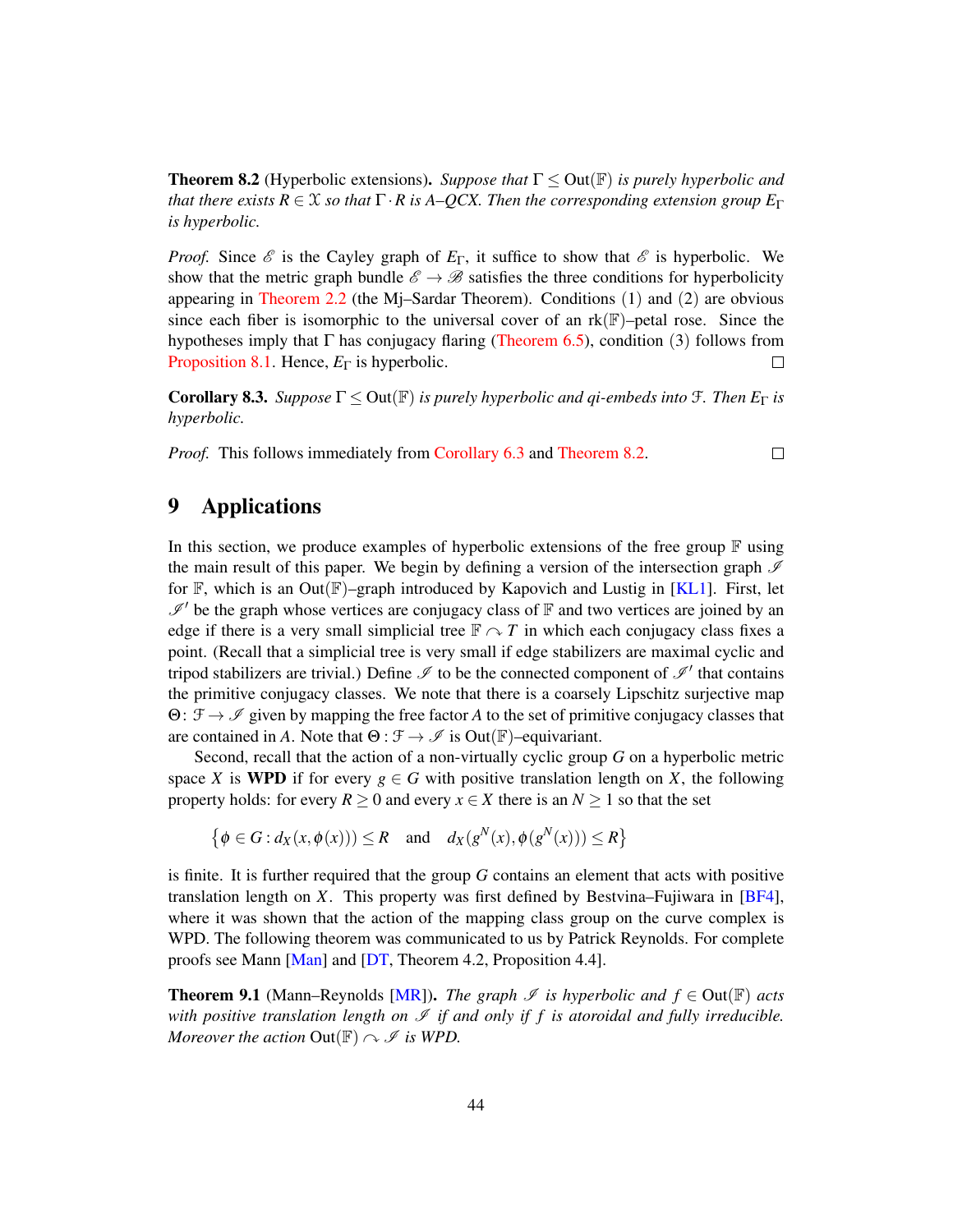<span id="page-43-2"></span>**Theorem 8.2** (Hyperbolic extensions). *Suppose that*  $\Gamma \leq$  Out( $\mathbb{F}$ ) *is purely hyperbolic and that there exists R*  $\in$  *X so that*  $\Gamma \cdot R$  *is A–QCX. Then the corresponding extension group*  $E_{\Gamma}$ *is hyperbolic.*

*Proof.* Since  $\mathscr E$  is the Cayley graph of  $E_{\Gamma}$ , it suffice to show that  $\mathscr E$  is hyperbolic. We show that the metric graph bundle  $\mathscr{E} \to \mathscr{B}$  satisfies the three conditions for hyperbolicity appearing in [Theorem 2.2](#page-8-3) (the Mj–Sardar Theorem). Conditions (1) and (2) are obvious since each fiber is isomorphic to the universal cover of an  $rk(\mathbb{F})$ –petal rose. Since the hypotheses imply that  $\Gamma$  has conjugacy flaring [\(Theorem 6.5\)](#page-32-0), condition (3) follows from [Proposition 8.1.](#page-40-1) Hence, *E*<sup>Γ</sup> is hyperbolic.  $\Box$ 

<span id="page-43-1"></span>**Corollary 8.3.** *Suppose*  $\Gamma \leq$  Out( $\mathbb{F}$ ) *is purely hyperbolic and qi-embeds into*  $\mathcal{F}$ *. Then*  $E_{\Gamma}$  *is hyperbolic.*

*Proof.* This follows immediately from [Corollary 6.3](#page-32-2) and [Theorem 8.2.](#page-43-2)

 $\Box$ 

# <span id="page-43-0"></span>9 Applications

In this section, we produce examples of hyperbolic extensions of the free group  $\mathbb F$  using the main result of this paper. We begin by defining a version of the intersection graph  $\mathscr I$ for  $\mathbb{F}$ , which is an Out $(\mathbb{F})$ –graph introduced by Kapovich and Lustig in [\[KL1\]](#page-48-12). First, let  $\mathscr{I}'$  be the graph whose vertices are conjugacy class of F and two vertices are joined by an edge if there is a very small simplicial tree  $\mathbb{F} \curvearrowright T$  in which each conjugacy class fixes a point. (Recall that a simplicial tree is very small if edge stabilizers are maximal cyclic and tripod stabilizers are trivial.) Define  $\mathscr I$  to be the connected component of  $\mathscr I'$  that contains the primitive conjugacy classes. We note that there is a coarsely Lipschitz surjective map Θ: F → I given by mapping the free factor *A* to the set of primitive conjugacy classes that are contained in *A*. Note that  $\Theta : \mathcal{F} \to \mathcal{I}$  is Out( $\mathbb{F}$ )–equivariant.

Second, recall that the action of a non-virtually cyclic group *G* on a hyperbolic metric space *X* is **WPD** if for every  $g \in G$  with positive translation length on *X*, the following property holds: for every  $R \ge 0$  and every  $x \in X$  there is an  $N \ge 1$  so that the set

$$
\left\{\phi \in G : d_X(x, \phi(x))\right) \le R \quad \text{and} \quad d_X(g^N(x), \phi(g^N(x))) \le R\right\}
$$

is finite. It is further required that the group *G* contains an element that acts with positive translation length on *X*. This property was first defined by Bestvina–Fujiwara in [\[BF4\]](#page-47-6), where it was shown that the action of the mapping class group on the curve complex is WPD. The following theorem was communicated to us by Patrick Reynolds. For complete proofs see Mann [\[Man\]](#page-49-9) and [\[DT,](#page-48-13) Theorem 4.2, Proposition 4.4].

<span id="page-43-3"></span>**Theorem 9.1** (Mann–Reynolds [\[MR\]](#page-49-10)). *The graph*  $\mathscr I$  *is hyperbolic and*  $f \in Out(\mathbb{F})$  *acts with positive translation length on*  $\mathcal I$  *if and only if f is atoroidal and fully irreducible. Moreover the action*  $Out(\mathbb{F}) \cap \mathcal{I}$  *is WPD.*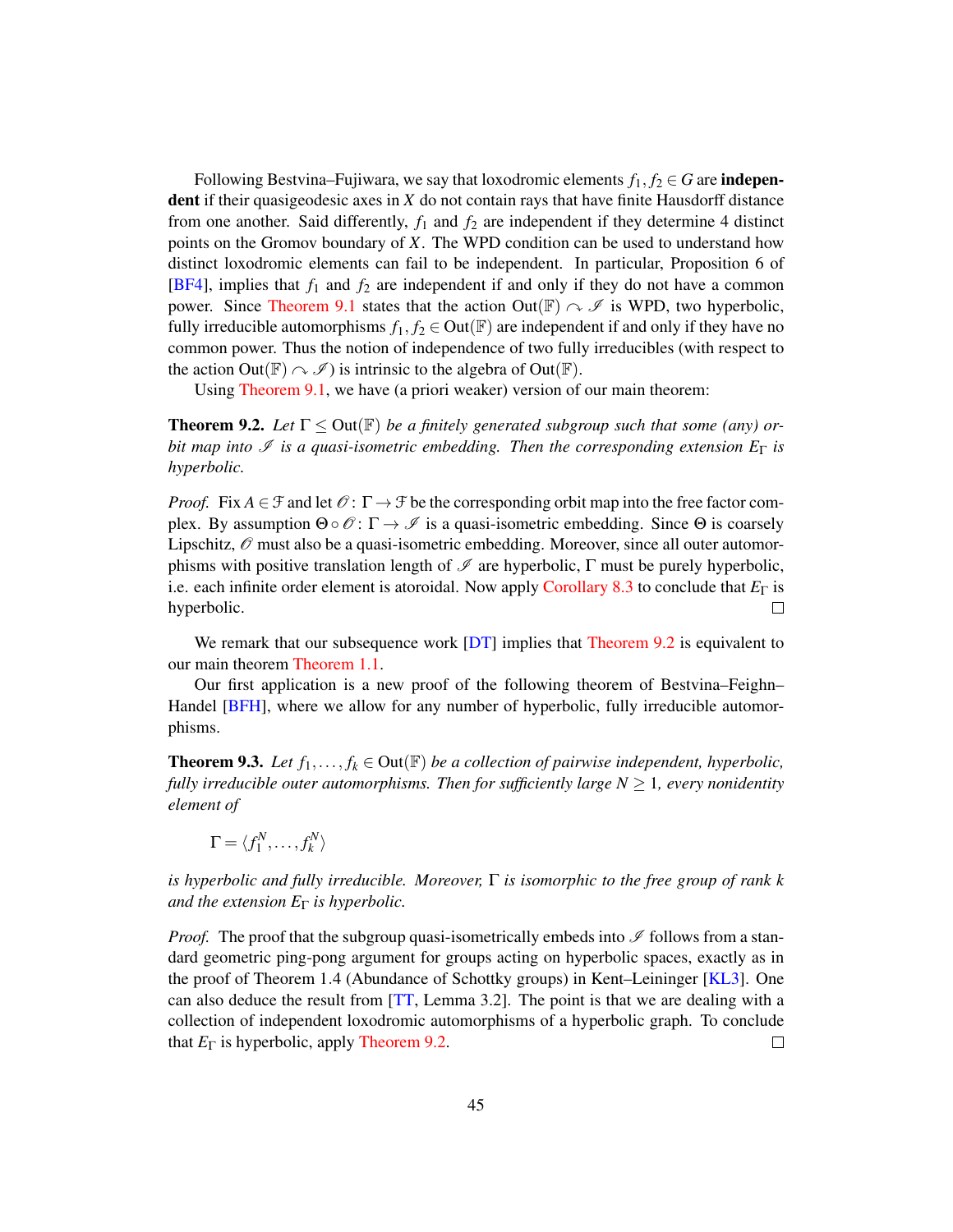Following Bestvina–Fujiwara, we say that loxodromic elements  $f_1, f_2 \in G$  are **indepen**dent if their quasigeodesic axes in *X* do not contain rays that have finite Hausdorff distance from one another. Said differently,  $f_1$  and  $f_2$  are independent if they determine 4 distinct points on the Gromov boundary of *X*. The WPD condition can be used to understand how distinct loxodromic elements can fail to be independent. In particular, Proposition 6 of [\[BF4\]](#page-47-6), implies that *f*<sup>1</sup> and *f*<sup>2</sup> are independent if and only if they do not have a common power. Since [Theorem 9.1](#page-43-3) states that the action Out( $\mathbb{F}$ )  $\sim \mathscr{I}$  is WPD, two hyperbolic, fully irreducible automorphisms  $f_1, f_2 \in \text{Out}(\mathbb{F})$  are independent if and only if they have no common power. Thus the notion of independence of two fully irreducibles (with respect to the action Out( $\mathbb{F}$ )  $\sim \mathcal{I}$ ) is intrinsic to the algebra of Out( $\mathbb{F}$ ).

Using [Theorem 9.1,](#page-43-3) we have (a priori weaker) version of our main theorem:

<span id="page-44-1"></span>**Theorem 9.2.** Let  $\Gamma \leq \text{Out}(\mathbb{F})$  be a finitely generated subgroup such that some (any) or*bit map into*  $\mathcal{I}$  *is a quasi-isometric embedding. Then the corresponding extension*  $E_{\Gamma}$  *is hyperbolic.*

*Proof.* Fix  $A \in \mathcal{F}$  and let  $\mathcal{O}: \Gamma \to \mathcal{F}$  be the corresponding orbit map into the free factor complex. By assumption  $\Theta \circ \mathcal{O} : \Gamma \to \mathcal{I}$  is a quasi-isometric embedding. Since  $\Theta$  is coarsely Lipschitz,  $\mathcal O$  must also be a quasi-isometric embedding. Moreover, since all outer automorphisms with positive translation length of  $\mathscr I$  are hyperbolic,  $\Gamma$  must be purely hyperbolic, i.e. each infinite order element is atoroidal. Now apply [Corollary 8.3](#page-43-1) to conclude that *E*<sup>Γ</sup> is hyperbolic.  $\Box$ 

We remark that our subsequence work [\[DT\]](#page-48-13) implies that [Theorem 9.2](#page-44-1) is equivalent to our main theorem [Theorem 1.1.](#page-1-1)

Our first application is a new proof of the following theorem of Bestvina–Feighn– Handel [\[BFH\]](#page-48-4), where we allow for any number of hyperbolic, fully irreducible automorphisms.

<span id="page-44-0"></span>**Theorem 9.3.** Let  $f_1, \ldots, f_k \in \text{Out}(\mathbb{F})$  be a collection of pairwise independent, hyperbolic, *fully irreducible outer automorphisms. Then for sufficiently large*  $N \geq 1$ *, every nonidentity element of*

$$
\Gamma = \langle f_1^N, \ldots, f_k^N \rangle
$$

*is hyperbolic and fully irreducible. Moreover,* Γ *is isomorphic to the free group of rank k and the extension E*<sup>Γ</sup> *is hyperbolic.*

*Proof.* The proof that the subgroup quasi-isometrically embeds into  $\mathscr I$  follows from a standard geometric ping-pong argument for groups acting on hyperbolic spaces, exactly as in the proof of Theorem 1.4 (Abundance of Schottky groups) in Kent–Leininger [\[KL3\]](#page-49-0). One can also deduce the result from [\[TT,](#page-49-11) Lemma 3.2]. The point is that we are dealing with a collection of independent loxodromic automorphisms of a hyperbolic graph. To conclude that *E*<sup>Γ</sup> is hyperbolic, apply [Theorem 9.2.](#page-44-1)  $\Box$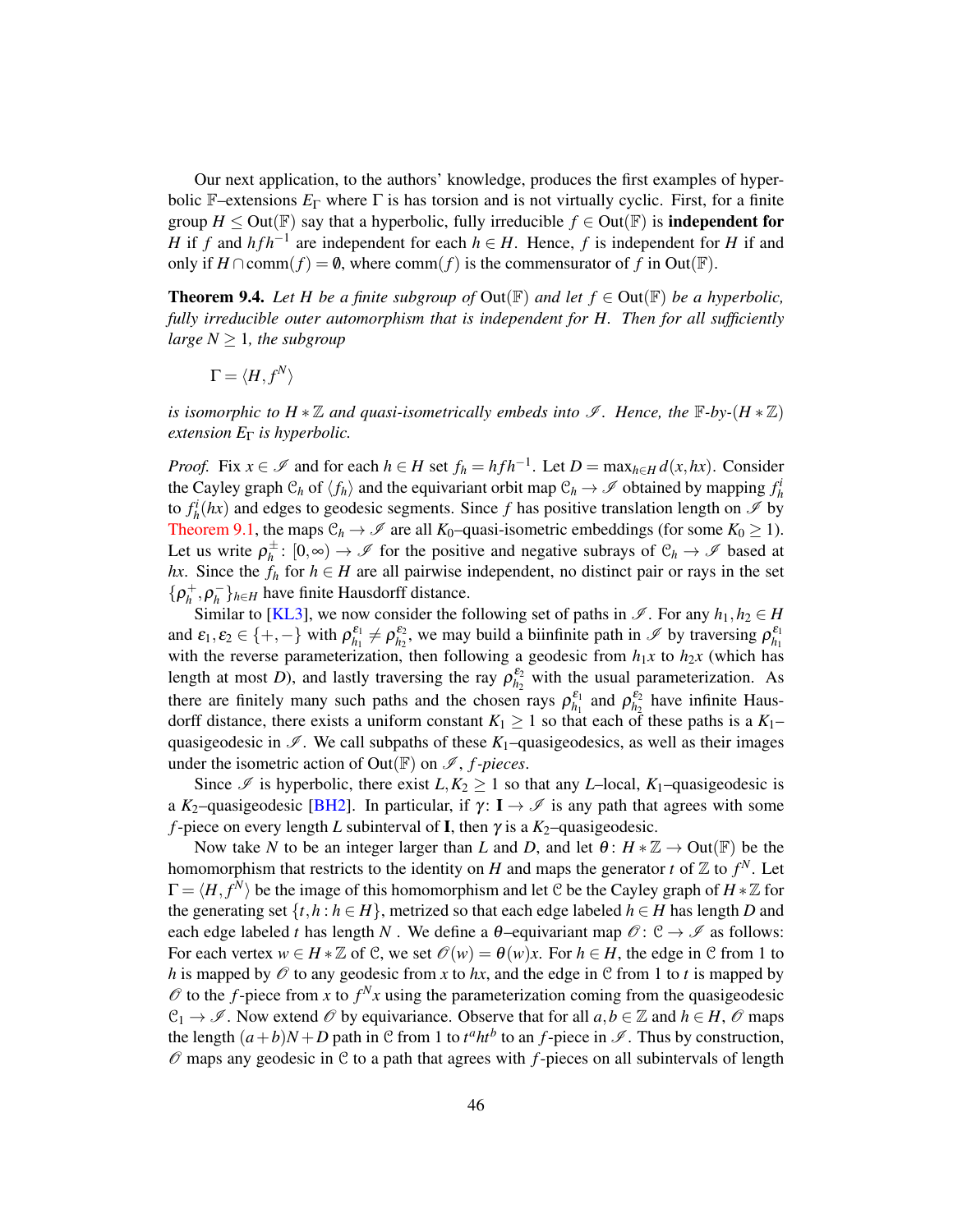Our next application, to the authors' knowledge, produces the first examples of hyperbolic F–extensions  $E_{\Gamma}$  where  $\Gamma$  is has torsion and is not virtually cyclic. First, for a finite group  $H \leq$  Out( $\mathbb{F}$ ) say that a hyperbolic, fully irreducible  $f \in$  Out( $\mathbb{F}$ ) is **independent for** *H* if *f* and *hfh*<sup>−1</sup> are independent for each  $h \in H$ . Hence, *f* is independent for *H* if and only if *H* ∩comm(*f*) =  $\emptyset$ , where comm(*f*) is the commensurator of *f* in Out( $\mathbb{F}$ ).

<span id="page-45-0"></span>**Theorem 9.4.** Let H be a finite subgroup of  $Out(\mathbb{F})$  and let  $f \in Out(\mathbb{F})$  be a hyperbolic, *fully irreducible outer automorphism that is independent for H. Then for all sufficiently large*  $N \geq 1$ *, the subgroup* 

$$
\Gamma=\langle H, f^N\rangle
$$

*is isomorphic to H*  $*\mathbb{Z}$  *and quasi-isometrically embeds into*  $\mathscr{I}$ *. Hence, the*  $\mathbb{F}\text{-}b\mathbf{y}\text{-}(H*\mathbb{Z})$ *extension E*<sup>Γ</sup> *is hyperbolic.*

*Proof.* Fix  $x \in \mathcal{I}$  and for each  $h \in H$  set  $f_h = h f h^{-1}$ . Let  $D = \max_{h \in H} d(x, hx)$ . Consider the Cayley graph  $C_h$  of  $\langle f_h \rangle$  and the equivariant orbit map  $C_h \to \mathscr{I}$  obtained by mapping  $f_h^i$ to  $f_h^i(hx)$  and edges to geodesic segments. Since f has positive translation length on  $\mathscr I$  by [Theorem 9.1,](#page-43-3) the maps  $\mathcal{C}_h \to \mathcal{I}$  are all *K*<sub>0</sub>–quasi-isometric embeddings (for some *K*<sub>0</sub>  $\geq$  1). Let us write  $\rho_h^{\pm}$  $h^{\pm}$ : [0,∞) →  $\mathscr I$  for the positive and negative subrays of  $\mathcal C_h \to \mathscr I$  based at *hx*. Since the  $f_h$  for  $h \in H$  are all pairwise independent, no distinct pair or rays in the set  $\{\rho_h^+,\rho_h^$ *h* }*h*∈*<sup>H</sup>* have finite Hausdorff distance.

Similar to [\[KL3\]](#page-49-0), we now consider the following set of paths in  $\mathscr{I}$ . For any  $h_1, h_2 \in H$ and  $\varepsilon_1, \varepsilon_2 \in \{+, -\}$  with  $\rho_{h_1}^{\varepsilon_1} \neq \rho_{h_2}^{\varepsilon_2}$ , we may build a biinfinite path in  $\mathscr{I}$  by traversing  $\rho_{h_1}^{\varepsilon_1}$ with the reverse parameterization, then following a geodesic from  $h_1x$  to  $h_2x$  (which has length at most *D*), and lastly traversing the ray  $\rho_{h_2}^{\varepsilon_2}$  with the usual parameterization. As there are finitely many such paths and the chosen rays  $\rho_{h_1}^{\varepsilon_1}$  and  $\rho_{h_2}^{\varepsilon_2}$  have infinite Hausdorff distance, there exists a uniform constant  $K_1 \geq 1$  so that each of these paths is a  $K_1$ quasigeodesic in  $\mathscr{I}$ . We call subpaths of these  $K_1$ –quasigeodesics, as well as their images under the isometric action of Out( $F$ ) on  $\mathscr{I}$ , *f*-pieces.

Since  $\mathcal I$  is hyperbolic, there exist  $L, K_2 \geq 1$  so that any *L*–local,  $K_1$ –quasigeodesic is a *K*<sub>2</sub>–quasigeodesic [\[BH2\]](#page-48-6). In particular, if  $\gamma$ : **I**  $\rightarrow \mathscr{I}$  is any path that agrees with some *f*-piece on every length *L* subinterval of **I**, then  $\gamma$  is a  $K_2$ -quasigeodesic.

Now take *N* to be an integer larger than *L* and *D*, and let  $\theta: H * \mathbb{Z} \to Out(\mathbb{F})$  be the homomorphism that restricts to the identity on *H* and maps the generator *t* of  $\mathbb{Z}$  to  $f^N$ . Let  $\Gamma = \langle H, f^N \rangle$  be the image of this homomorphism and let C be the Cayley graph of  $H \times \mathbb{Z}$  for the generating set  $\{t, h : h \in H\}$ , metrized so that each edge labeled  $h \in H$  has length *D* and each edge labeled *t* has length *N*. We define a  $\theta$ -equivariant map  $\mathcal{O} : \mathcal{C} \to \mathcal{I}$  as follows: For each vertex  $w \in H * \mathbb{Z}$  of C, we set  $\mathcal{O}(w) = \theta(w)x$ . For  $h \in H$ , the edge in C from 1 to *h* is mapped by  $\mathcal O$  to any geodesic from *x* to *hx*, and the edge in  $\mathcal C$  from 1 to *t* is mapped by  $\mathscr O$  to the *f*-piece from *x* to  $f^N x$  using the parameterization coming from the quasigeodesic  $\mathcal{C}_1 \to \mathcal{I}$ . Now extend  $\mathcal{O}$  by equivariance. Observe that for all  $a, b \in \mathbb{Z}$  and  $h \in H$ ,  $\mathcal{O}$  maps the length  $(a+b)N+D$  path in C from 1 to  $t^a h t^b$  to an *f*-piece in  $\mathscr I$ . Thus by construction,  $\mathcal O$  maps any geodesic in  $\mathcal C$  to a path that agrees with  $f$ -pieces on all subintervals of length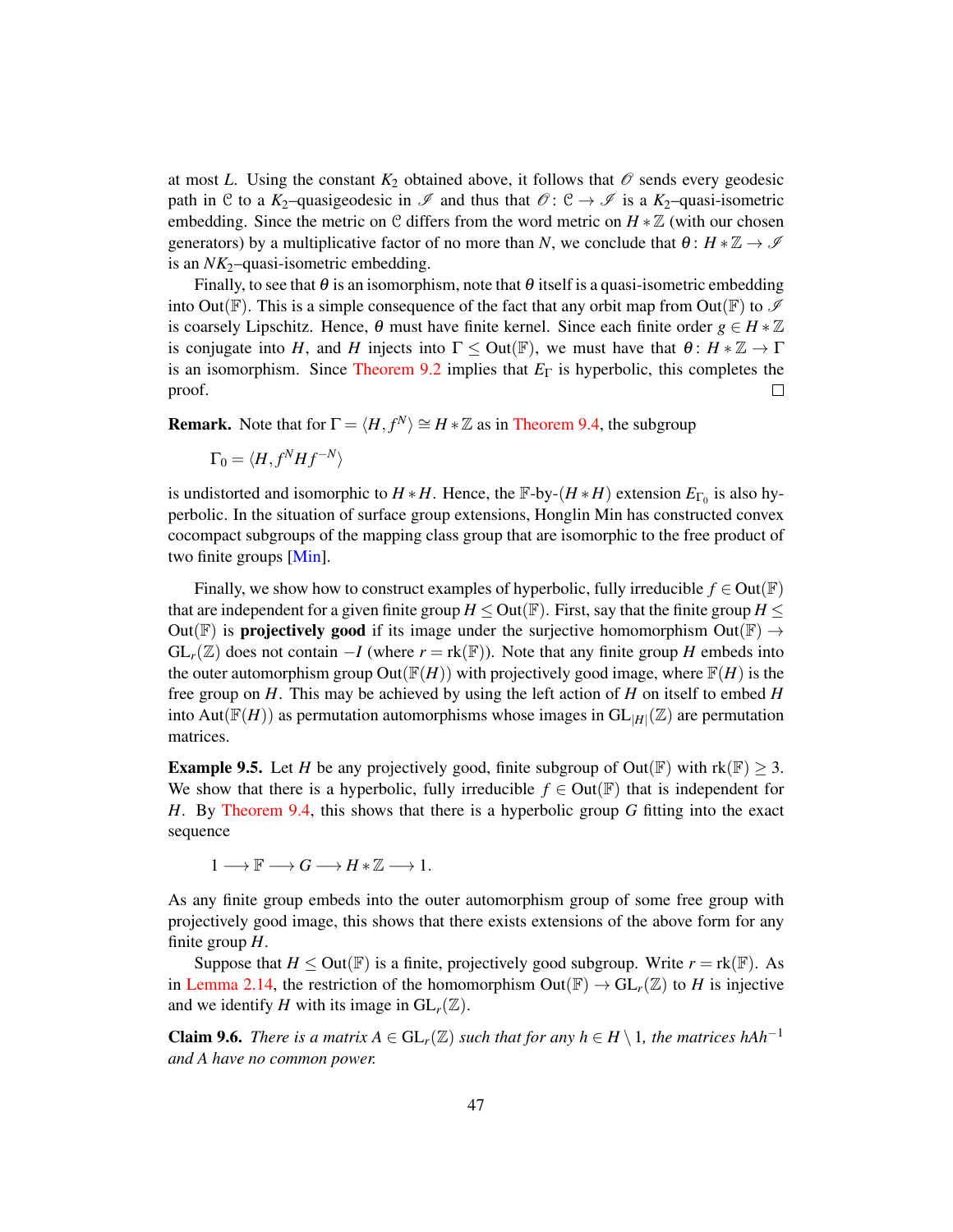at most *L*. Using the constant  $K_2$  obtained above, it follows that  $\mathcal O$  sends every geodesic path in C to a  $K_2$ -quasigeodesic in  $\mathscr I$  and thus that  $\mathscr O: \mathcal C \to \mathscr I$  is a  $K_2$ -quasi-isometric embedding. Since the metric on C differs from the word metric on  $H * \mathbb{Z}$  (with our chosen generators) by a multiplicative factor of no more than *N*, we conclude that  $\theta: H * \mathbb{Z} \to \mathcal{I}$ is an *NK*<sub>2</sub>–quasi-isometric embedding.

Finally, to see that  $\theta$  is an isomorphism, note that  $\theta$  itself is a quasi-isometric embedding into Out( $\mathbb F$ ). This is a simple consequence of the fact that any orbit map from Out( $\mathbb F$ ) to  $\mathscr I$ is coarsely Lipschitz. Hence,  $\theta$  must have finite kernel. Since each finite order  $g \in H * \mathbb{Z}$ is conjugate into *H*, and *H* injects into  $\Gamma \leq$  Out( $\mathbb{F}$ ), we must have that  $\theta$ :  $H * \mathbb{Z} \to \Gamma$ is an isomorphism. Since [Theorem 9.2](#page-44-1) implies that  $E_\Gamma$  is hyperbolic, this completes the proof.  $\Box$ 

**Remark.** Note that for  $\Gamma = \langle H, f^N \rangle \cong H * \mathbb{Z}$  as in [Theorem 9.4,](#page-45-0) the subgroup

$$
\Gamma_0 = \langle H, f^N H f^{-N} \rangle
$$

is undistorted and isomorphic to  $H * H$ . Hence, the  $\mathbb{F}$ -by- $(H * H)$  extension  $E_{\Gamma_0}$  is also hyperbolic. In the situation of surface group extensions, Honglin Min has constructed convex cocompact subgroups of the mapping class group that are isomorphic to the free product of two finite groups [\[Min\]](#page-49-12).

Finally, we show how to construct examples of hyperbolic, fully irreducible  $f \in Out(\mathbb{F})$ that are independent for a given finite group  $H \leq Out(\mathbb{F})$ . First, say that the finite group  $H \leq$ Out(F) is **projectively good** if its image under the surjective homomorphism Out(F)  $\rightarrow$  $GL_r(\mathbb{Z})$  does not contain  $-I$  (where  $r = \text{rk}(\mathbb{F})$ ). Note that any finite group *H* embeds into the outer automorphism group Out( $\mathbb{F}(H)$ ) with projectively good image, where  $\mathbb{F}(H)$  is the free group on *H*. This may be achieved by using the left action of *H* on itself to embed *H* into Aut( $\mathbb{F}(H)$ ) as permutation automorphisms whose images in  $GL_{|H|}(\mathbb{Z})$  are permutation matrices.

**Example 9.5.** Let *H* be any projectively good, finite subgroup of Out( $\mathbb{F}$ ) with rk( $\mathbb{F}$ )  $\geq$  3. We show that there is a hyperbolic, fully irreducible  $f \in Out(\mathbb{F})$  that is independent for *H*. By [Theorem 9.4,](#page-45-0) this shows that there is a hyperbolic group *G* fitting into the exact sequence

 $1 \longrightarrow \mathbb{F} \longrightarrow G \longrightarrow H \ast \mathbb{Z} \longrightarrow 1.$ 

As any finite group embeds into the outer automorphism group of some free group with projectively good image, this shows that there exists extensions of the above form for any finite group *H*.

Suppose that  $H \leq Out(\mathbb{F})$  is a finite, projectively good subgroup. Write  $r = \text{rk}(\mathbb{F})$ . As in [Lemma 2.14,](#page-18-3) the restriction of the homomorphism  $Out(\mathbb{F}) \to GL_r(\mathbb{Z})$  to *H* is injective and we identify *H* with its image in  $GL_r(\mathbb{Z})$ .

<span id="page-46-0"></span>**Claim 9.6.** *There is a matrix*  $A \in GL_r(\mathbb{Z})$  *such that for any*  $h \in H \setminus 1$ *, the matrices hAh*<sup>−1</sup> *and A have no common power.*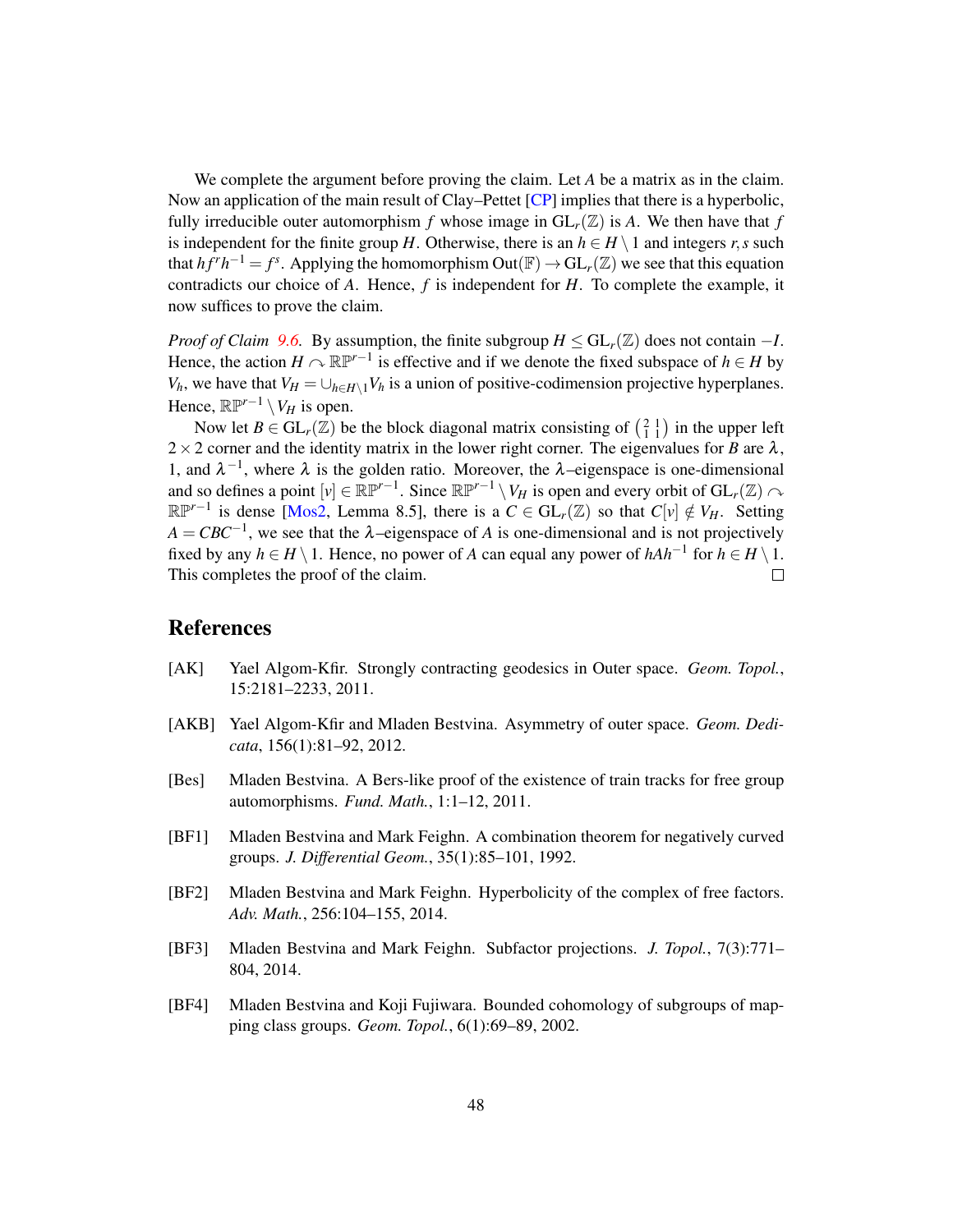We complete the argument before proving the claim. Let *A* be a matrix as in the claim. Now an application of the main result of Clay–Pettet [\[CP\]](#page-48-14) implies that there is a hyperbolic, fully irreducible outer automorphism f whose image in  $GL_r(\mathbb{Z})$  is A. We then have that f is independent for the finite group *H*. Otherwise, there is an  $h \in H \setminus 1$  and integers *r*,*s* such that  $hf^rh^{-1} = f^s$ . Applying the homomorphism  $Out(\mathbb{F}) \to GL_r(\mathbb{Z})$  we see that this equation contradicts our choice of *A*. Hence, *f* is independent for *H*. To complete the example, it now suffices to prove the claim.

*Proof of Claim* [9.6.](#page-46-0) By assumption, the finite subgroup  $H \le GL_r(\mathbb{Z})$  does not contain  $-I$ . Hence, the action  $H \cap \mathbb{RP}^{r-1}$  is effective and if we denote the fixed subspace of  $h \in H$  by *V<sub>h</sub>*, we have that  $V_H = \bigcup_{h \in H \setminus 1} V_h$  is a union of positive-codimension projective hyperplanes. Hence,  $\mathbb{RP}^{r-1} \setminus V_H$  is open.

Now let  $B \in GL_r(\mathbb{Z})$  be the block diagonal matrix consisting of  $\begin{pmatrix} 2 & 1 \\ 1 & 1 \end{pmatrix}$  in the upper left  $2 \times 2$  corner and the identity matrix in the lower right corner. The eigenvalues for *B* are  $\lambda$ , 1, and  $\lambda^{-1}$ , where  $\lambda$  is the golden ratio. Moreover, the λ–eigenspace is one-dimensional and so defines a point  $[v] \in \mathbb{RP}^{r-1}$ . Since  $\mathbb{RP}^{r-1} \setminus V_H$  is open and every orbit of  $GL_r(\mathbb{Z}) \curvearrowright$  $\mathbb{RP}^{r-1}$  is dense [\[Mos2,](#page-49-13) Lemma 8.5], there is a  $C \in GL_r(\mathbb{Z})$  so that  $C[v] \notin V_H$ . Setting  $A = CBC^{-1}$ , we see that the  $\lambda$ –eigenspace of *A* is one-dimensional and is not projectively fixed by any  $h \in H \setminus 1$ . Hence, no power of *A* can equal any power of  $hAh^{-1}$  for  $h \in H \setminus 1$ . This completes the proof of the claim.

## References

- <span id="page-47-4"></span>[AK] Yael Algom-Kfir. Strongly contracting geodesics in Outer space. *Geom. Topol.*, 15:2181–2233, 2011.
- <span id="page-47-3"></span>[AKB] Yael Algom-Kfir and Mladen Bestvina. Asymmetry of outer space. *Geom. Dedicata*, 156(1):81–92, 2012.
- <span id="page-47-2"></span>[Bes] Mladen Bestvina. A Bers-like proof of the existence of train tracks for free group automorphisms. *Fund. Math.*, 1:1–12, 2011.
- <span id="page-47-0"></span>[BF1] Mladen Bestvina and Mark Feighn. A combination theorem for negatively curved groups. *J. Differential Geom.*, 35(1):85–101, 1992.
- <span id="page-47-1"></span>[BF2] Mladen Bestvina and Mark Feighn. Hyperbolicity of the complex of free factors. *Adv. Math.*, 256:104–155, 2014.
- <span id="page-47-5"></span>[BF3] Mladen Bestvina and Mark Feighn. Subfactor projections. *J. Topol.*, 7(3):771– 804, 2014.
- <span id="page-47-6"></span>[BF4] Mladen Bestvina and Koji Fujiwara. Bounded cohomology of subgroups of mapping class groups. *Geom. Topol.*, 6(1):69–89, 2002.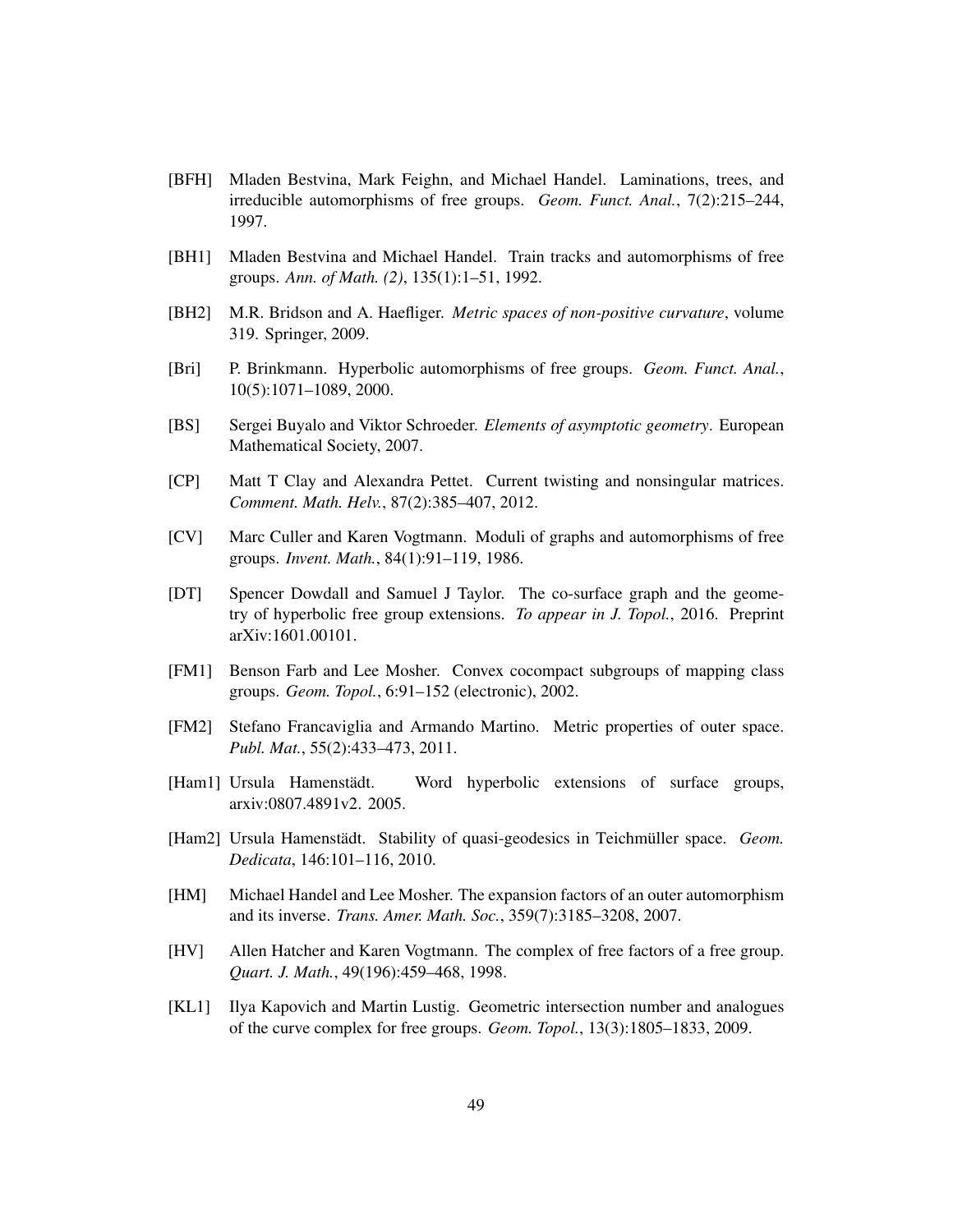- <span id="page-48-4"></span>[BFH] Mladen Bestvina, Mark Feighn, and Michael Handel. Laminations, trees, and irreducible automorphisms of free groups. *Geom. Funct. Anal.*, 7(2):215–244, 1997.
- <span id="page-48-5"></span>[BH1] Mladen Bestvina and Michael Handel. Train tracks and automorphisms of free groups. *Ann. of Math. (2)*, 135(1):1–51, 1992.
- <span id="page-48-6"></span>[BH2] M.R. Bridson and A. Haefliger. *Metric spaces of non-positive curvature*, volume 319. Springer, 2009.
- <span id="page-48-2"></span>[Bri] P. Brinkmann. Hyperbolic automorphisms of free groups. *Geom. Funct. Anal.*, 10(5):1071–1089, 2000.
- <span id="page-48-7"></span>[BS] Sergei Buyalo and Viktor Schroeder. *Elements of asymptotic geometry*. European Mathematical Society, 2007.
- <span id="page-48-14"></span>[CP] Matt T Clay and Alexandra Pettet. Current twisting and nonsingular matrices. *Comment. Math. Helv.*, 87(2):385–407, 2012.
- <span id="page-48-8"></span>[CV] Marc Culler and Karen Vogtmann. Moduli of graphs and automorphisms of free groups. *Invent. Math.*, 84(1):91–119, 1986.
- <span id="page-48-13"></span>[DT] Spencer Dowdall and Samuel J Taylor. The co-surface graph and the geometry of hyperbolic free group extensions. *To appear in J. Topol.*, 2016. Preprint arXiv:1601.00101.
- <span id="page-48-0"></span>[FM1] Benson Farb and Lee Mosher. Convex cocompact subgroups of mapping class groups. *Geom. Topol.*, 6:91–152 (electronic), 2002.
- <span id="page-48-9"></span>[FM2] Stefano Francaviglia and Armando Martino. Metric properties of outer space. *Publ. Mat.*, 55(2):433–473, 2011.
- <span id="page-48-1"></span>[Ham1] Ursula Hamenstädt. Word hyperbolic extensions of surface groups, arxiv:0807.4891v2. 2005.
- <span id="page-48-3"></span>[Ham2] Ursula Hamenstädt. Stability of quasi-geodesics in Teichmüller space. *Geom. Dedicata*, 146:101–116, 2010.
- <span id="page-48-10"></span>[HM] Michael Handel and Lee Mosher. The expansion factors of an outer automorphism and its inverse. *Trans. Amer. Math. Soc.*, 359(7):3185–3208, 2007.
- <span id="page-48-11"></span>[HV] Allen Hatcher and Karen Vogtmann. The complex of free factors of a free group. *Quart. J. Math.*, 49(196):459–468, 1998.
- <span id="page-48-12"></span>[KL1] Ilya Kapovich and Martin Lustig. Geometric intersection number and analogues of the curve complex for free groups. *Geom. Topol.*, 13(3):1805–1833, 2009.